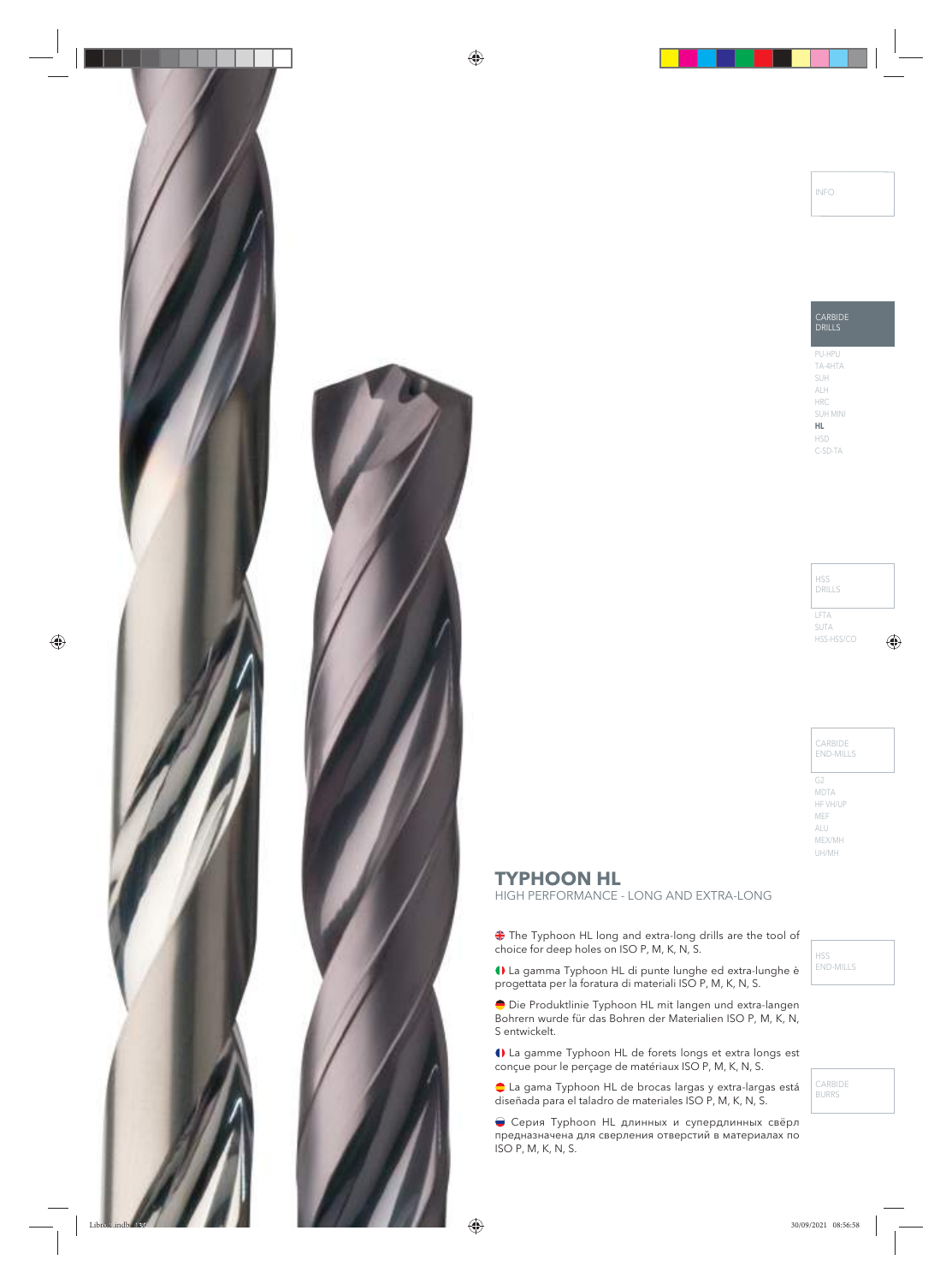



# **TYPHOON HL**

HIGH PERFORMANCE - LONG AND EXTRA-LONG

The Typhoon HL long and extra-long drills are the tool of choice for deep holes on ISO P, M, K, N, S.

La gamma Typhoon HL di punte lunghe ed extra-lunghe è progettata per la foratura di materiali ISO P, M, K, N, S.

Die Produktlinie Typhoon HL mit langen und extra-langen Bohrern wurde für das Bohren der Materialien ISO P, M, K, N, S entwickelt.

La gamme Typhoon HL de forets longs et extra longs est conçue pour le perçage de matériaux ISO P, M, K, N, S.

La gama Typhoon HL de brocas largas y extra-largas está diseñada para el taladro de materiales ISO P, M, K, N, S.

Серия Typhoon HL длинных и супердлинных свёрл предназначена для сверления отверстий в материалах по ISO P, M, K, N, S.

HSS END-MILLS

CARBIDE BURRS

INFO

CARBIDE DRILLS PU-HPU

TA-4HTA SUH ALH HRC SUH MINI **HL**

HSD C-SD-TA

LFTA SUTA HSS-HSS/CO DRILLS

HSS

CARBIDE END-MILLS

G2 MDTA HF VH/UP MEF ALU MEX/MH UH/MH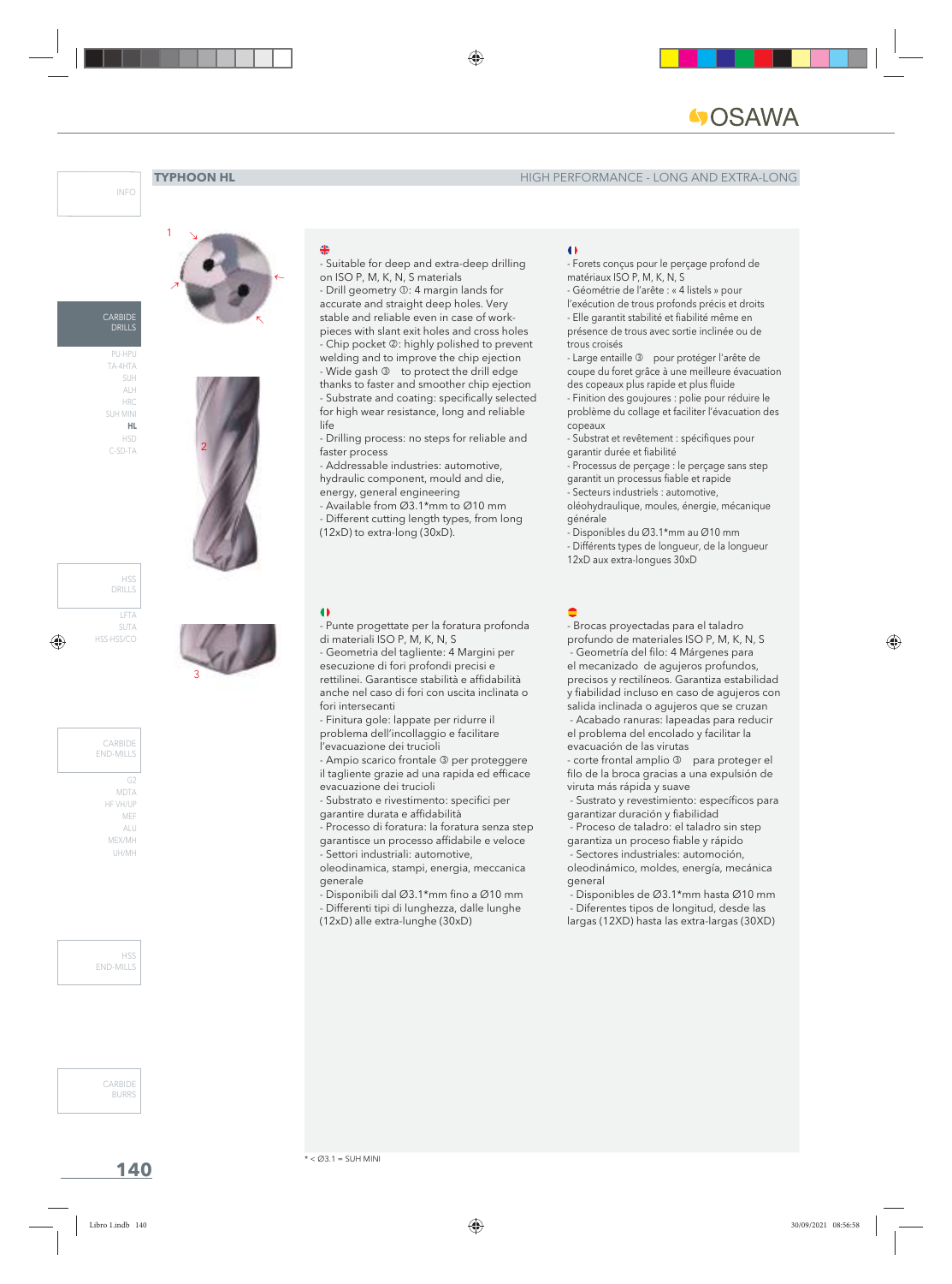





PU-HPU TA-4HTA SUH ALH HRC SUH MINI **HL** HSD C-SD-TA







ALU MEX/MH UH/MH



CARBIDE **BURRS** 

2

- Punte progettate per la foratura profonda di materiali ISO P, M, K, N, S

- Suitable for deep and extra-deep drilling

- Drilling process: no steps for reliable and

- Addressable industries: automotive, hydraulic component, mould and die, energy, general engineering - Available from Ø3.1\*mm to Ø10 mm - Different cutting length types, from long

(12xD) to extra-long (30xD).

on ISO P, M, K, N, S materials - Drill geometry  $\mathbb{O}$ : 4 margin lands for accurate and straight deep holes. Very stable and reliable even in case of workpieces with slant exit holes and cross holes - Chip pocket 2: highly polished to prevent welding and to improve the chip ejection - Wide gash 3 to protect the drill edge thanks to faster and smoother chip ejection - Substrate and coating: specifically selected for high wear resistance, long and reliable

- Geometria del tagliente: 4 Margini per esecuzione di fori profondi precisi e rettilinei. Garantisce stabilità e affidabilità anche nel caso di fori con uscita inclinata o fori intersecanti

- Finitura gole: lappate per ridurre il problema dell'incollaggio e facilitare l'evacuazione dei trucioli

- Ampio scarico frontale <sup>3</sup> per proteggere il tagliente grazie ad una rapida ed efficace evacuazione dei trucioli

- Substrato e rivestimento: specifici per garantire durata e affidabilità - Processo di foratura: la foratura senza step

garantisce un processo affidabile e veloce - Settori industriali: automotive,

oleodinamica, stampi, energia, meccanica generale

- Disponibili dal Ø3.1\*mm fino a Ø10 mm

- Differenti tipi di lunghezza, dalle lunghe

(12xD) alle extra-lunghe (30xD)

#### $\bullet$

- Forets conçus pour le perçage profond de matériaux ISO P, M, K, N, S

- Géométrie de l'arête : « 4 listels » pour

l'exécution de trous profonds précis et droits

- Elle garantit stabilité et fiabilité même en présence de trous avec sortie inclinée ou de trous croisés

- Large entaille <sup>3</sup> pour protéger l'arête de coupe du foret grâce à une meilleure évacuation des copeaux plus rapide et plus fluide - Finition des goujoures : polie pour réduire le

problème du collage et faciliter l'évacuation des copeaux

- Substrat et revêtement : spécifiques pour garantir durée et fiabilité

- Processus de perçage : le perçage sans step garantit un processus fiable et rapide

- Secteurs industriels : automotive,

oléohydraulique, moules, énergie, mécanique générale

- Disponibles du Ø3.1\*mm au Ø10 mm

- Différents types de longueur, de la longueur

12xD aux extra-longues 30xD

I, - Brocas proyectadas para el taladro profundo de materiales ISO P, M, K, N, S - Geometría del filo: 4 Márgenes para el mecanizado de agujeros profundos, precisos y rectilíneos. Garantiza estabilidad y fiabilidad incluso en caso de agujeros con salida inclinada o agujeros que se cruzan - Acabado ranuras: lapeadas para reducir el problema del encolado y facilitar la evacuación de las virutas

- corte frontal amplio 3 para proteger el filo de la broca gracias a una expulsión de viruta más rápida y suave

 - Sustrato y revestimiento: específicos para garantizar duración y fiabilidad

 - Proceso de taladro: el taladro sin step garantiza un proceso fiable y rápido

 - Sectores industriales: automoción, oleodinámico, moldes, energía, mecánica general

 - Disponibles de Ø3.1\*mm hasta Ø10 mm - Diferentes tipos de longitud, desde las

largas (12XD) hasta las extra-largas (30XD)

**140**



3

life

 $\bullet$ 

faster process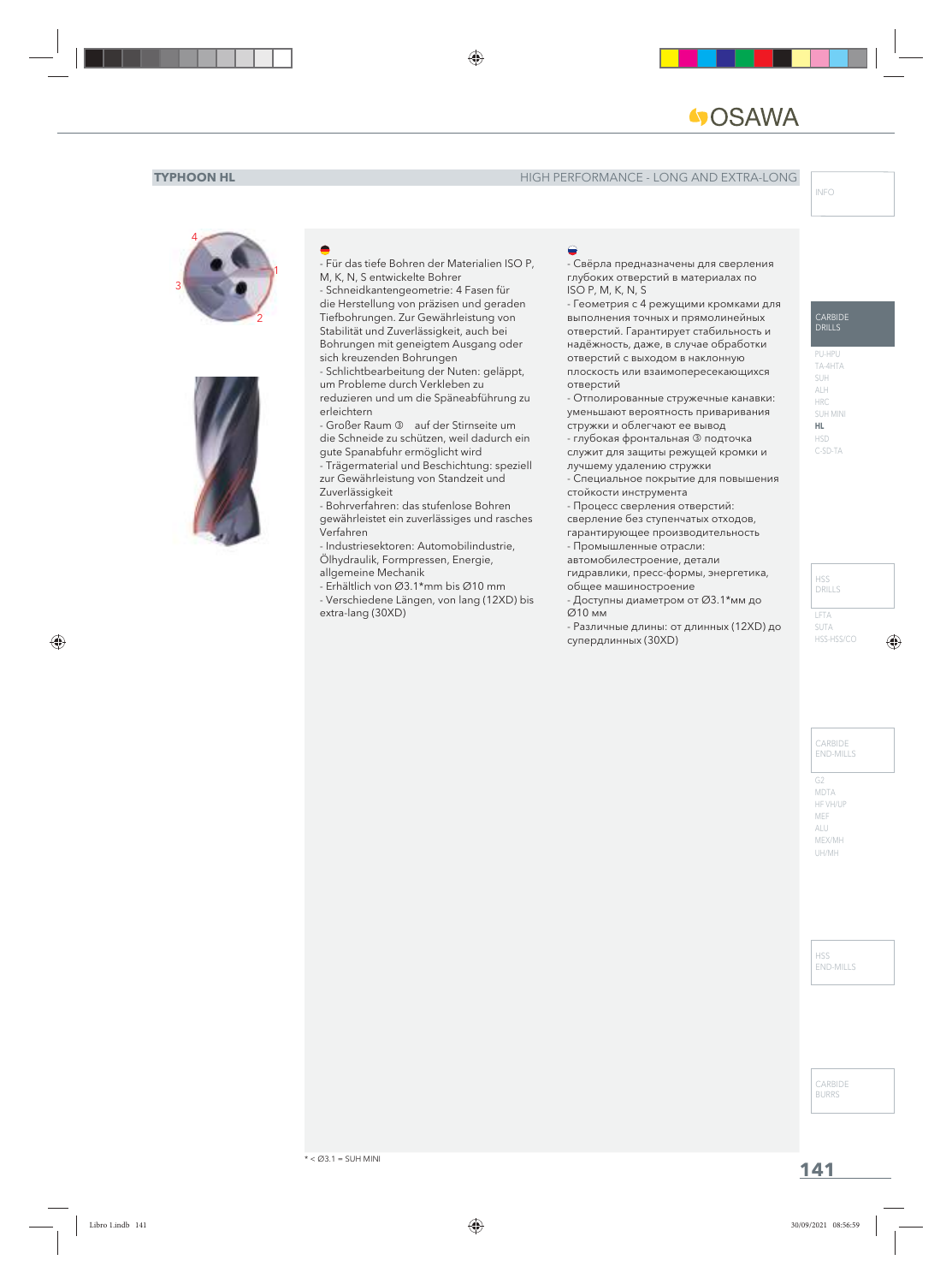



- Für das tiefe Bohren der Materialien ISO P, M, K, N, S entwickelte Bohrer

- Schneidkantengeometrie: 4 Fasen für die Herstellung von präzisen und geraden Tiefbohrungen. Zur Gewährleistung von Stabilität und Zuverlässigkeit, auch bei Bohrungen mit geneigtem Ausgang oder sich kreuzenden Bohrungen

- Schlichtbearbeitung der Nuten: geläppt, um Probleme durch Verkleben zu reduzieren und um die Späneabführung zu erleichtern

- Großer Raum 3 auf der Stirnseite um die Schneide zu schützen, weil dadurch ein gute Spanabfuhr ermöglicht wird

- Trägermaterial und Beschichtung: speziell zur Gewährleistung von Standzeit und Zuverlässigkeit

- Bohrverfahren: das stufenlose Bohren gewährleistet ein zuverlässiges und rasches Verfahren

- Industriesektoren: Automobilindustrie, Ölhydraulik, Formpressen, Energie, allgemeine Mechanik

- Erhältlich von Ø3.1\*mm bis Ø10 mm - Verschiedene Längen, von lang (12XD) bis

- 
- extra-lang (30XD)

#### I,

- Свёрла предназначены для сверления глубоких отверстий в материалах по ISO P, M, K, N, S

- Геометрия с 4 режущими кромками для выполнения точных и прямолинейных отверстий. Гарантирует стабильность и надёжность, даже, в случае обработки отверстий с выходом в наклонную плоскость или взаимопересекающихся отверстий

- Отполированные стружечные канавки: уменьшают вероятность приваривания стружки и облегчают ее вывод

- глубокая фронтальная подточка служит для защиты режущей кромки и

лучшему удалению стружки

- Специальное покрытие для повышения стойкости инструмента

- Процесс сверления отверстий:

сверление без ступенчатых отходов,

гарантирующее производительность

- Промышленные отрасли:

автомобилестроение, детали

гидравлики, пресс-формы, энергетика, общее машиностроение

- Доступны диаметром от Ø3.1\*мм до Ø10 мм

- Различные длины: от длинных (12XD) до супердлинных (30XD)

#### **CARBIDE DRILLS**

PU-HPU TA-4HTA SUH ALH HRC SUH MINI **HL** HSD C-SD-TA

LFTA SUTA HSS-HSS/CO HSS DRILLS

> CARBIDE END-MILLS

HSS END-MILLS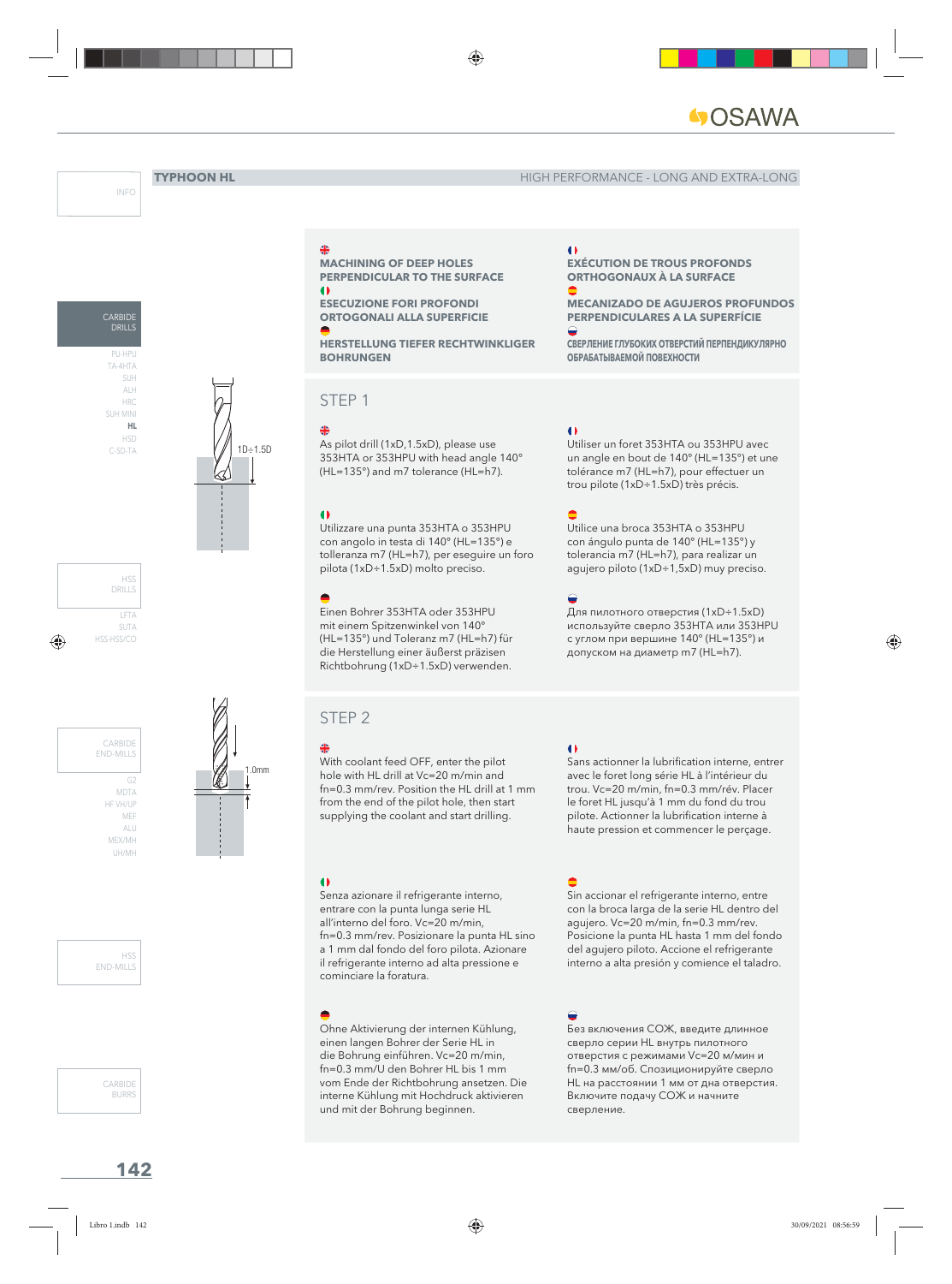**EXÉCUTION DE TROUS PROFONDS ORTHOGONAUX À LA SURFACE**

**ОБРАБАТЫВАЕМОЙ ПОВЕХНОСТИ**

**MECANIZADO DE AGUJEROS PROFUNDOS PERPENDICULARES A LA SUPERFÍCIE**

**СВЕРЛЕНИЕ ГЛУБОКИХ ОТВЕРСТИЙ ПЕРПЕНДИКУЛЯРНО** 

Utiliser un foret 353HTA ou 353HPU avec un angle en bout de 140° (HL=135°) et une tolérance m7 (HL=h7), pour effectuer un trou pilote (1xD÷1.5xD) très précis.

Utilice una broca 353HTA o 353HPU con ángulo punta de 140° (HL=135°) y tolerancia m7 (HL=h7), para realizar un agujero piloto (1xD÷1,5xD) muy preciso.

Для пилотного отверстия (1xD÷1.5xD) используйте сверло 353HTA или 353HPU с углом при вершине 140° (HL=135°) и допуском на диаметр m7 (HL=h7).

 $\bullet$ 

I,

I,

 $\bullet$ 

I,

I.

 $\triangle$ 

INFO





LFTA SUTA HSS-HSS/CO HSS DRILLS

MDT/ HF VH/UP MEF ALU MEX/MH UH/MH CARBIDE END-MILLS



CARBIDE **BURRS** 



**ESECUZIONE FORI PROFONDI ORTOGONALI ALLA SUPERFICIE**

**HERSTELLUNG TIEFER RECHTWINKLIGER BOHRUNGEN**

**MACHINING OF DEEP HOLES PERPENDICULAR TO THE SURFACE**

## STEP 1

As pilot drill (1xD,1.5xD), please use 353HTA or 353HPU with head angle 140° (HL=135°) and m7 tolerance (HL=h7).

Utilizzare una punta 353HTA o 353HPU con angolo in testa di 140° (HL=135°) e tolleranza m7 (HL=h7), per eseguire un foro pilota (1xD÷1.5xD) molto preciso.

Einen Bohrer 353HTA oder 353HPU mit einem Spitzenwinkel von 140° (HL=135°) und Toleranz m7 (HL=h7) für die Herstellung einer äußerst präzisen Richtbohrung (1xD÷1.5xD) verwenden.

## STEP 2

1.0mm

With coolant feed OFF, enter the pilot hole with HL drill at Vc=20 m/min and fn=0.3 mm/rev. Position the HL drill at 1 mm from the end of the pilot hole, then start supplying the coolant and start drilling.

#### $\bullet$

Senza azionare il refrigerante interno, entrare con la punta lunga serie HL all'interno del foro. Vc=20 m/min, fn=0.3 mm/rev. Posizionare la punta HL sino a 1 mm dal fondo del foro pilota. Azionare il refrigerante interno ad alta pressione e cominciare la foratura.

Ohne Aktivierung der internen Kühlung, einen langen Bohrer der Serie HL in die Bohrung einführen. Vc=20 m/min, fn=0.3 mm/U den Bohrer HL bis 1 mm vom Ende der Richtbohrung ansetzen. Die interne Kühlung mit Hochdruck aktivieren und mit der Bohrung beginnen.

#### $\bullet$

Sans actionner la lubrification interne, entrer avec le foret long série HL à l'intérieur du trou. Vc=20 m/min, fn=0.3 mm/rév. Placer le foret HL jusqu'à 1 mm du fond du trou pilote. Actionner la lubrification interne à haute pression et commencer le perçage.

I, Sin accionar el refrigerante interno, entre con la broca larga de la serie HL dentro del agujero. Vc=20 m/min, fn=0.3 mm/rev. Posicione la punta HL hasta 1 mm del fondo del agujero piloto. Accione el refrigerante interno a alta presión y comience el taladro.

## I.

Без включения СОЖ, введите длинное сверло серии HL внутрь пилотного отверстия с режимами Vc=20 м/мин и fn=0.3 мм/об. Спозиционируйте сверло HL на расстоянии 1 мм от дна отверстия. Включите подачу СОЖ и начните сверление.

# 1D÷1.5D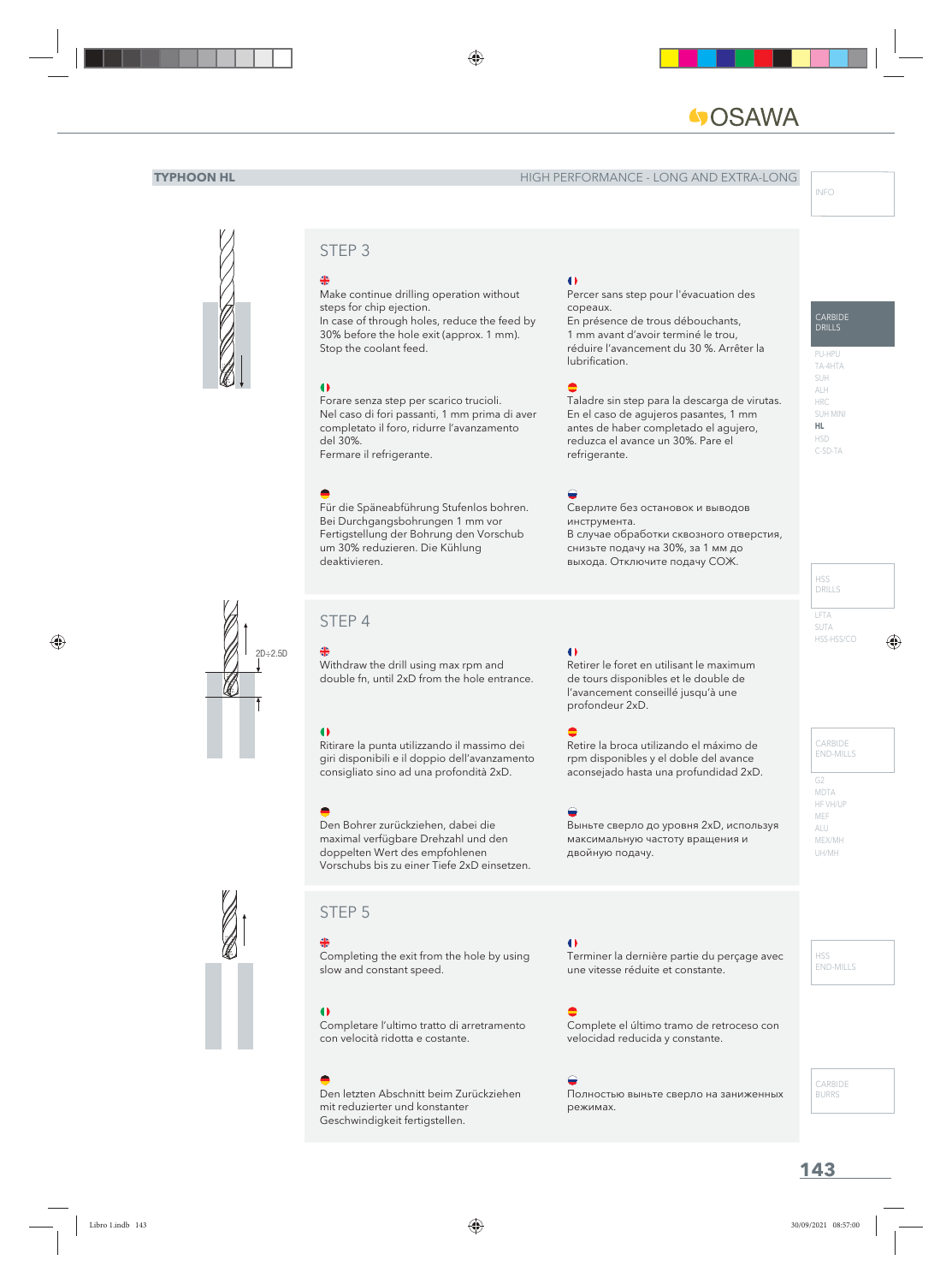# **AWASC**

#### **TYPHOON HL** HIGH PERFORMANCE - LONG AND EXTRA-LONG



## STEP 3

Make continue drilling operation without steps for chip ejection. In case of through holes, reduce the feed by 30% before the hole exit (approx. 1 mm). Stop the coolant feed.

#### $\bullet$

Forare senza step per scarico trucioli. Nel caso di fori passanti, 1 mm prima di aver completato il foro, ridurre l'avanzamento del 30%. Fermare il refrigerante.

Für die Späneabführung Stufenlos bohren. Bei Durchgangsbohrungen 1 mm vor Fertigstellung der Bohrung den Vorschub um 30% reduzieren. Die Kühlung deaktivieren.

# 2D÷2.5D

STEP 4

Withdraw the drill using max rpm and double fn, until 2xD from the hole entrance.

#### $\bullet$

Ritirare la punta utilizzando il massimo dei giri disponibili e il doppio dell'avanzamento consigliato sino ad una profondità 2xD.

Den Bohrer zurückziehen, dabei die maximal verfügbare Drehzahl und den doppelten Wert des empfohlenen Vorschubs bis zu einer Tiefe 2xD einsetzen.

## STEP 5

Completing the exit from the hole by using slow and constant speed.

Completare l'ultimo tratto di arretramento con velocità ridotta e costante.

Den letzten Abschnitt beim Zurückziehen mit reduzierter und konstanter Geschwindigkeit fertigstellen.

#### $\bullet$

Percer sans step pour l'évacuation des copeaux.

En présence de trous débouchants, 1 mm avant d'avoir terminé le trou, réduire l'avancement du 30 %. Arrêter la lubrification.

#### I,

Taladre sin step para la descarga de virutas. En el caso de agujeros pasantes, 1 mm antes de haber completado el agujero, reduzca el avance un 30%. Pare el refrigerante.

#### $\bigoplus$

Сверлите без остановок и выводов инструмента. В случае обработки сквозного отверстия, снизьте подачу на 30%, за 1 мм до выхода. Отключите подачу СОЖ.

#### $\bullet$

Retirer le foret en utilisant le maximum de tours disponibles et le double de l'avancement conseillé jusqu'à une profondeur 2xD.

#### I,

Retire la broca utilizando el máximo de rpm disponibles y el doble del avance aconsejado hasta una profundidad 2xD.

#### I.

Выньте сверло до уровня 2хD, используя максимальную частоту вращения и двойную подачу.

#### $\bullet$

Terminer la dernière partie du perçage avec une vitesse réduite et constante.

## I,

Complete el último tramo de retroceso con velocidad reducida y constante.

#### I.

Полностью выньте сверло на заниженных режимах.

## CARBIDE DRILLS

PU-HPU TA-4HTA SUH ALH HRC SUH MINI **HL** HSD C-SD-TA

LFTA SUTA HSS-HSS/CO HSS DRILLS

> CARBIDE END-MILLS

G2 MDTA HF VH/UP MEF ALU MEX/MH UH/MH

> HSS END-MILLS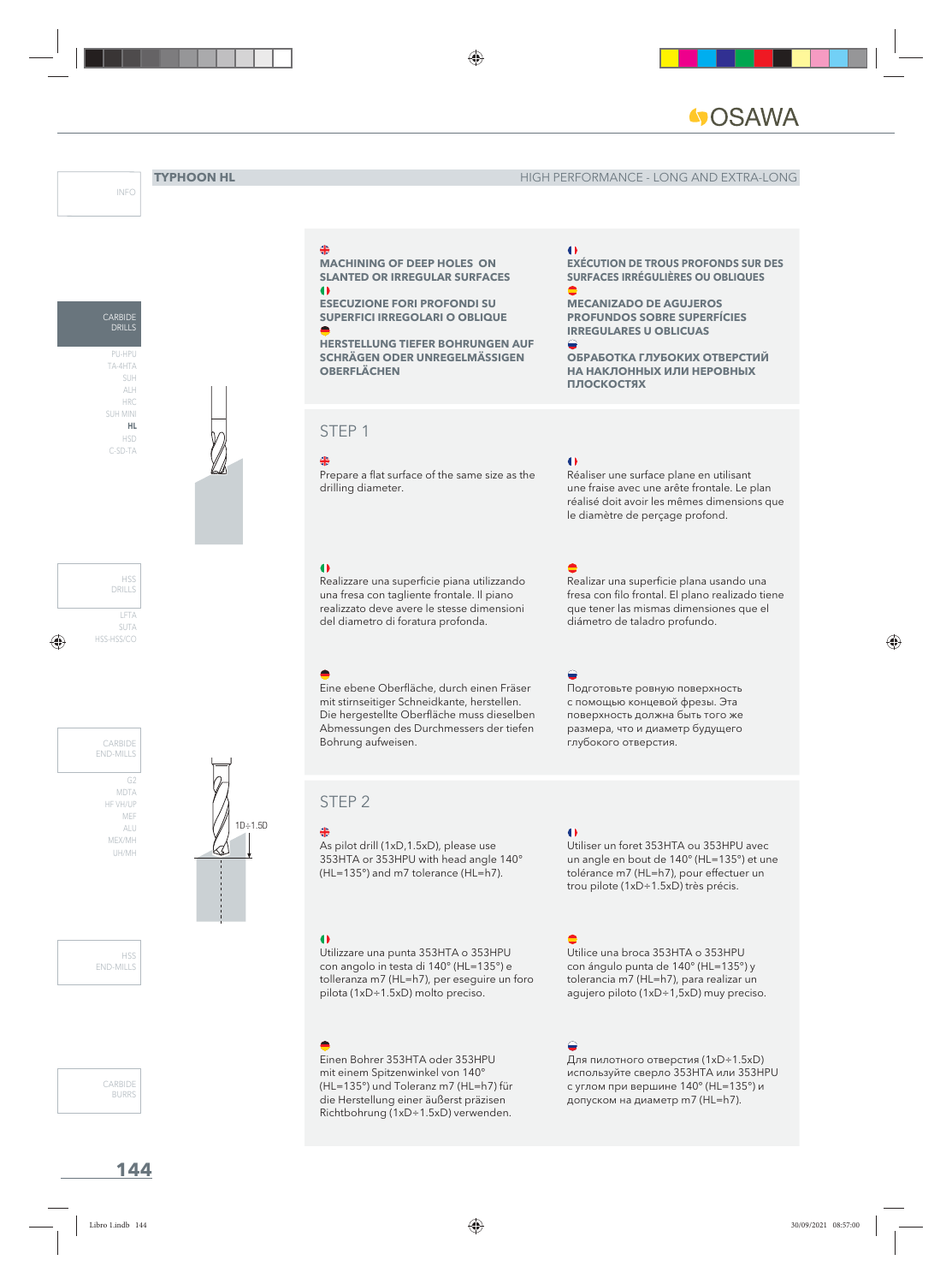**MECANIZADO DE AGUJEROS PROFUNDOS SOBRE SUPERFÍCIES IRREGULARES U OBLICUAS**

**EXÉCUTION DE TROUS PROFONDS SUR DES SURFACES IRRÉGULIÈRES OU OBLIQUES**

**ОБРАБОТКА ГЛУБОКИХ ОТВЕРСТИЙ НА НАКЛОННЫХ ИЛИ НЕРОВНЫХ** 

Réaliser une surface plane en utilisant une fraise avec une arête frontale. Le plan réalisé doit avoir les mêmes dimensions que

Realizar una superficie plana usando una fresa con filo frontal. El plano realizado tiene que tener las mismas dimensiones que el

le diamètre de perçage profond.

diámetro de taladro profundo.

INFO









MDTA HF VH/UP MEF ALU MEX/MH UH/MH

H<sub>SS</sub> END-MILLS

CARBIDE **BURRS** 

**MACHINING OF DEEP HOLES ON SLANTED OR IRREGULAR SURFACES**

**ESECUZIONE FORI PROFONDI SU SUPERFICI IRREGOLARI O OBLIQUE**

**HERSTELLUNG TIEFER BOHRUNGEN AUF SCHRÄGEN ODER UNREGELMÄSSIGEN OBERFLÄCHEN**

#### STEP 1

Prepare a flat surface of the same size as the drilling diameter.

#### $\bullet$

Realizzare una superficie piana utilizzando una fresa con tagliente frontale. Il piano realizzato deve avere le stesse dimensioni del diametro di foratura profonda.

Eine ebene Oberfläche, durch einen Fräser mit stirnseitiger Schneidkante, herstellen. Die hergestellte Oberfläche muss dieselben Abmessungen des Durchmessers der tiefen Bohrung aufweisen.

## STEP 2

As pilot drill (1xD,1.5xD), please use 353HTA or 353HPU with head angle 140° (HL=135°) and m7 tolerance (HL=h7).

con angolo in testa di 140° (HL=135°) e tolleranza m7 (HL=h7), per eseguire un foro pilota (1xD÷1.5xD) molto preciso.

Einen Bohrer 353HTA oder 353HPU mit einem Spitzenwinkel von 140° (HL=135°) und Toleranz m7 (HL=h7) für die Herstellung einer äußerst präzisen Richtbohrung (1xD÷1.5xD) verwenden.

## $\bullet$

Utiliser un foret 353HTA ou 353HPU avec un angle en bout de 140° (HL=135°) et une tolérance m7 (HL=h7), pour effectuer un trou pilote (1xD÷1.5xD) très précis.

## I,

Utilice una broca 353HTA o 353HPU con ángulo punta de 140° (HL=135°) y tolerancia m7 (HL=h7), para realizar un agujero piloto (1xD÷1,5xD) muy preciso.

#### $\mathbf{C}$ I,

Для пилотного отверстия (1xD÷1.5xD) используйте сверло 353HTA или 353HPU с углом при вершине 140° (HL=135°) и допуском на диаметр m7 (HL=h7).

CARBIDE DRILLS

1D÷1.5D

#### $\bullet$

Utilizzare una punta 353HTA o 353HPU

 $\bigodot$ 

I,

 $\bullet$ 

I,

I.

 $\bullet$ 

**ПЛОСКОСТЯХ**

Подготовьте ровную поверхность с помощью концевой фрезы. Эта поверхность должна быть того же размера, что и диаметр будущего глубокого отверстия.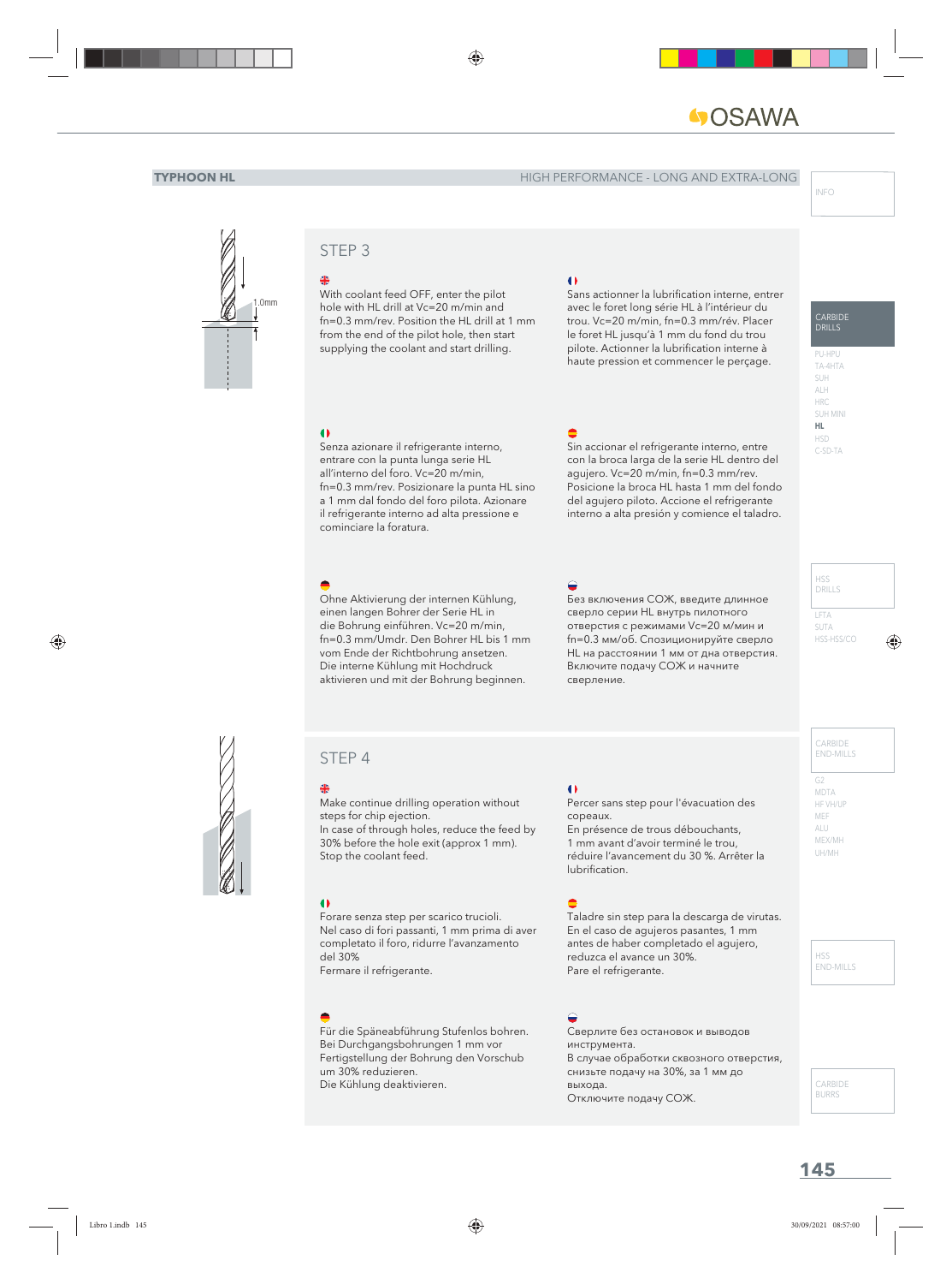# **OSAWA**

#### **TYPHOON HL HIGH PERFORMANCE - LONG AND EXTRA-LONG**

CARBIDE DRILLS

PU-HPU TA-4HTA SUH ALH HRC SUH MINI **HL** HSD C-SD-TA



## STEP 3

With coolant feed OFF, enter the pilot hole with HL drill at Vc=20 m/min and fn=0.3 mm/rev. Position the HL drill at 1 mm from the end of the pilot hole, then start supplying the coolant and start drilling.

#### $\bullet$

Sans actionner la lubrification interne, entrer avec le foret long série HL à l'intérieur du trou. Vc=20 m/min, fn=0.3 mm/rév. Placer le foret HL jusqu'à 1 mm du fond du trou pilote. Actionner la lubrification interne à haute pression et commencer le perçage.

#### $\bullet$

Senza azionare il refrigerante interno, entrare con la punta lunga serie HL all'interno del foro. Vc=20 m/min, fn=0.3 mm/rev. Posizionare la punta HL sino a 1 mm dal fondo del foro pilota. Azionare il refrigerante interno ad alta pressione e cominciare la foratura.

Ohne Aktivierung der internen Kühlung, einen langen Bohrer der Serie HL in die Bohrung einführen. Vc=20 m/min, fn=0.3 mm/Umdr. Den Bohrer HL bis 1 mm vom Ende der Richtbohrung ansetzen. Die interne Kühlung mit Hochdruck aktivieren und mit der Bohrung beginnen.

## I,

Sin accionar el refrigerante interno, entre con la broca larga de la serie HL dentro del agujero. Vc=20 m/min, fn=0.3 mm/rev. Posicione la broca HL hasta 1 mm del fondo del agujero piloto. Accione el refrigerante interno a alta presión y comience el taladro.

#### I.

Без включения СОЖ, введите длинное сверло серии HL внутрь пилотного отверстия с режимами Vc=20 м/мин и fn=0.3 мм/об. Спозиционируйте сверло HL на расстоянии 1 мм от дна отверстия. Включите подачу СОЖ и начните сверление.

#### LFTA SUTA HSS-HSS/CO HSS DRILLS

## STEP 4

Make continue drilling operation without steps for chip ejection. In case of through holes, reduce the feed by 30% before the hole exit (approx 1 mm).

#### $\bullet$

Forare senza step per scarico trucioli. Nel caso di fori passanti, 1 mm prima di aver completato il foro, ridurre l'avanzamento del 30% Fermare il refrigerante.

Stop the coolant feed.

Für die Späneabführung Stufenlos bohren. Bei Durchgangsbohrungen 1 mm vor Fertigstellung der Bohrung den Vorschub um 30% reduzieren. Die Kühlung deaktivieren.

## $\bullet$

Percer sans step pour l'évacuation des copeaux. En présence de trous débouchants, 1 mm avant d'avoir terminé le trou, réduire l'avancement du 30 %. Arrêter la lubrification.

#### $\bullet$

Taladre sin step para la descarga de virutas. En el caso de agujeros pasantes, 1 mm antes de haber completado el agujero, reduzca el avance un 30%. Pare el refrigerante.

#### $\sum_{i=1}^{n}$

Сверлите без остановок и выводов инструмента. В случае обработки сквозного отверстия, снизьте подачу на 30%, за 1 мм до выхода. Отключите подачу СОЖ.

#### CARBIDE END-MILLS

G2 MDTA HF VH/UP MEF ALU MEX/MH UH/MH

#### HSS END-MILLS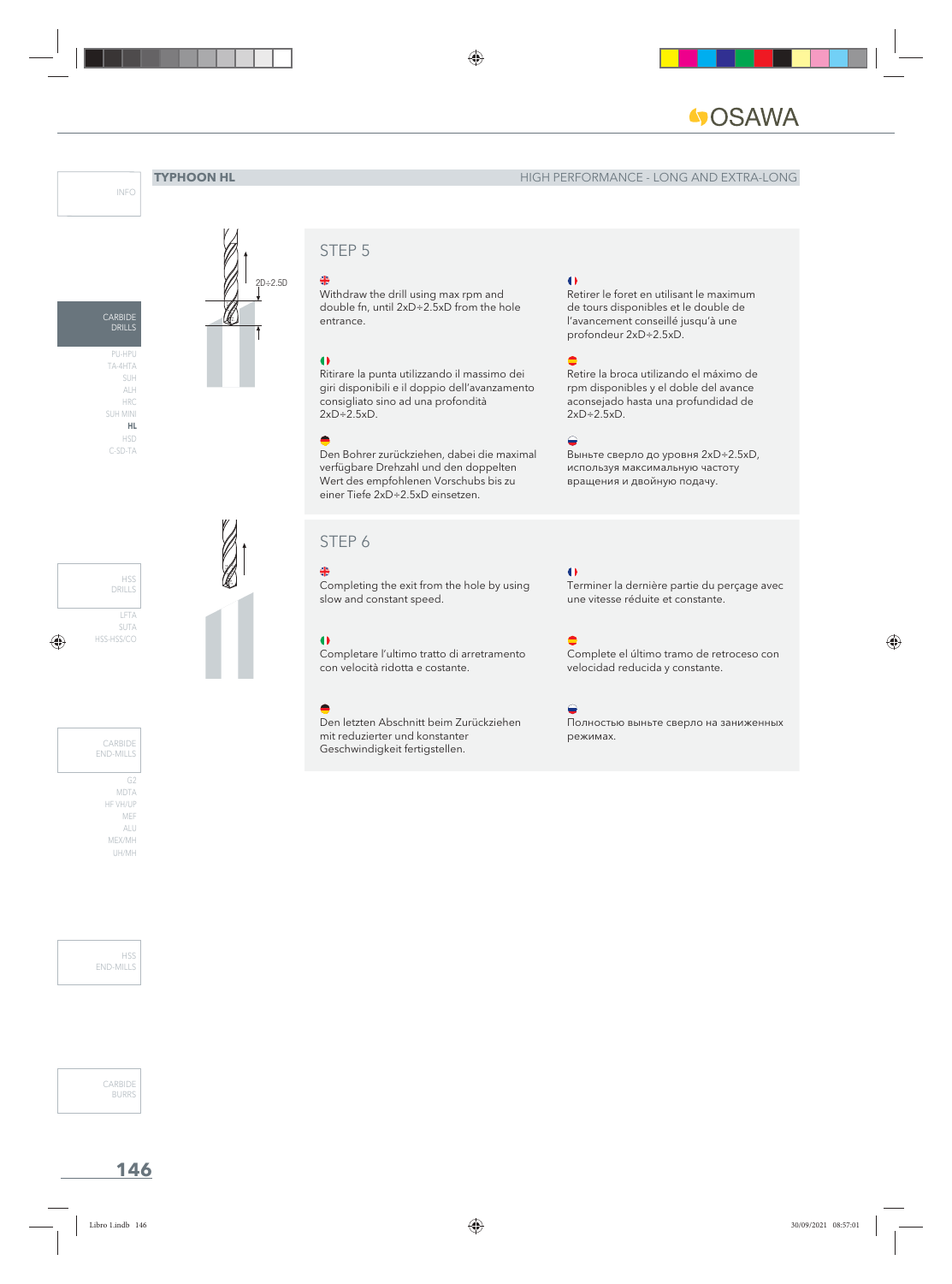



2D÷2.5D

STEP<sub>5</sub>

Withdraw the drill using max rpm and double fn, until 2xD÷2.5xD from the hole entrance.

#### $\bullet$

Ritirare la punta utilizzando il massimo dei giri disponibili e il doppio dell'avanzamento consigliato sino ad una profondità 2xD÷2.5xD.

Den Bohrer zurückziehen, dabei die maximal verfügbare Drehzahl und den doppelten Wert des empfohlenen Vorschubs bis zu einer Tiefe 2xD÷2.5xD einsetzen.

#### STEP 6

### 坐

Completing the exit from the hole by using slow and constant speed.

#### $\bullet$

Completare l'ultimo tratto di arretramento con velocità ridotta e costante.

Den letzten Abschnitt beim Zurückziehen mit reduzierter und konstanter Geschwindigkeit fertigstellen.

## $\bullet$

Retirer le foret en utilisant le maximum de tours disponibles et le double de l'avancement conseillé jusqu'à une profondeur 2xD÷2.5xD.

#### I,

Retire la broca utilizando el máximo de rpm disponibles y el doble del avance aconsejado hasta una profundidad de 2xD÷2.5xD.

#### $\bigodot$

Выньте сверло до уровня 2xD÷2.5xD, используя максимальную частоту вращения и двойную подачу.

#### $\bullet$

Terminer la dernière partie du perçage avec une vitesse réduite et constante.

#### I,

Complete el último tramo de retroceso con velocidad reducida y constante.

#### $\triangle$

Полностью выньте сверло на заниженных режимах.

LFTA SUTA HSS-HSS/CO HSS DRILLS

G2 MDTA HF VH/UP MEF ALU MEX/MH CARBIDE END-MILLS

UH/MH

H<sub>SS</sub> END-MILLS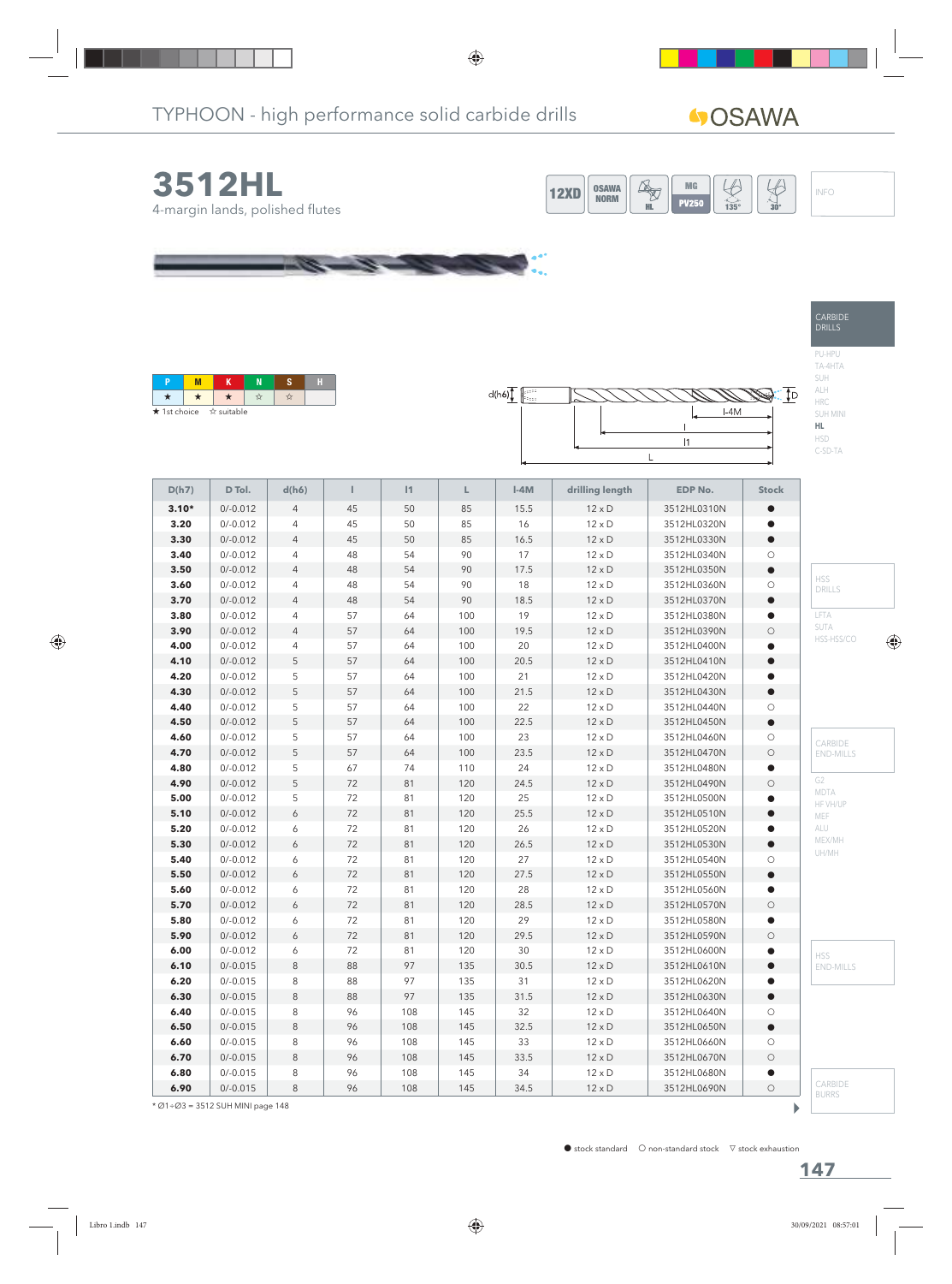

\* Ø1÷Ø3 = 3512 SUH MINI page 148

b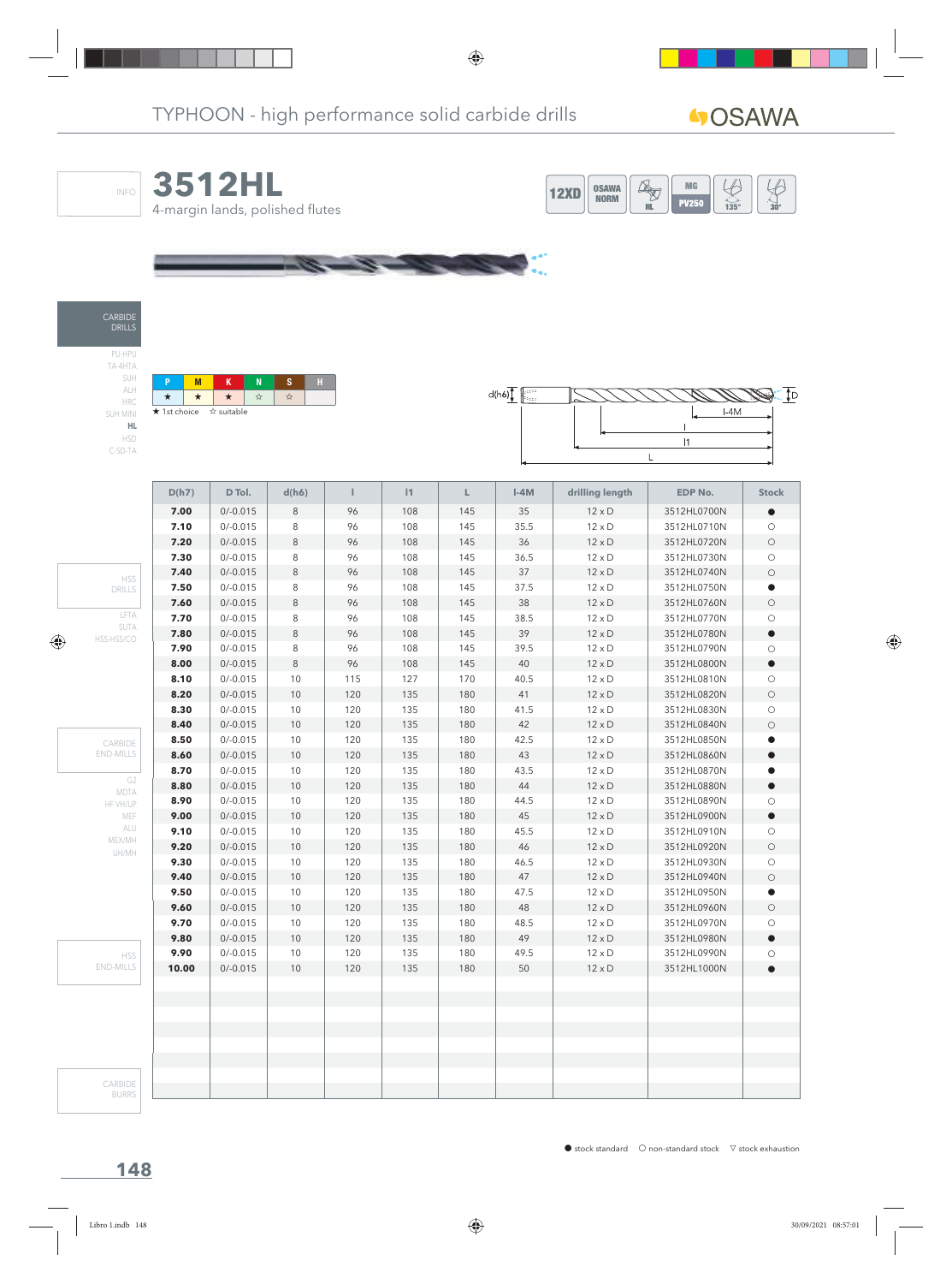

CARBIDE BURRS

 $\bullet$  stock standard  $\circ$  non-standard stock  $\triangledown$  stock exhaustion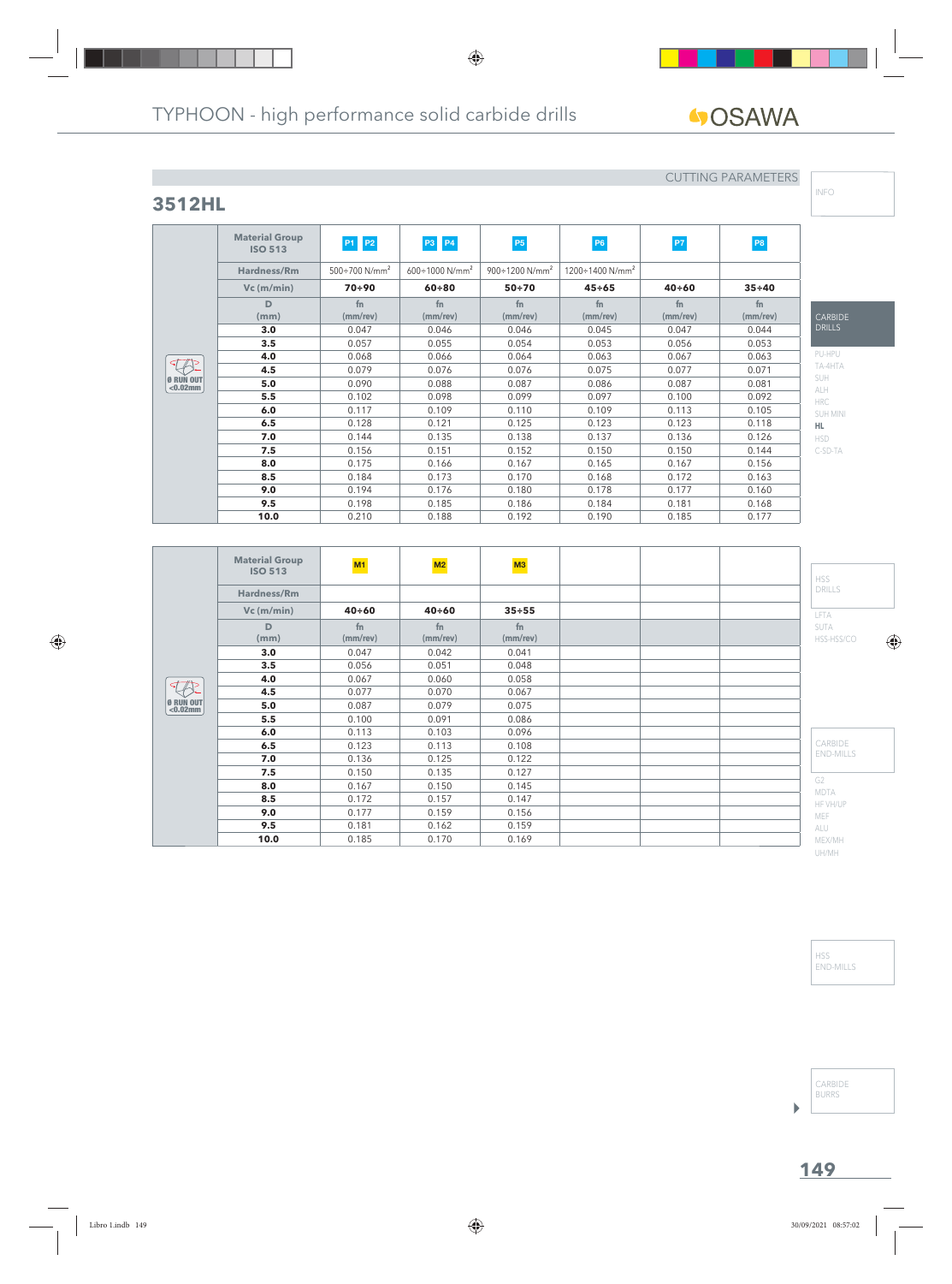**fn (mm/rev)**

# **40SAWA**

## **3512HL**

**Material Group**

**D (mm)**

Ø RUN OUT <0.02mm

## CUTTING PARAMETERS

**fn (mm/rev)**

**fn (mm/rev)** INFO

| (ːARBII)E<br><b>DRILLS</b> |
|----------------------------|
| PU-HPU                     |
| TA-4HTA                    |
| SUH                        |
| <b>ALH</b>                 |
| <b>HRC</b>                 |
| SUH MINI                   |
| HL.                        |
| HSD                        |
| C-SD-TA                    |

|                                                                                                 | <b>Material Group</b><br><b>ISO 513</b> | M1                         | M2                         | M3             |  | <b>HSS</b>                    |
|-------------------------------------------------------------------------------------------------|-----------------------------------------|----------------------------|----------------------------|----------------|--|-------------------------------|
|                                                                                                 | Hardness/Rm                             |                            |                            |                |  | <b>DRILLS</b>                 |
|                                                                                                 | $Vc$ (m/min)                            | $40 + 60$                  | $40 + 60$                  | $35 + 55$      |  | LFTA                          |
|                                                                                                 | D<br>(mm)                               | f <sub>n</sub><br>(mm/rev) | f <sub>n</sub><br>(mm/rev) | fn<br>(mm/rev) |  | <b>SUTA</b><br>HSS-HSS/CO     |
|                                                                                                 | 3.0                                     | 0.047                      | 0.042                      | 0.041          |  |                               |
|                                                                                                 | 3.5                                     | 0.056                      | 0.051                      | 0.048          |  |                               |
|                                                                                                 | 4.0                                     | 0.067                      | 0.060                      | 0.058          |  |                               |
|                                                                                                 | 4.5                                     | 0.077                      | 0.070                      | 0.067          |  |                               |
| $\left  \begin{smallmatrix} 0 & \text{RUN} \\ \text{<}0.02 \text{mm} \end{smallmatrix} \right $ | 5.0                                     | 0.087                      | 0.079                      | 0.075          |  |                               |
|                                                                                                 | 5.5                                     | 0.100                      | 0.091                      | 0.086          |  |                               |
|                                                                                                 | 6.0                                     | 0.113                      | 0.103                      | 0.096          |  |                               |
|                                                                                                 | 6.5                                     | 0.123                      | 0.113                      | 0.108          |  | CARBIDE                       |
|                                                                                                 | 7.0                                     | 0.136                      | 0.125                      | 0.122          |  | <b>END-MILLS</b>              |
|                                                                                                 | 7.5                                     | 0.150                      | 0.135                      | 0.127          |  |                               |
|                                                                                                 | 8.0                                     | 0.167                      | 0.150                      | 0.145          |  | G <sub>2</sub><br><b>MDTA</b> |
|                                                                                                 | 8.5                                     | 0.172                      | 0.157                      | 0.147          |  | HF VH/UP                      |
|                                                                                                 | 9.0                                     | 0.177                      | 0.159                      | 0.156          |  | MEF                           |
|                                                                                                 | 9.5                                     | 0.181                      | 0.162                      | 0.159          |  | ALU                           |
|                                                                                                 | 10.0                                    | 0.185                      | 0.170                      | 0.169          |  | MEX/MH                        |

**ISO 513 P1 P2 P3 P4 P5 P5 P6 P7 P7 P8** 

**Vc (m/min) 70÷90 60÷80 50÷70 45÷65 40÷60 35÷40**

**fn (mm/rev)**

**3.0** | 0.047 | 0.046 | 0.046 | 0.045 | 0.047 | 0.044 **3.5** | 0.057 | 0.055 | 0.054 | 0.053 | 0.056 | 0.053 **4.0** 0.068 0.066 0.064 0.063 0.067 0.063 **4.5** 0.079 0.076 0.076 0.075 0.077 0.071 **5.0** | 0.090 | 0.088 | 0.087 | 0.086 | 0.087 | 0.081 **5.5** 1 0.102 1 0.098 1 0.099 1 0.097 1 0.100 1 0.092 **6.0** | 0.117 | 0.109 | 0.110 | 0.109 | 0.113 | 0.105 **6.5** | 0.128 | 0.121 | 0.125 | 0.123 | 0.123 | 0.118 **7.0** | 0.144 | 0.135 | 0.138 | 0.137 | 0.136 | 0.126 **7.5** 0.156 0.151 0.152 0.150 0.150 0.144 **8.0** | 0.175 | 0.166 | 0.167 | 0.165 | 0.167 | 0.156 **8.5** 0.184 0.173 0.170 0.168 0.172 0.163 **9.0** | 0.194 | 0.176 | 0.180 | 0.178 | 0.177 | 0.160 **9.5** 0.198 0.185 0.186 0.184 0.181 0.168 **10.0** | 0.210 | 0.188 | 0.192 | 0.190 | 0.185 | 0.177

**fn (mm/rev)**

**Hardness/Rm** 500÷700 N/mm<sup>2</sup> 600÷1000 N/mm<sup>2</sup> 900÷1200 N/mm<sup>2</sup> 1200÷1400 N/mm<sup>2</sup>

**fn (mm/rev)**

> HSS END-MILLS

UH/MH

CARBIDE BURRS

**149**

 $\blacktriangleright$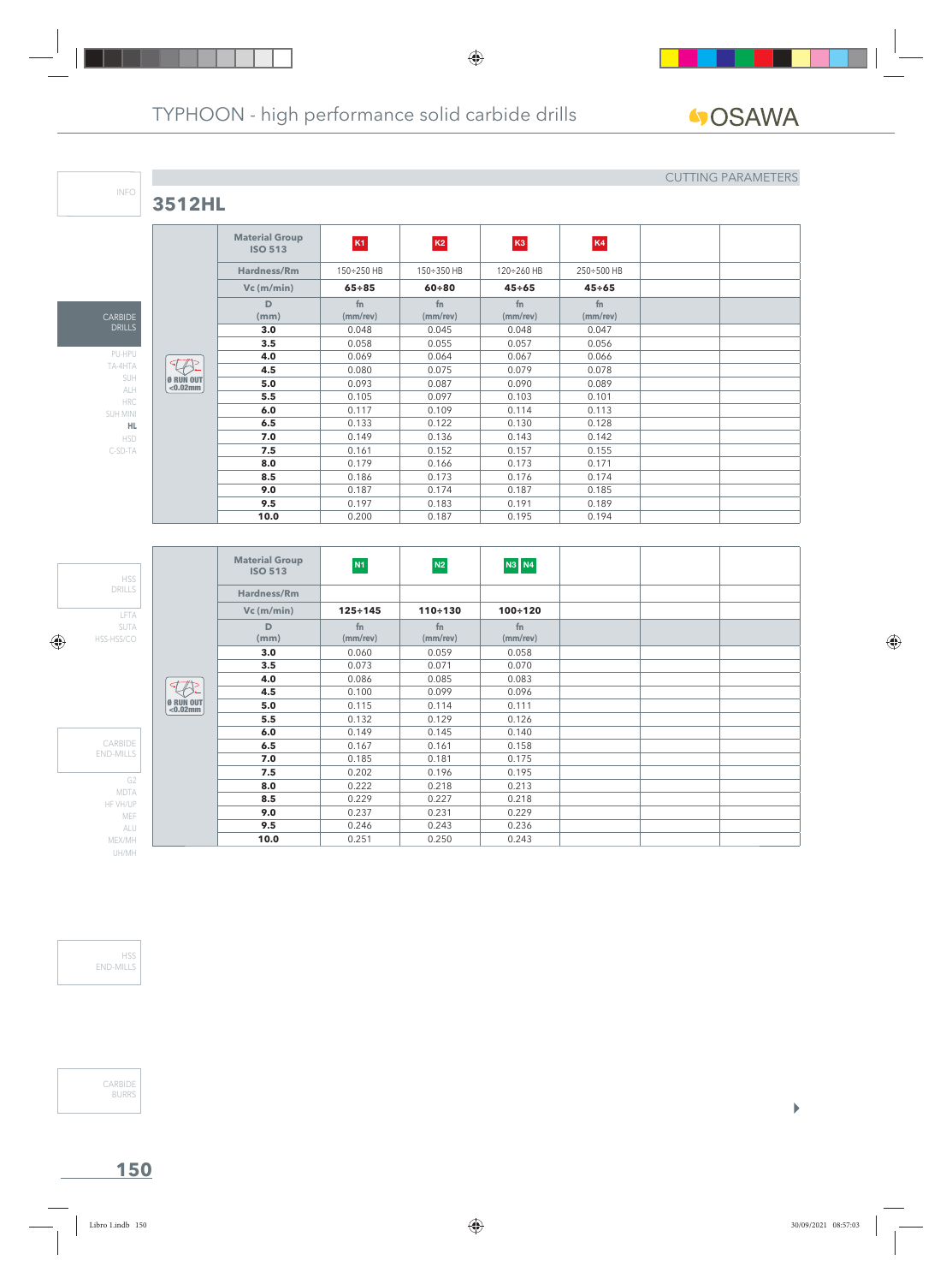**3512HL**

CARBIDE DRILLS

INFO

PU-HPU TA-4HTA SUH ALH HRC SUH MINI **HL** HSD C-SD-TA

### CUTTING PARAMETERS

 $\begin{array}{c} \hline \end{array}$ 

|                                 | <b>Material Group</b><br><b>ISO 513</b> | K1                   | K2             | K <sub>3</sub> | K4             |  |
|---------------------------------|-----------------------------------------|----------------------|----------------|----------------|----------------|--|
|                                 | Hardness/Rm                             | 150÷250 HB           | 150÷350 HB     | 120÷260 HB     | 250÷500 HB     |  |
|                                 | $Vc$ (m/min)                            | $65 + 85$            | $60 + 80$      | $45 \div 65$   | $45 \div 65$   |  |
|                                 | D<br>(mm)                               | fn<br>$(mm$ /rev $)$ | fn<br>(mm/rev) | fn<br>(mm/rev) | fn<br>(mm/rev) |  |
|                                 | 3.0                                     | 0.048                | 0.045          | 0.048          | 0.047          |  |
|                                 | 3.5                                     | 0.058                | 0.055          | 0.057          | 0.056          |  |
|                                 | 4.0                                     | 0.069                | 0.064          | 0.067          | 0.066          |  |
|                                 | 4.5                                     | 0.080                | 0.075          | 0.079          | 0.078          |  |
| <b>Ø RUN OUT</b><br>$< 0.02$ mm | 5.0                                     | 0.093                | 0.087          | 0.090          | 0.089          |  |
|                                 | 5.5                                     | 0.105                | 0.097          | 0.103          | 0.101          |  |
|                                 | 6.0                                     | 0.117                | 0.109          | 0.114          | 0.113          |  |
|                                 | 6.5                                     | 0.133                | 0.122          | 0.130          | 0.128          |  |
|                                 | 7.0                                     | 0.149                | 0.136          | 0.143          | 0.142          |  |
|                                 | 7.5                                     | 0.161                | 0.152          | 0.157          | 0.155          |  |
|                                 | 8.0                                     | 0.179                | 0.166          | 0.173          | 0.171          |  |
|                                 | 8.5                                     | 0.186                | 0.173          | 0.176          | 0.174          |  |
|                                 | 9.0                                     | 0.187                | 0.174          | 0.187          | 0.185          |  |
|                                 | 9.5                                     | 0.197                | 0.183          | 0.191          | 0.189          |  |
|                                 | 10.0                                    | 0.200                | 0.187          | 0.195          | 0.194          |  |

LFTA SUTA HSS-HSS/CO HSS DRILLS G2 MDTA HF VH/UP MEF ALU MEX/MH UH/MH CARBIDE END-MILLS Ø RUN OUT <0.02mm **Material Group ISO 513 N1 N2 N3 N4 Hardness/Rm Vc (m/min) 125÷145 110÷130 100÷120 D (mm) fn (mm/rev) fn (mm/rev) fn (mm/rev) 3.0** 0.060 0.059 0.058 **3.5**  $\vert$  0.073  $\vert$  0.071  $\vert$  0.070 **4.0** 0.086 0.085 0.083 **4.5** 0.100 0.099 0.096 **5.0** 0.115 0.114 0.111 **5.5** 0.132 0.129 0.126 **6.0** 0.149 0.145 0.140 **6.5** 0.167 0.161 0.158<br>**7.0** 0.185 0.181 0.175 **7.0** 0.185 0.181 0.175 **7.5** 0.202 0.196 0.195 **8.0** 0.222 0.218 0.213 **8.5** 0.229 0.227 0.218<br>**9.0** 0.237 0.231 0.229 **9.0**  $0.237$   $0.231$   $0.229$ **9.5** 0.246 0.243 0.236 **10.0** 0.251 0.250 0.243

HSS END-MILLS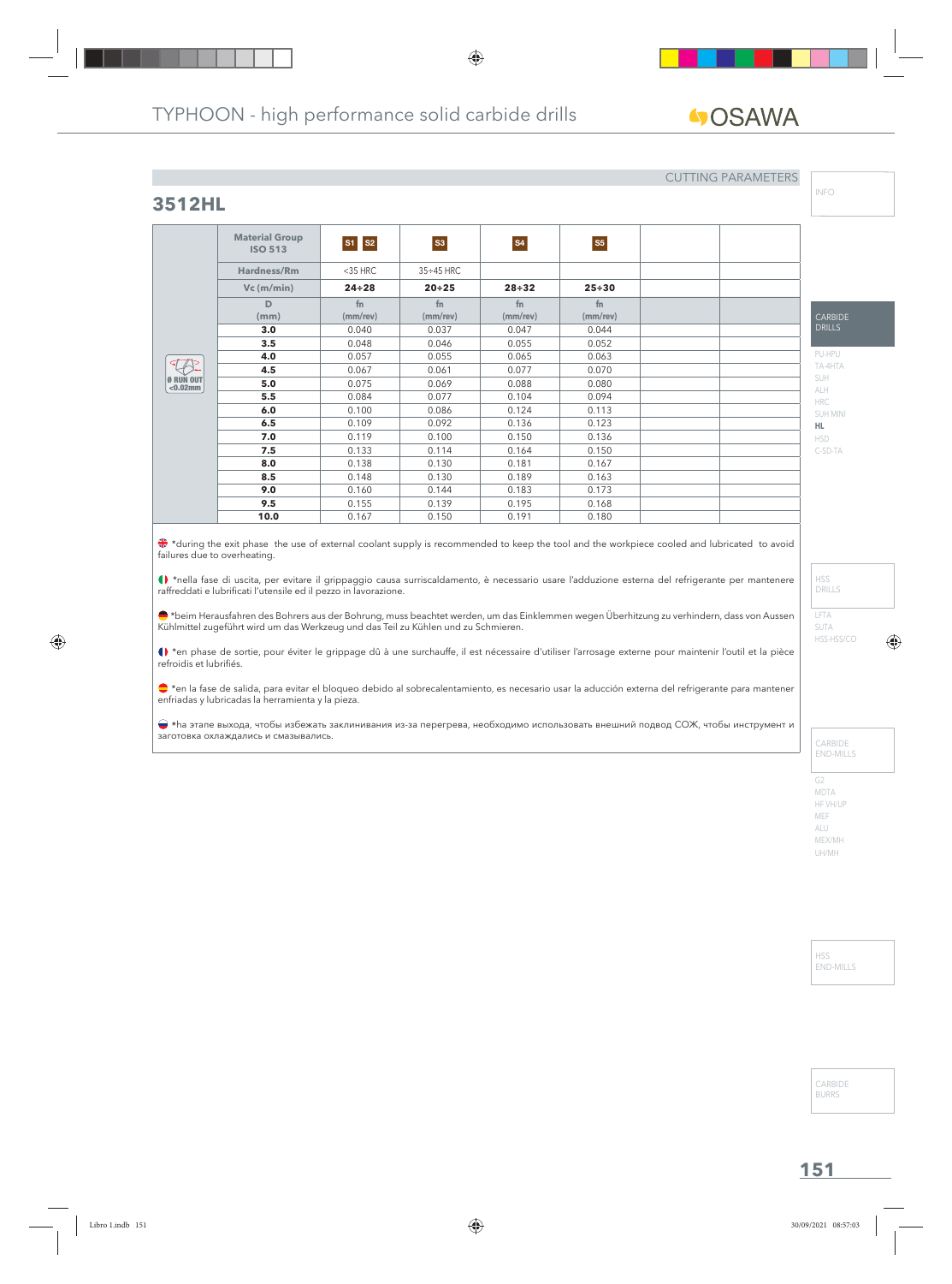# **GOSAWA**

#### CUTTING PARAMETERS

## **3512HL**

|                          | <b>Material Group</b><br><b>ISO 513</b> | S1 S2                | S3                   | <b>S4</b>            | <b>S5</b>            |  |
|--------------------------|-----------------------------------------|----------------------|----------------------|----------------------|----------------------|--|
|                          | Hardness/Rm                             | $<$ 35 HRC           | $35 \div 45$ HRC     |                      |                      |  |
|                          | $Vc$ (m/min)                            | $24 \div 28$         | $20 + 25$            | $28 + 32$            | $25 + 30$            |  |
|                          | D<br>(mm)                               | fn<br>$(mm$ /rev $)$ | fn<br>$(mm$ /rev $)$ | fn<br>$(mm$ /rev $)$ | fn<br>$(mm$ /rev $)$ |  |
|                          | 3.0                                     | 0.040                | 0.037                | 0.047                | 0.044                |  |
|                          | 3.5                                     | 0.048                | 0.046                | 0.055                | 0.052                |  |
|                          | 4.0                                     | 0.057                | 0.055                | 0.065                | 0.063                |  |
|                          | 4.5                                     | 0.067                | 0.061                | 0.077                | 0.070                |  |
| Ø RUN OUT<br>$< 0.02$ mm | 5.0                                     | 0.075                | 0.069                | 0.088                | 0.080                |  |
|                          | 5.5                                     | 0.084                | 0.077                | 0.104                | 0.094                |  |
|                          | 6.0                                     | 0.100                | 0.086                | 0.124                | 0.113                |  |
|                          | 6.5                                     | 0.109                | 0.092                | 0.136                | 0.123                |  |
|                          | 7.0                                     | 0.119                | 0.100                | 0.150                | 0.136                |  |
|                          | 7.5                                     | 0.133                | 0.114                | 0.164                | 0.150                |  |
|                          | 8.0                                     | 0.138                | 0.130                | 0.181                | 0.167                |  |
|                          | 8.5                                     | 0.148                | 0.130                | 0.189                | 0.163                |  |
|                          | 9.0                                     | 0.160                | 0.144                | 0.183                | 0.173                |  |
|                          | 9.5                                     | 0.155                | 0.139                | 0.195                | 0.168                |  |
|                          | 10.0                                    | 0.167                | 0.150                | 0.191                | 0.180                |  |

 \*during the exit phase the use of external coolant supply is recommended to keep the tool and the workpiece cooled and lubricated to avoid failures due to overheating.

\*nella fase di uscita, per evitare il grippaggio causa surriscaldamento, è necessario usare l'adduzione esterna del refrigerante per mantenere raffreddati e lubrificati l'utensile ed il pezzo in lavorazione.

\*beim Herausfahren des Bohrers aus der Bohrung, muss beachtet werden, um das Einklemmen wegen Überhitzung zu verhindern, dass von Aussen Kühlmittel zugeführt wird um das Werkzeug und das Teil zu Kühlen und zu Schmieren.

() \*en phase de sortie, pour éviter le grippage dû à une surchauffe, il est nécessaire d'utiliser l'arrosage externe pour maintenir l'outil et la pièce refroidis et lubrifiés.

\*en la fase de salida, para evitar el bloqueo debido al sobrecalentamiento, es necesario usar la aducción externa del refrigerante para mantener enfriadas y lubricadas la herramienta y la pieza.

 \*hа этапе выхода, чтобы избежать заклинивания из-за перегрева, необходимо использовать внешний подвод СОЖ, чтобы инструмент и заготовка охлаждались и смазывались.

INFO

C-SD-TA

LFTA SUTA HSS-HSS/CO

HSS DRILLS

CARBIDE END-MILLS

G2 MDTA HF VH/UP MEF ALU MEX/MH UH/MH

> HSS END-MILLS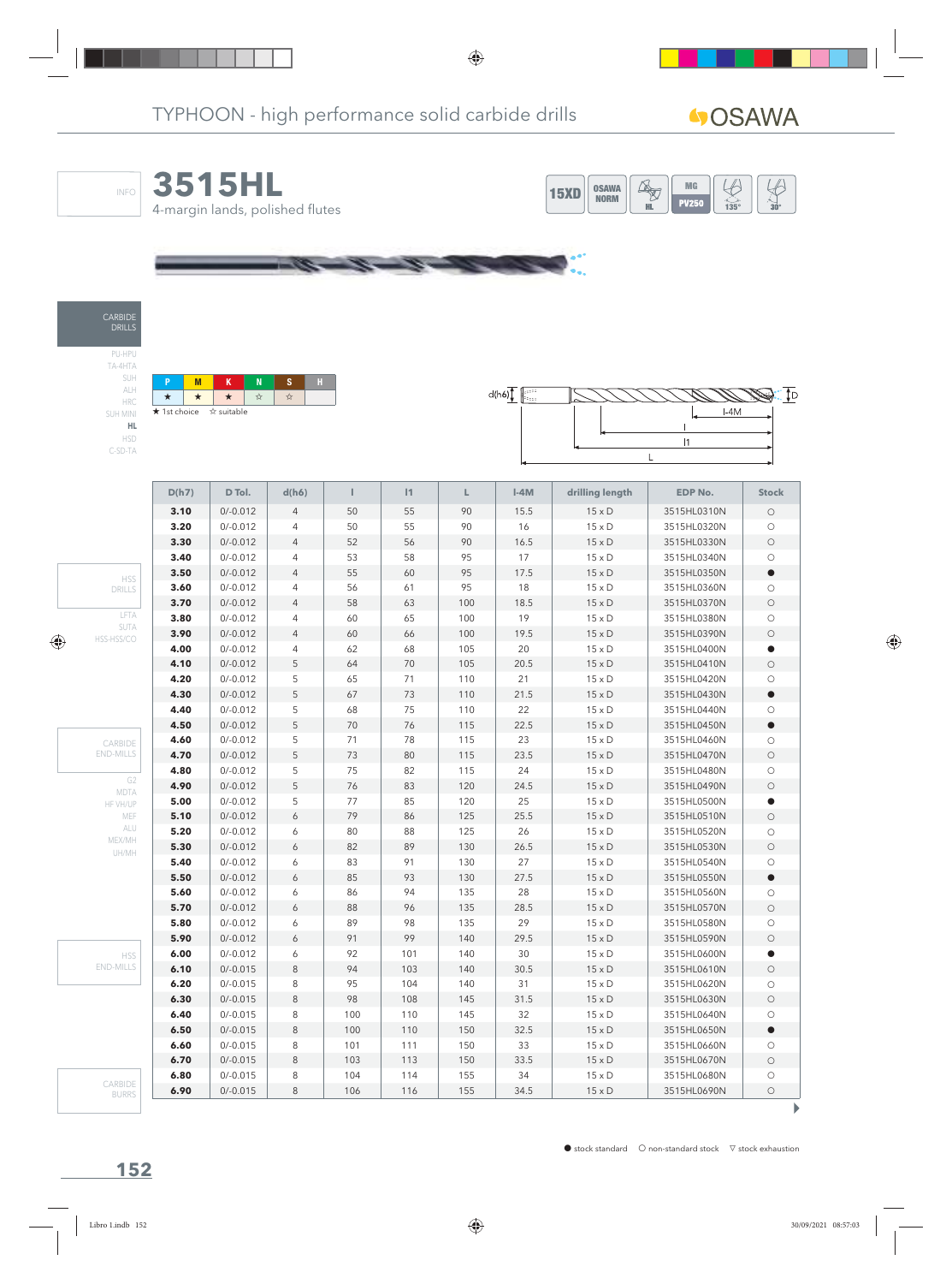

١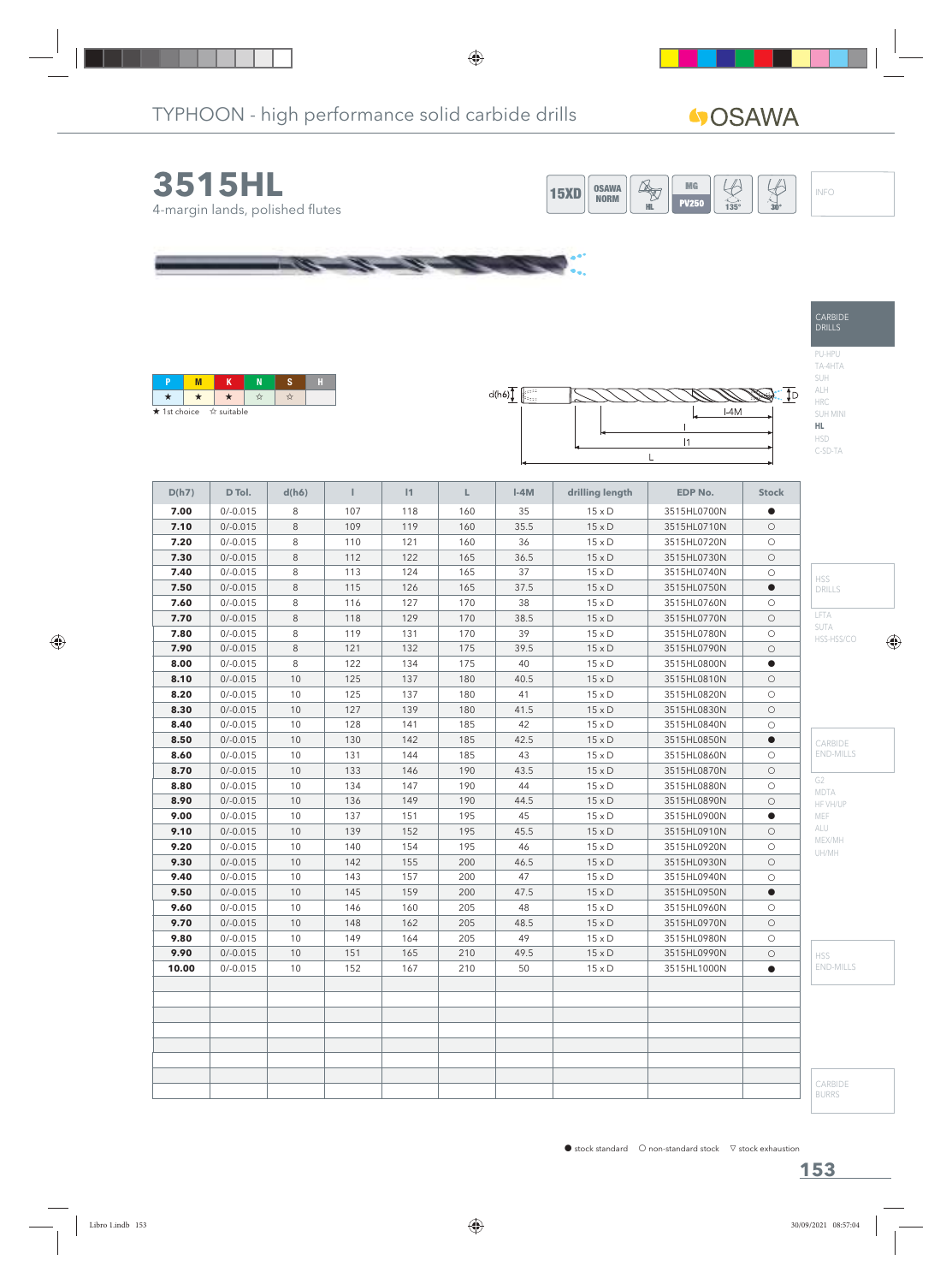# **40SAWA**



| <b>★</b> 1st choice ☆ suitable |  |  |  |
|--------------------------------|--|--|--|



| D(h7) | D Tol.     | d(h6)   | Т   | 1   | L   | $I-4M$ | drilling length | <b>EDP No.</b> | <b>Stock</b> |                         |
|-------|------------|---------|-----|-----|-----|--------|-----------------|----------------|--------------|-------------------------|
| 7.00  | $0/-0.015$ | 8       | 107 | 118 | 160 | 35     | $15 \times D$   | 3515HL0700N    | $\bullet$    |                         |
| 7.10  | $0/-0.015$ | 8       | 109 | 119 | 160 | 35.5   | $15 \times D$   | 3515HL0710N    | $\bigcirc$   |                         |
| 7.20  | $0/-0.015$ | 8       | 110 | 121 | 160 | 36     | $15 \times D$   | 3515HL0720N    | $\circ$      |                         |
| 7.30  | $0/-0.015$ | 8       | 112 | 122 | 165 | 36.5   | $15 \times D$   | 3515HL0730N    | $\circ$      |                         |
| 7.40  | $0/-0.015$ | 8       | 113 | 124 | 165 | 37     | $15 \times D$   | 3515HL0740N    | $\bigcirc$   | <b>HSS</b>              |
| 7.50  | $0/-0.015$ | $\,8\,$ | 115 | 126 | 165 | 37.5   | $15 \times D$   | 3515HL0750N    |              | DRILLS                  |
| 7.60  | $0/-0.015$ | 8       | 116 | 127 | 170 | 38     | $15 \times D$   | 3515HL0760N    | $\circ$      |                         |
| 7.70  | $0/-0.015$ | 8       | 118 | 129 | 170 | 38.5   | $15 \times D$   | 3515HL0770N    | $\circ$      | LFTA                    |
| 7.80  | $0/-0.015$ | 8       | 119 | 131 | 170 | 39     | $15 \times D$   | 3515HL0780N    | $\circ$      | SUTA<br>HSS-HSS/CO      |
| 7.90  | $0/-0.015$ | 8       | 121 | 132 | 175 | 39.5   | $15 \times D$   | 3515HL0790N    | $\circ$      |                         |
| 8.00  | $0/-0.015$ | 8       | 122 | 134 | 175 | 40     | $15 \times D$   | 3515HL0800N    | $\bullet$    |                         |
| 8.10  | $0/-0.015$ | 10      | 125 | 137 | 180 | 40.5   | $15 \times D$   | 3515HL0810N    | $\circ$      |                         |
| 8.20  | $0/-0.015$ | 10      | 125 | 137 | 180 | 41     | $15 \times D$   | 3515HL0820N    | $\circ$      |                         |
| 8.30  | $0/-0.015$ | 10      | 127 | 139 | 180 | 41.5   | $15 \times D$   | 3515HL0830N    | $\circ$      |                         |
| 8.40  | $0/-0.015$ | 10      | 128 | 141 | 185 | 42     | $15 \times D$   | 3515HL0840N    | $\circ$      |                         |
| 8.50  | $0/-0.015$ | 10      | 130 | 142 | 185 | 42.5   | $15 \times D$   | 3515HL0850N    | $\bullet$    | CARBIDE                 |
| 8.60  | $0/-0.015$ | 10      | 131 | 144 | 185 | 43     | $15 \times D$   | 3515HL0860N    | $\circ$      | <b>END-MILLS</b>        |
| 8.70  | $0/-0.015$ | 10      | 133 | 146 | 190 | 43.5   | $15 \times D$   | 3515HL0870N    | $\bigcirc$   |                         |
| 8.80  | $0/-0.015$ | 10      | 134 | 147 | 190 | 44     | $15 \times D$   | 3515HL0880N    | $\circ$      | G <sub>2</sub>          |
| 8.90  | $0/-0.015$ | 10      | 136 | 149 | 190 | 44.5   | $15 \times D$   | 3515HL0890N    | $\circ$      | MDTA<br>HF VH/UP        |
| 9.00  | $0/-0.015$ | 10      | 137 | 151 | 195 | 45     | $15 \times D$   | 3515HL0900N    | $\bullet$    | MEF                     |
| 9.10  | $0/-0.015$ | 10      | 139 | 152 | 195 | 45.5   | $15 \times D$   | 3515HL0910N    | $\circ$      | ALU                     |
| 9.20  | $0/-0.015$ | 10      | 140 | 154 | 195 | 46     | $15 \times D$   | 3515HL0920N    | $\circ$      | MEX/MH                  |
| 9.30  | $0/-0.015$ | 10      | 142 | 155 | 200 | 46.5   | $15 \times D$   | 3515HL0930N    | $\circ$      | UH/MH                   |
| 9.40  | $0/-0.015$ | 10      | 143 | 157 | 200 | 47     | $15 \times D$   | 3515HL0940N    | $\circ$      |                         |
| 9.50  | $0/-0.015$ | 10      | 145 | 159 | 200 | 47.5   | $15 \times D$   | 3515HL0950N    | $\bullet$    |                         |
| 9.60  | $0/-0.015$ | 10      | 146 | 160 | 205 | 48     | $15 \times D$   | 3515HL0960N    | $\circ$      |                         |
| 9.70  | $0/-0.015$ | 10      | 148 | 162 | 205 | 48.5   | $15 \times D$   | 3515HL0970N    | $\circ$      |                         |
| 9.80  | $0/-0.015$ | 10      | 149 | 164 | 205 | 49     | $15 \times D$   | 3515HL0980N    | $\circ$      |                         |
| 9.90  | $0/-0.015$ | 10      | 151 | 165 | 210 | 49.5   | $15\times D$    | 3515HL0990N    | $\bigcirc$   | <b>HSS</b>              |
| 10.00 | $0/-0.015$ | 10      | 152 | 167 | 210 | 50     | $15 \times D$   | 3515HL1000N    | $\bullet$    | <b>END-MILLS</b>        |
|       |            |         |     |     |     |        |                 |                |              |                         |
|       |            |         |     |     |     |        |                 |                |              | CARBIDE<br><b>BURRS</b> |

CARBIDE DRILLS

PU-HPU TA-4HTA SUH ALH HRC SUH MINI **HL** HSD C-SD-TA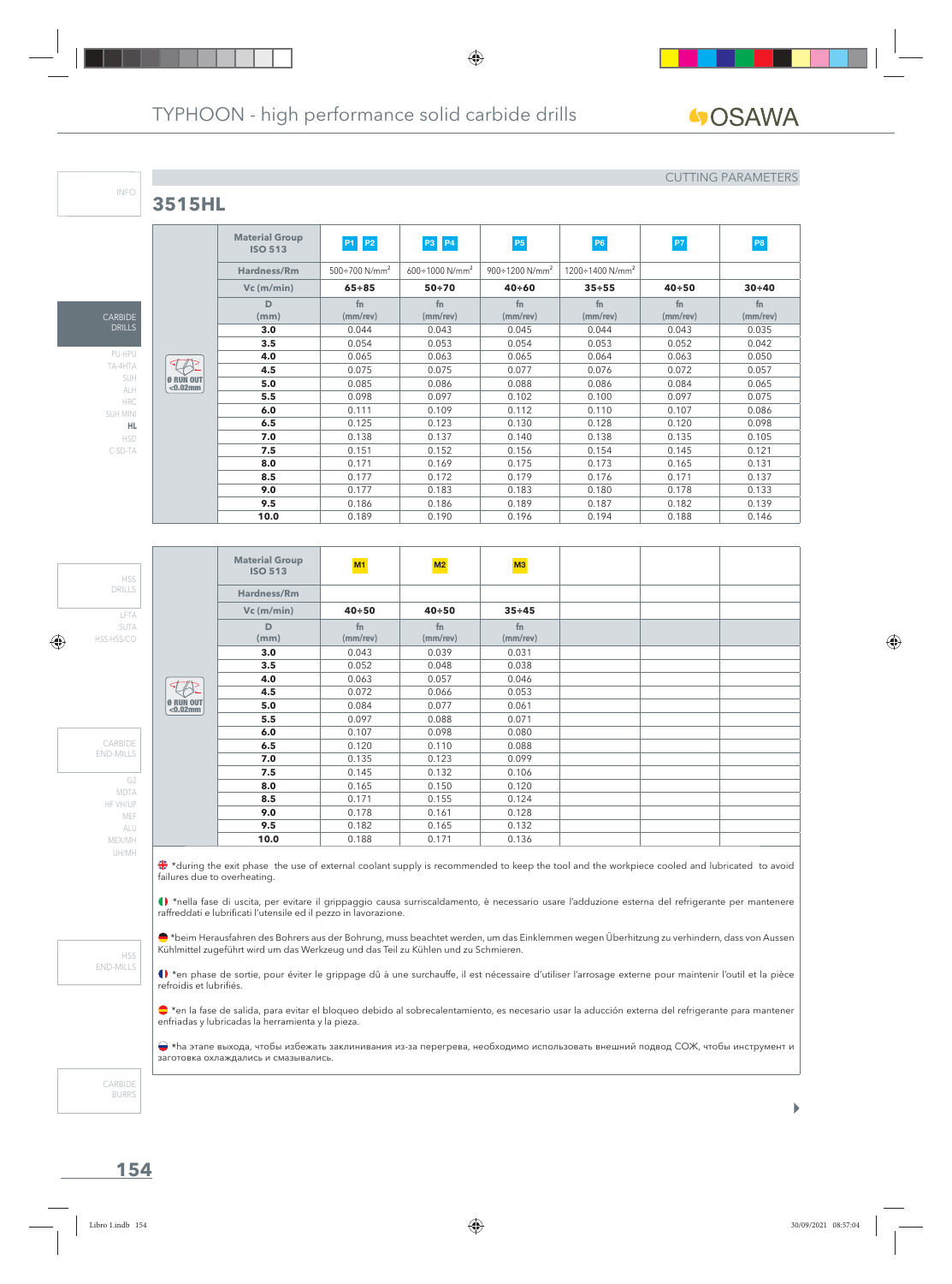## **3515HL**

CAR DRILLS PU-HPU TA-4HTA SUH ALH HRC SUH MINI **HL** HSD C-SD-TA

INFO

#### CUTTING PARAMETERS

|                          | <b>Material Group</b><br><b>ISO 513</b> | P1 P2                            | <b>P3 P4</b>                   | P <sub>5</sub>                    | P <sub>6</sub>                     | P7             | P <sub>8</sub> |
|--------------------------|-----------------------------------------|----------------------------------|--------------------------------|-----------------------------------|------------------------------------|----------------|----------------|
|                          | <b>Hardness/Rm</b>                      | $500 \div 700$ N/mm <sup>2</sup> | $600 \div 1000 \text{ N/mm}^2$ | $900 \div 1200$ N/mm <sup>2</sup> | $1200 \div 1400$ N/mm <sup>2</sup> |                |                |
|                          | $Vc$ (m/min)                            | $65 + 85$                        | $50 + 70$                      | $40 + 60$                         | $35 + 55$                          | $40 + 50$      | $30 + 40$      |
|                          | D                                       | fn                               | fn                             | fn.                               | fn                                 | fn             | fn             |
|                          | (mm)                                    | $(mm$ /rev $)$                   | $(mm$ /rev $)$                 | (mm/rev)                          | $(mm$ /rev $)$                     | $(mm$ /rev $)$ | (mm/rev)       |
|                          | 3.0                                     | 0.044                            | 0.043                          | 0.045                             | 0.044                              | 0.043          | 0.035          |
|                          | 3.5                                     | 0.054                            | 0.053                          | 0.054                             | 0.053                              | 0.052          | 0.042          |
| ⊲7                       | 4.0                                     | 0.065                            | 0.063                          | 0.065                             | 0.064                              | 0.063          | 0.050          |
|                          | 4.5                                     | 0.075                            | 0.075                          | 0.077                             | 0.076                              | 0.072          | 0.057          |
| Ø RUN OUT<br>$< 0.02$ mm | 5.0                                     | 0.085                            | 0.086                          | 0.088                             | 0.086                              | 0.084          | 0.065          |
|                          | 5.5                                     | 0.098                            | 0.097                          | 0.102                             | 0.100                              | 0.097          | 0.075          |
|                          | 6.0                                     | 0.111                            | 0.109                          | 0.112                             | 0.110                              | 0.107          | 0.086          |
|                          | 6.5                                     | 0.125                            | 0.123                          | 0.130                             | 0.128                              | 0.120          | 0.098          |
|                          | 7.0                                     | 0.138                            | 0.137                          | 0.140                             | 0.138                              | 0.135          | 0.105          |
|                          | 7.5                                     | 0.151                            | 0.152                          | 0.156                             | 0.154                              | 0.145          | 0.121          |
|                          | 8.0                                     | 0.171                            | 0.169                          | 0.175                             | 0.173                              | 0.165          | 0.131          |
|                          | 8.5                                     | 0.177                            | 0.172                          | 0.179                             | 0.176                              | 0.171          | 0.137          |
|                          | 9.0                                     | 0.177                            | 0.183                          | 0.183                             | 0.180                              | 0.178          | 0.133          |
|                          | 9.5                                     | 0.186                            | 0.186                          | 0.189                             | 0.187                              | 0.182          | 0.139          |
|                          | 10.0                                    | 0.189                            | 0.190                          | 0.196                             | 0.194                              | 0.188          | 0.146          |

**Material Group ISO 513 M1 M2 M3 Hardness/Rm Vc (m/min) 40÷50 40÷50 35÷45 D fn fn fn (mm) (mm/rev) (mm/rev) (mm/rev) 3.0** 0.043 0.039 0.031 **3.5** 0.052 0.048 0.038 **4.0** 0.063 0.057 0.046  $\overline{\mathcal{L}}$ **4.5** 0.072 0.066 0.053 Ø RUN OUT <0.02mm **5.0** 0.084 0.077 0.061 **5.5** 0.097 0.088 0.071 **6.0** 0.107 0.098 0.080 **6.5** 0.120 0.110 0.088 **7.0** 0.135 0.123 0.099 **7.5** 0.145 0.132 0.106 **8.0** | 0.165 | 0.150 | 0.120 **8.5** 0.171 0.155 0.124 **9.0** 0.178 0.161 0.128 **9.5** 0.182 0.165 0.132 **10.0** 0.188 0.171 0.136

\*during the exit phase the use of external coolant supply is recommended to keep the tool and the workpiece cooled and lubricated to avoid failures due to overheating.

\*nella fase di uscita, per evitare il grippaggio causa surriscaldamento, è necessario usare l'adduzione esterna del refrigerante per mantenere raffreddati e lubrificati l'utensile ed il pezzo in lavorazione.

\*beim Herausfahren des Bohrers aus der Bohrung, muss beachtet werden, um das Einklemmen wegen Überhitzung zu verhindern, dass von Aussen Kühlmittel zugeführt wird um das Werkzeug und das Teil zu Kühlen und zu Schmieren.

() \*en phase de sortie, pour éviter le grippage dû à une surchauffe, il est nécessaire d'utiliser l'arrosage externe pour maintenir l'outil et la pièce refroidis et lubrifiés.

\*en la fase de salida, para evitar el bloqueo debido al sobrecalentamiento, es necesario usar la aducción externa del refrigerante para mantener enfriadas y lubricadas la herramienta y la pieza.

 \*hа этапе выхода, чтобы избежать заклинивания из-за перегрева, необходимо использовать внешний подвод СОЖ, чтобы инструмент и заготовка охлаждались и смазывались.

CARBIDE BURRS

UH/MH

HSS END-MILLS

LFTA SUTA HSS-HSS/CO

HSS DRILLS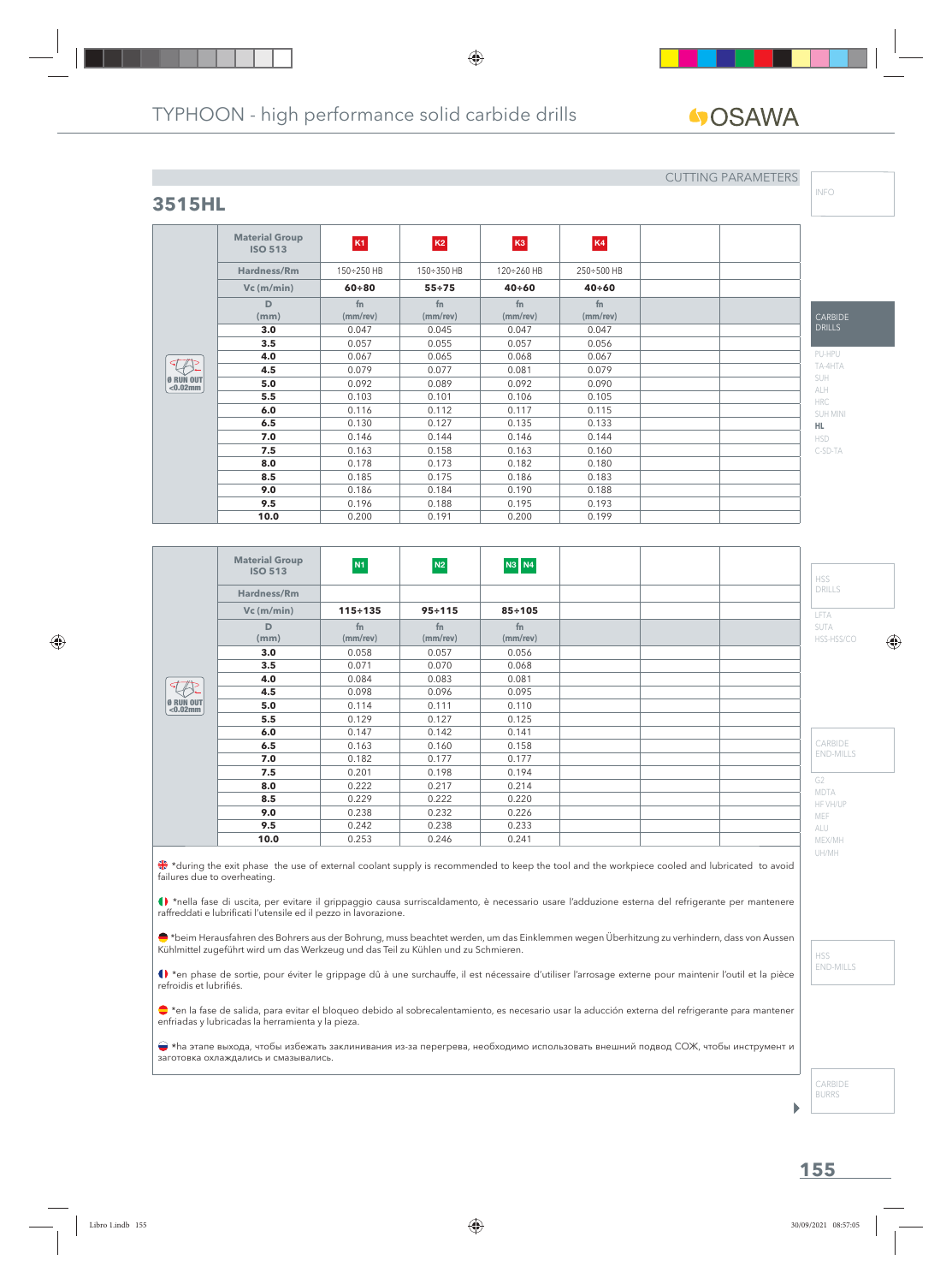**fn (mm/rev)**

**ISO 513 K1 K2 K3 K4 Hardness/Rm** 150÷250 HB 150÷350 HB 120÷260 HB 250÷500 HB **Vc (m/min) 60÷80 55÷75 40÷60 40÷60**

> **fn (mm/rev)**

**3.0** | 0.047 | 0.045 | 0.047 | 0.047 **3.5** 1 0.057 0.055 0.057 0.056 **4.0** 0.067 0.065 0.068 0.067 **4.5**  $\begin{array}{|c|c|c|c|c|c|} \hline \textbf{0.079} & \textbf{0.077} & \textbf{0.081} & \textbf{0.079} \hline \end{array}$ **5.0**  $\begin{array}{|c|c|c|c|c|} \hline \textbf{5.0} & \textbf{0.092} & \textbf{0.092} & \textbf{0.090} \ \hline \end{array}$ **5.5** 1 0.103 1 0.101 0.106 1 0.105 **6.0** | 0.116 | 0.112 | 0.117 | 0.115 **6.5** | 0.130 | 0.127 | 0.135 | 0.133 **7.0** 10.146 10.144 0.146 0.144 **7.5** | 0.163 | 0.158 | 0.163 | 0.160 **8.0** | 0.178 | 0.173 | 0.182 | 0.180 **8.5** | 0.185 | 0.175 | 0.186 | 0.183 **9.0**  $\begin{array}{|c|c|c|c|c|c|} \hline \textbf{9.186} & \textbf{0.184} & \textbf{0.190} & \textbf{0.188} \ \hline \end{array}$ **9.5** 0.196 0.188 0.195 0.193 **10.0** 0.200 0.191 0.200 0.199

**fn (mm/rev)**

**fn (mm/rev)**

# GOSAWA

## **3515HL**

**Material Group**

**D (mm)**

Ø RUN OUT <0.02mm

## CUTTING PARAMETERS

INFO

#### CARBIDE DRILLS PU-HPU TA-4HTA SUH ALH HRC SUH MINI **HL** HSD

C-SD-TA

|                             | <b>Material Group</b><br><b>ISO 513</b> | N1             | N2                   | <b>N3 N4</b>         |  | <b>HSS</b>                    |
|-----------------------------|-----------------------------------------|----------------|----------------------|----------------------|--|-------------------------------|
|                             | Hardness/Rm                             |                |                      |                      |  | <b>DRILLS</b>                 |
|                             | $Vc$ (m/min)                            | $115 \div 135$ | $95 \div 115$        | $85 + 105$           |  | LFTA                          |
|                             | D<br>(mm)                               | fn<br>(mm/rev) | fn<br>$(mm$ /rev $)$ | fn<br>$(mm$ /rev $)$ |  | <b>SUTA</b><br>HSS-HSS/CO     |
|                             | 3.0                                     | 0.058          | 0.057                | 0.056                |  |                               |
|                             | 3.5                                     | 0.071          | 0.070                | 0.068                |  |                               |
|                             | 4.0                                     | 0.084          | 0.083                | 0.081                |  |                               |
| TAP                         | 4.5                                     | 0.098          | 0.096                | 0.095                |  |                               |
| $\theta$ RUN OUT<br><0.02mm | 5.0                                     | 0.114          | 0.111                | 0.110                |  |                               |
|                             | 5.5                                     | 0.129          | 0.127                | 0.125                |  |                               |
|                             | 6.0                                     | 0.147          | 0.142                | 0.141                |  |                               |
|                             | 6.5                                     | 0.163          | 0.160                | 0.158                |  | CARBIDE                       |
|                             | 7.0                                     | 0.182          | 0.177                | 0.177                |  | <b>END-MILLS</b>              |
|                             | 7.5                                     | 0.201          | 0.198                | 0.194                |  |                               |
|                             | 8.0                                     | 0.222          | 0.217                | 0.214                |  | G <sub>2</sub><br><b>MDTA</b> |
|                             | 8.5                                     | 0.229          | 0.222                | 0.220                |  | HF VH/UP                      |
|                             | 9.0                                     | 0.238          | 0.232                | 0.226                |  | MEF                           |
|                             | 9.5                                     | 0.242          | 0.238                | 0.233                |  | ALU                           |
|                             | 10.0                                    | 0.253          | 0.246                | 0.241                |  | MEX/MH                        |

\*during the exit phase the use of external coolant supply is recommended to keep the tool and the workpiece cooled and lubricated to avoid failures due to overheating.

\*nella fase di uscita, per evitare il grippaggio causa surriscaldamento, è necessario usare l'adduzione esterna del refrigerante per mantenere raffreddati e lubrificati l'utensile ed il pezzo in lavorazione.

\*beim Herausfahren des Bohrers aus der Bohrung, muss beachtet werden, um das Einklemmen wegen Überhitzung zu verhindern, dass von Aussen Kühlmittel zugeführt wird um das Werkzeug und das Teil zu Kühlen und zu Schmieren.

() \*en phase de sortie, pour éviter le grippage dû à une surchauffe, il est nécessaire d'utiliser l'arrosage externe pour maintenir l'outil et la pièce refroidis et lubrifiés.

\*en la fase de salida, para evitar el bloqueo debido al sobrecalentamiento, es necesario usar la aducción externa del refrigerante para mantener enfriadas y lubricadas la herramienta y la pieza.

 \*hа этапе выхода, чтобы избежать заклинивания из-за перегрева, необходимо использовать внешний подвод СОЖ, чтобы инструмент и заготовка охлаждались и смазывались.

UH/MH

CARBIDE BURRS

b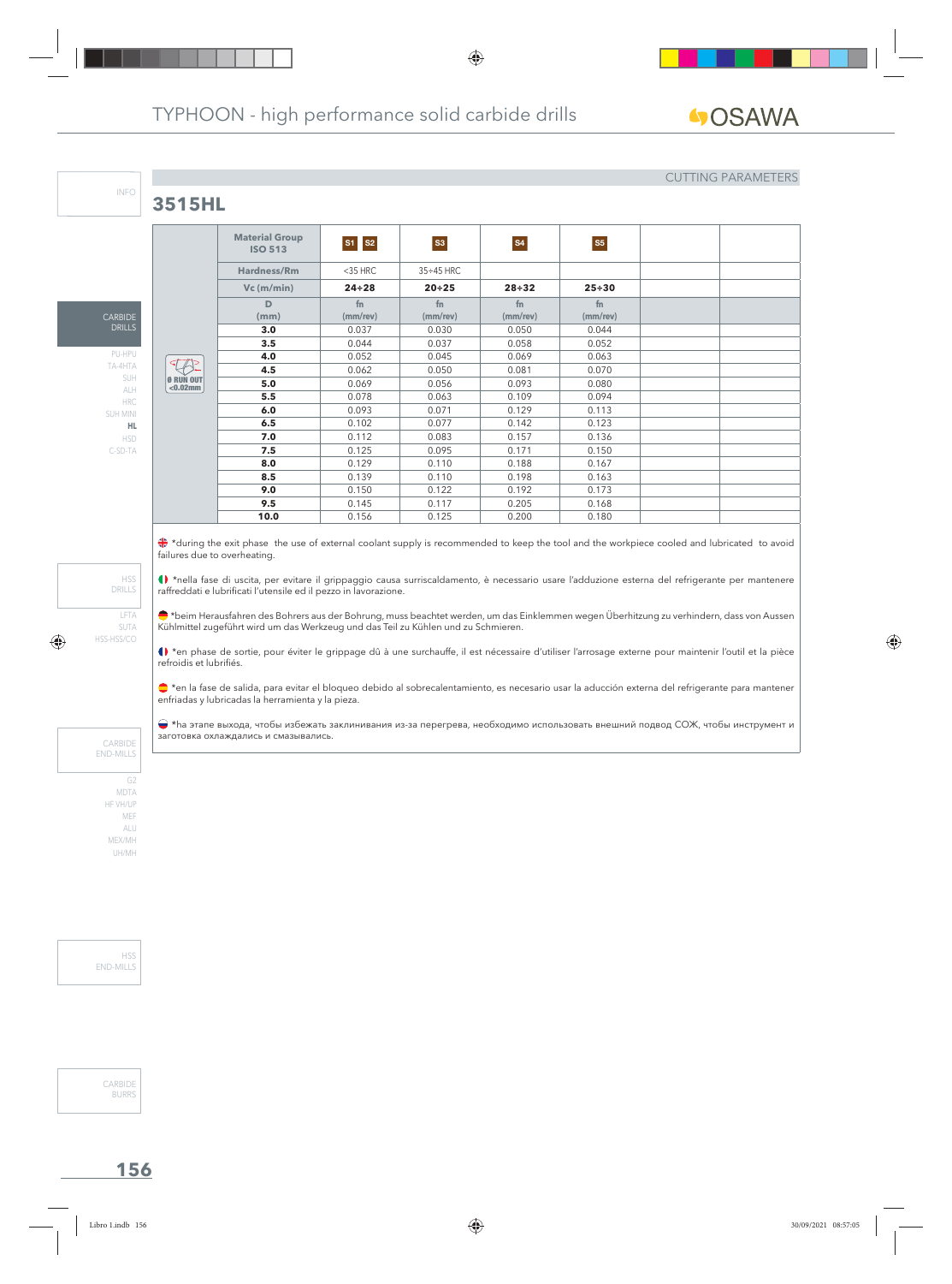## **3515HL**

CARBIDE DRILLS

INFO

PU-HPU TA-4HTA SUH ALH HRC SUH MINI **HL** HSD C-SD-TA

#### CUTTING PARAMETERS

|                                 | <b>Material Group</b><br><b>ISO 513</b> | S1 S2                | S3                               | <b>S4</b>            | <b>S5</b>            |  |
|---------------------------------|-----------------------------------------|----------------------|----------------------------------|----------------------|----------------------|--|
|                                 | Hardness/Rm                             | $<$ 35 HRC           | $35 \div 45$ HRC                 |                      |                      |  |
|                                 | $Vc$ (m/min)                            | $24 \div 28$         | $20 + 25$                        | $28 + 32$            | $25 + 30$            |  |
|                                 | D<br>(mm)                               | fn<br>$(mm$ /rev $)$ | f <sub>n</sub><br>$(mm$ /rev $)$ | fn<br>$(mm$ /rev $)$ | fn<br>$(mm$ /rev $)$ |  |
|                                 | 3.0                                     | 0.037                | 0.030                            | 0.050                | 0.044                |  |
|                                 | 3.5                                     | 0.044                | 0.037                            | 0.058                | 0.052                |  |
|                                 | 4.0                                     | 0.052                | 0.045                            | 0.069                | 0.063                |  |
|                                 | 4.5                                     | 0.062                | 0.050                            | 0.081                | 0.070                |  |
| <b>Ø RUN OUT</b><br>$< 0.02$ mm | 5.0                                     | 0.069                | 0.056                            | 0.093                | 0.080                |  |
|                                 | 5.5                                     | 0.078                | 0.063                            | 0.109                | 0.094                |  |
|                                 | 6.0                                     | 0.093                | 0.071                            | 0.129                | 0.113                |  |
|                                 | 6.5                                     | 0.102                | 0.077                            | 0.142                | 0.123                |  |
|                                 | 7.0                                     | 0.112                | 0.083                            | 0.157                | 0.136                |  |
|                                 | 7.5                                     | 0.125                | 0.095                            | 0.171                | 0.150                |  |
|                                 | 8.0                                     | 0.129                | 0.110                            | 0.188                | 0.167                |  |
|                                 | 8.5                                     | 0.139                | 0.110                            | 0.198                | 0.163                |  |
|                                 | 9.0                                     | 0.150                | 0.122                            | 0.192                | 0.173                |  |
|                                 | 9.5                                     | 0.145                | 0.117                            | 0.205                | 0.168                |  |
|                                 | 10.0                                    | 0.156                | 0.125                            | 0.200                | 0.180                |  |
|                                 |                                         |                      |                                  |                      |                      |  |

\*during the exit phase the use of external coolant supply is recommended to keep the tool and the workpiece cooled and lubricated to avoid failures due to overheating.

\*nella fase di uscita, per evitare il grippaggio causa surriscaldamento, è necessario usare l'adduzione esterna del refrigerante per mantenere raffreddati e lubrificati l'utensile ed il pezzo in lavorazione.

\*beim Herausfahren des Bohrers aus der Bohrung, muss beachtet werden, um das Einklemmen wegen Überhitzung zu verhindern, dass von Aussen Kühlmittel zugeführt wird um das Werkzeug und das Teil zu Kühlen und zu Schmieren.

() \*en phase de sortie, pour éviter le grippage dû à une surchauffe, il est nécessaire d'utiliser l'arrosage externe pour maintenir l'outil et la pièce refroidis et lubrifiés.

\*en la fase de salida, para evitar el bloqueo debido al sobrecalentamiento, es necesario usar la aducción externa del refrigerante para mantener enfriadas y lubricadas la herramienta y la pieza.

 \*hа этапе выхода, чтобы избежать заклинивания из-за перегрева, необходимо использовать внешний подвод СОЖ, чтобы инструмент и заготовка охлаждались и смазывались.

CARBIDE END-MILLS

LFTA SUTA HSS-HSS/CO

HSS DRILLS

MDTA HF VH/UP MEF ALU MEX/MH UH/MH

H<sub>SS</sub> END-MILLS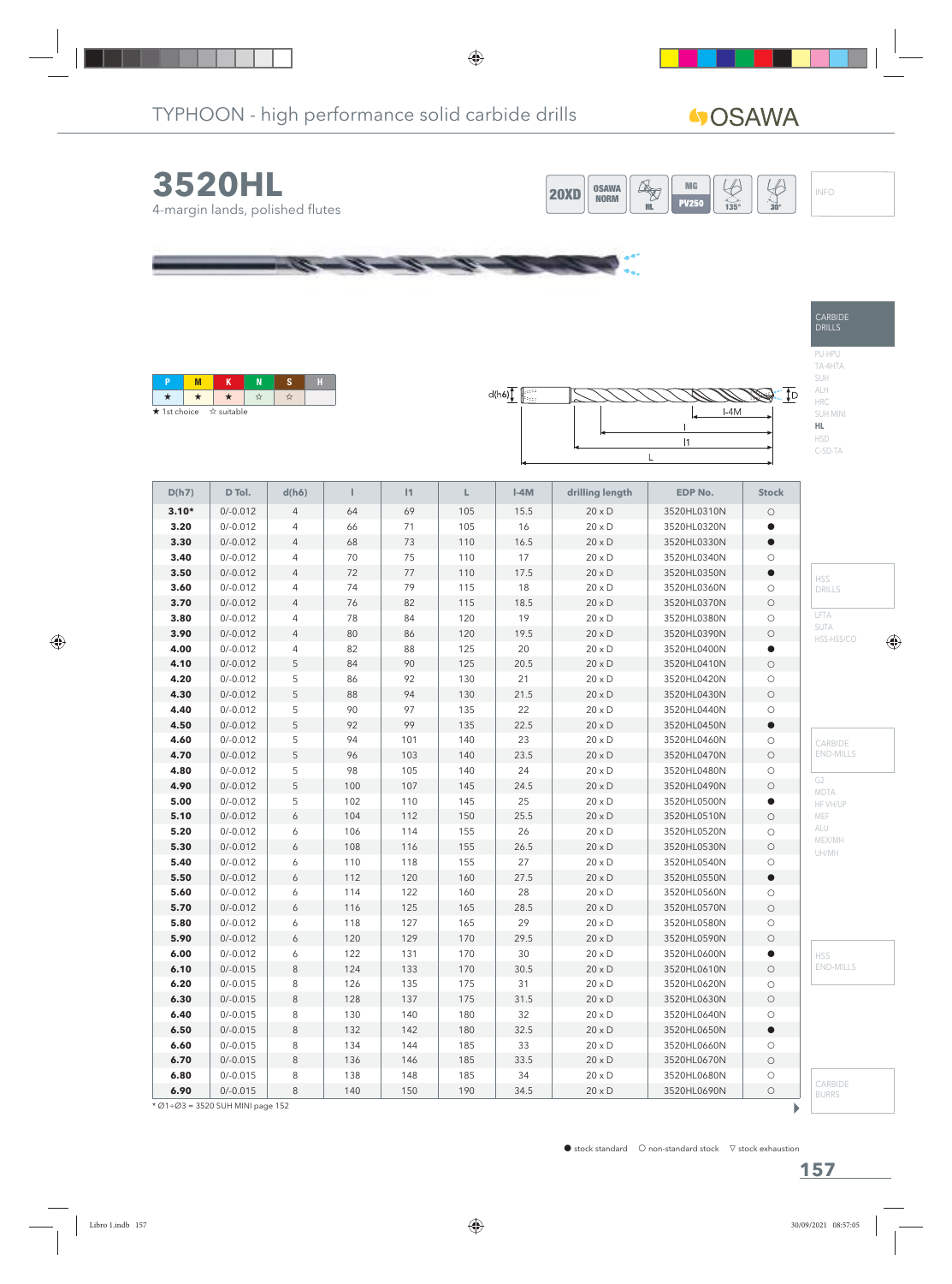# **4**OSAWA

CARBIDE DRILLS

PU-HPU TA-4HTA SUH ALH HRC SUH MINI **HL** HSD C-SD-TA





œ



| D(h7)   | D Tol.     | d(h6)          | т      | 1      | L   | $\ensuremath{\mathsf{I}}\text{-4M}$ | drilling length | <b>EDP No.</b> | <b>Stock</b>        |                         |
|---------|------------|----------------|--------|--------|-----|-------------------------------------|-----------------|----------------|---------------------|-------------------------|
| $3.10*$ | $0/-0.012$ | $\overline{4}$ | 64     | 69     | 105 | 15.5                                | $20 \times D$   | 3520HL0310N    | $\bigcirc$          |                         |
| 3.20    | $0/-0.012$ | $\overline{4}$ | 66     | 71     | 105 | 16                                  | $20 \times D$   | 3520HL0320N    | $\bullet$           |                         |
| 3.30    | $0/-0.012$ | $\overline{4}$ | 68     | 73     | 110 | 16.5                                | $20 \times D$   | 3520HL0330N    | $\bullet$           |                         |
| 3.40    | $0/-0.012$ | $\overline{4}$ | 70     | 75     | 110 | 17                                  | $20 \times D$   | 3520HL0340N    | $\circ$             |                         |
| 3.50    | $0/-0.012$ | $\overline{4}$ | $72\,$ | $77\,$ | 110 | 17.5                                | $20 \times D$   | 3520HL0350N    | $\bullet$           | <b>HSS</b>              |
| 3.60    | $0/-0.012$ | $\overline{4}$ | 74     | 79     | 115 | $18\,$                              | $20\times D$    | 3520HL0360N    | $\bigcirc$          | DRILLS                  |
| 3.70    | $0/-0.012$ | $\overline{4}$ | 76     | 82     | 115 | 18.5                                | $20\times D$    | 3520HL0370N    | $\bigcirc$          |                         |
| 3.80    | $0/-0.012$ | $\overline{4}$ | 78     | 84     | 120 | 19                                  | $20 \times D$   | 3520HL0380N    | $\bigcirc$          | LFTA                    |
| 3.90    | $0/-0.012$ | $\overline{4}$ | 80     | 86     | 120 | 19.5                                | $20 \times D$   | 3520HL0390N    | $\bigcirc$          | SUTA<br>HSS-HSS/CO      |
| 4.00    | $0/-0.012$ | $\overline{4}$ | 82     | 88     | 125 | 20                                  | $20 \times D$   | 3520HL0400N    | $\bullet$           |                         |
| 4.10    | $0/-0.012$ | 5              | 84     | 90     | 125 | 20.5                                | $20 \times D$   | 3520HL0410N    | $\bigcirc$          |                         |
| 4.20    | $0/-0.012$ | 5              | 86     | 92     | 130 | 21                                  | $20 \times D$   | 3520HL0420N    | $\bigcirc$          |                         |
| 4.30    | $0/-0.012$ | $\sqrt{5}$     | 88     | 94     | 130 | 21.5                                | $20\times D$    | 3520HL0430N    | $\bigcirc$          |                         |
| 4.40    | $0/-0.012$ | 5              | 90     | 97     | 135 | 22                                  | $20 \times D$   | 3520HL0440N    | $\bigcirc$          |                         |
| 4.50    | $0/-0.012$ | 5              | 92     | 99     | 135 | 22.5                                | $20 \times D$   | 3520HL0450N    | $\bullet$           |                         |
| 4.60    | $0/-0.012$ | 5              | 94     | 101    | 140 | 23                                  | $20 \times D$   | 3520HL0460N    | $\bigcirc$          | CARBIDE                 |
| 4.70    | $0/-0.012$ | 5              | 96     | 103    | 140 | 23.5                                | $20 \times D$   | 3520HL0470N    | $\bigcirc$          | <b>END-MILLS</b>        |
| 4.80    | $0/-0.012$ | 5              | 98     | 105    | 140 | 24                                  | $20 \times D$   | 3520HL0480N    | $\bigcirc$          |                         |
| 4.90    | $0/-0.012$ | $\sqrt{5}$     | 100    | 107    | 145 | 24.5                                | $20\times D$    | 3520HL0490N    | $\bigcirc$          | G <sub>2</sub>          |
| 5.00    | $0/-0.012$ | 5              | 102    | 110    | 145 | 25                                  | $20 \times D$   | 3520HL0500N    | $\bullet$           | <b>MDTA</b><br>HF VH/UP |
| 5.10    | $0/-0.012$ | 6              | 104    | 112    | 150 | 25.5                                | $20 \times D$   | 3520HL0510N    | $\circ$             | MEF                     |
| 5.20    | $0/-0.012$ | 6              | 106    | 114    | 155 | 26                                  | $20 \times D$   | 3520HL0520N    | $\bigcirc$          | ALU                     |
| 5.30    | $0/-0.012$ | 6              | 108    | 116    | 155 | 26.5                                | $20 \times D$   | 3520HL0530N    | $\bigcirc$          | MEX/MH                  |
| 5.40    | $0/-0.012$ | 6              | 110    | 118    | 155 | 27                                  | $20 \times D$   | 3520HL0540N    | $\bigcirc$          | UH/MH                   |
| 5.50    | $0/-0.012$ | 6              | 112    | 120    | 160 | 27.5                                | $20\times D$    | 3520HL0550N    | $\bullet$           |                         |
| 5.60    | $0/-0.012$ | 6              | 114    | 122    | 160 | 28                                  | $20 \times D$   | 3520HL0560N    | $\bigcirc$          |                         |
| 5.70    | $0/-0.012$ | 6              | 116    | 125    | 165 | 28.5                                | $20 \times D$   | 3520HL0570N    | $\bigcirc$          |                         |
| 5.80    | $0/-0.012$ | 6              | 118    | 127    | 165 | 29                                  | $20 \times D$   | 3520HL0580N    | $\bigcirc$          |                         |
| 5.90    | $0/-0.012$ | 6              | 120    | 129    | 170 | 29.5                                | $20 \times D$   | 3520HL0590N    | $\bigcirc$          |                         |
| 6.00    | $0/-0.012$ | 6              | 122    | 131    | 170 | 30                                  | $20 \times D$   | 3520HL0600N    | $\bullet$           | <b>HSS</b>              |
| 6.10    | $0/-0.015$ | $\,8\,$        | 124    | 133    | 170 | 30.5                                | $20 \times D$   | 3520HL0610N    | $\bigcirc$          | <b>END-MILLS</b>        |
| 6.20    | $0/-0.015$ | 8              | 126    | 135    | 175 | 31                                  | $20 \times D$   | 3520HL0620N    | $\bigcirc$          |                         |
| 6.30    | $0/-0.015$ | 8              | 128    | 137    | 175 | 31.5                                | $20 \times D$   | 3520HL0630N    | $\circlearrowright$ |                         |
| 6.40    | $0/-0.015$ | 8              | 130    | 140    | 180 | 32                                  | $20 \times D$   | 3520HL0640N    | $\bigcirc$          |                         |
| 6.50    | $0/-0.015$ | 8              | 132    | 142    | 180 | 32.5                                | $20 \times D$   | 3520HL0650N    | $\bullet$           |                         |
| 6.60    | $0/-0.015$ | 8              | 134    | 144    | 185 | 33                                  | $20 \times D$   | 3520HL0660N    | $\bigcirc$          |                         |
| 6.70    | $0/-0.015$ | $\,8\,$        | 136    | 146    | 185 | 33.5                                | $20\times D$    | 3520HL0670N    | $\bigcirc$          |                         |
| 6.80    | $0/-0.015$ | 8              | 138    | 148    | 185 | 34                                  | $20 \times D$   | 3520HL0680N    | $\bigcirc$          |                         |
| 6.90    | $0/-0.015$ | 8              | 140    | 150    | 190 | 34.5                                | $20 \times D$   | 3520HL0690N    | $\bigcirc$          | CARBIDE<br><b>BURRS</b> |

 $\overline{\text{MSE}$  \* Ø1÷Ø3 = 3520 SUH MINI page 152

 $\mathbf{r}$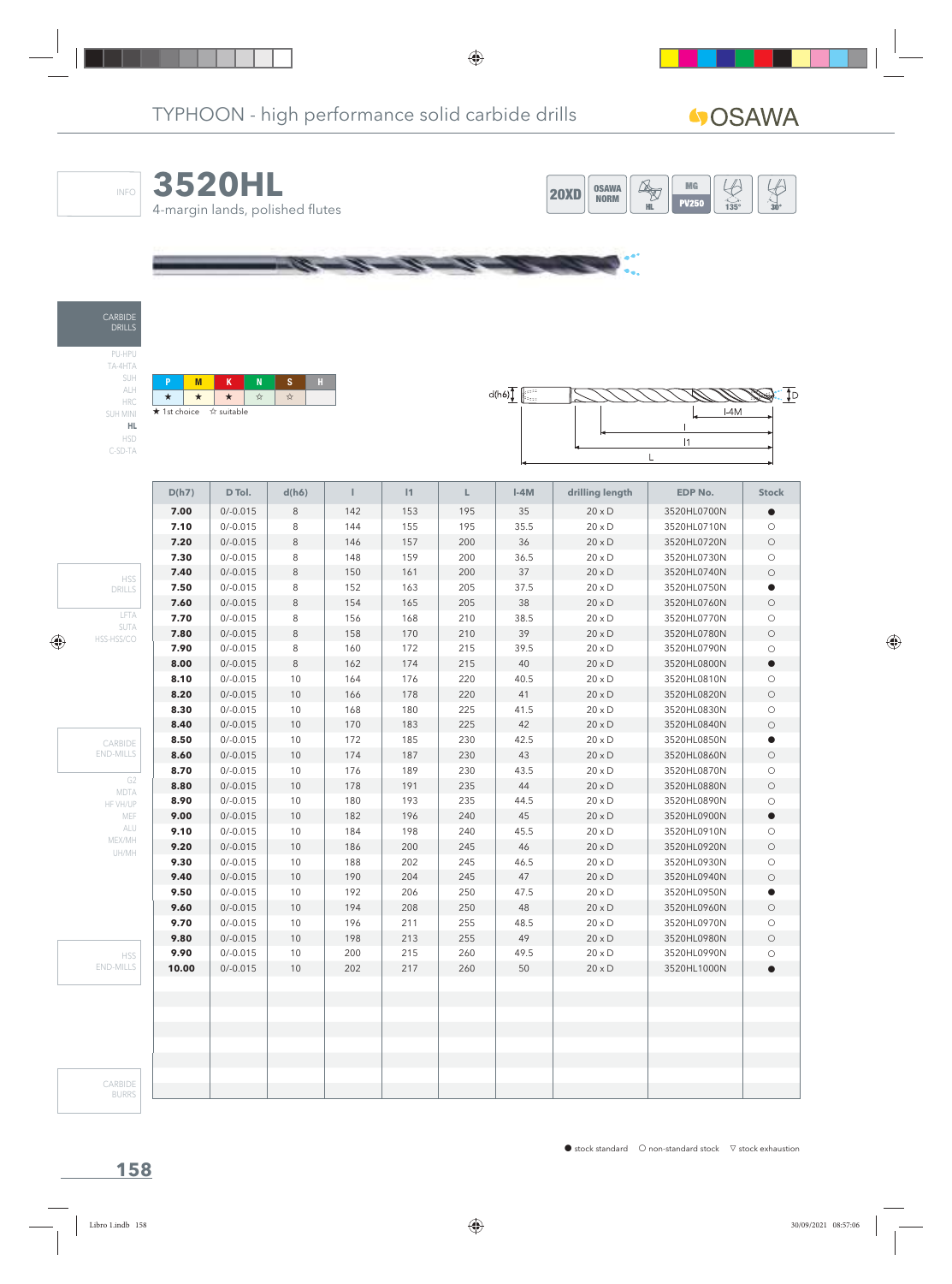$\frac{\sqrt{2}}{30}$ 



| <b>HRC</b> |           |  |
|------------|-----------|--|
| SUH MINI   | $\star$ 1 |  |
| HL.        |           |  |

HSD C-SD-TA

CARBIDE DRILLS

INFO

PU-HPU TA-4HTA SUH ALH

\* \* \* \* \* Ist choice  $\vec{X}$  suitable



|                        | D(h7) | D Tol.     | d(h6)   | т   | 1   | L.  | $I-4M$ | drilling length | <b>EDP No.</b> | <b>Stock</b> |
|------------------------|-------|------------|---------|-----|-----|-----|--------|-----------------|----------------|--------------|
|                        | 7.00  | $0/-0.015$ | 8       | 142 | 153 | 195 | 35     | $20 \times D$   | 3520HL0700N    |              |
|                        | 7.10  | $0/-0.015$ | 8       | 144 | 155 | 195 | 35.5   | $20 \times D$   | 3520HL0710N    | $\circ$      |
|                        | 7.20  | $0/-0.015$ | $\,8\,$ | 146 | 157 | 200 | 36     | $20 \times D$   | 3520HL0720N    | $\bigcirc$   |
|                        | 7.30  | $0/-0.015$ | $\,8\,$ | 148 | 159 | 200 | 36.5   | $20 \times D$   | 3520HL0730N    | $\bigcirc$   |
| <b>HSS</b>             | 7.40  | $0/-0.015$ | $\,8\,$ | 150 | 161 | 200 | 37     | $20 \times D$   | 3520HL0740N    | $\bigcirc$   |
| DRILLS                 | 7.50  | $0/-0.015$ | $\,8\,$ | 152 | 163 | 205 | 37.5   | $20 \times D$   | 3520HL0750N    | $\bullet$    |
|                        | 7.60  | $0/-0.015$ | 8       | 154 | 165 | 205 | 38     | $20 \times D$   | 3520HL0760N    | $\bigcirc$   |
| LFTA                   | 7.70  | $0/-0.015$ | 8       | 156 | 168 | 210 | 38.5   | $20 \times D$   | 3520HL0770N    | $\bigcirc$   |
| SUTA<br>HSS-HSS/CO     | 7.80  | $0/-0.015$ | $\,8\,$ | 158 | 170 | 210 | 39     | $20 \times D$   | 3520HL0780N    | $\bigcirc$   |
|                        | 7.90  | $0/-0.015$ | $\,8\,$ | 160 | 172 | 215 | 39.5   | $20 \times D$   | 3520HL0790N    | $\bigcirc$   |
|                        | 8.00  | $0/-0.015$ | $\,8\,$ | 162 | 174 | 215 | 40     | $20 \times D$   | 3520HL0800N    | $\bullet$    |
|                        | 8.10  | $0/-0.015$ | 10      | 164 | 176 | 220 | 40.5   | $20 \times D$   | 3520HL0810N    | $\bigcirc$   |
|                        | 8.20  | $0/-0.015$ | 10      | 166 | 178 | 220 | 41     | $20 \times D$   | 3520HL0820N    | $\bigcirc$   |
|                        | 8.30  | $0/-0.015$ | 10      | 168 | 180 | 225 | 41.5   | $20 \times D$   | 3520HL0830N    | $\bigcirc$   |
|                        | 8.40  | $0/-0.015$ | 10      | 170 | 183 | 225 | 42     | $20 \times D$   | 3520HL0840N    | $\bigcirc$   |
| CARBIDE                | 8.50  | $0/-0.015$ | 10      | 172 | 185 | 230 | 42.5   | $20 \times D$   | 3520HL0850N    | $\bullet$    |
| <b>END-MILLS</b>       | 8.60  | $0/-0.015$ | 10      | 174 | 187 | 230 | 43     | $20 \times D$   | 3520HL0860N    | $\bigcirc$   |
|                        | 8.70  | $0/-0.015$ | 10      | 176 | 189 | 230 | 43.5   | $20 \times D$   | 3520HL0870N    | $\bigcirc$   |
| G <sub>2</sub><br>MDTA | 8.80  | $0/-0.015$ | 10      | 178 | 191 | 235 | 44     | $20 \times D$   | 3520HL0880N    | $\bigcirc$   |
| HF VH/UP               | 8.90  | $0/-0.015$ | 10      | 180 | 193 | 235 | 44.5   | $20 \times D$   | 3520HL0890N    | $\bigcirc$   |
| MEF                    | 9.00  | $0/-0.015$ | 10      | 182 | 196 | 240 | 45     | $20 \times D$   | 3520HL0900N    | $\bullet$    |
| ALU                    | 9.10  | $0/-0.015$ | 10      | 184 | 198 | 240 | 45.5   | $20 \times D$   | 3520HL0910N    | $\bigcirc$   |
| MEX/MH<br>UH/MH        | 9.20  | $0/-0.015$ | 10      | 186 | 200 | 245 | 46     | $20 \times D$   | 3520HL0920N    | $\circ$      |
|                        | 9.30  | $0/-0.015$ | 10      | 188 | 202 | 245 | 46.5   | $20 \times D$   | 3520HL0930N    | $\bigcirc$   |
|                        | 9.40  | $0/-0.015$ | $10$    | 190 | 204 | 245 | 47     | $20 \times D$   | 3520HL0940N    | $\bigcirc$   |
|                        | 9.50  | $0/-0.015$ | 10      | 192 | 206 | 250 | 47.5   | $20 \times D$   | 3520HL0950N    | $\bullet$    |
|                        | 9.60  | $0/-0.015$ | 10      | 194 | 208 | 250 | 48     | $20 \times D$   | 3520HL0960N    | $\bigcirc$   |
|                        | 9.70  | $0/-0.015$ | 10      | 196 | 211 | 255 | 48.5   | $20 \times D$   | 3520HL0970N    | $\bigcirc$   |
|                        | 9.80  | $0/-0.015$ | 10      | 198 | 213 | 255 | 49     | $20 \times D$   | 3520HL0980N    | $\bigcirc$   |
| <b>HSS</b>             | 9.90  | $0/-0.015$ | 10      | 200 | 215 | 260 | 49.5   | $20 \times D$   | 3520HL0990N    | $\bigcirc$   |
| <b>END-MILLS</b>       | 10.00 | $0/-0.015$ | 10      | 202 | 217 | 260 | 50     | $20\times D$    | 3520HL1000N    | $\bullet$    |
|                        |       |            |         |     |     |     |        |                 |                |              |
|                        |       |            |         |     |     |     |        |                 |                |              |
|                        |       |            |         |     |     |     |        |                 |                |              |
|                        |       |            |         |     |     |     |        |                 |                |              |
|                        |       |            |         |     |     |     |        |                 |                |              |
|                        |       |            |         |     |     |     |        |                 |                |              |
| CARBIDE                |       |            |         |     |     |     |        |                 |                |              |
| <b>BURRS</b>           |       |            |         |     |     |     |        |                 |                |              |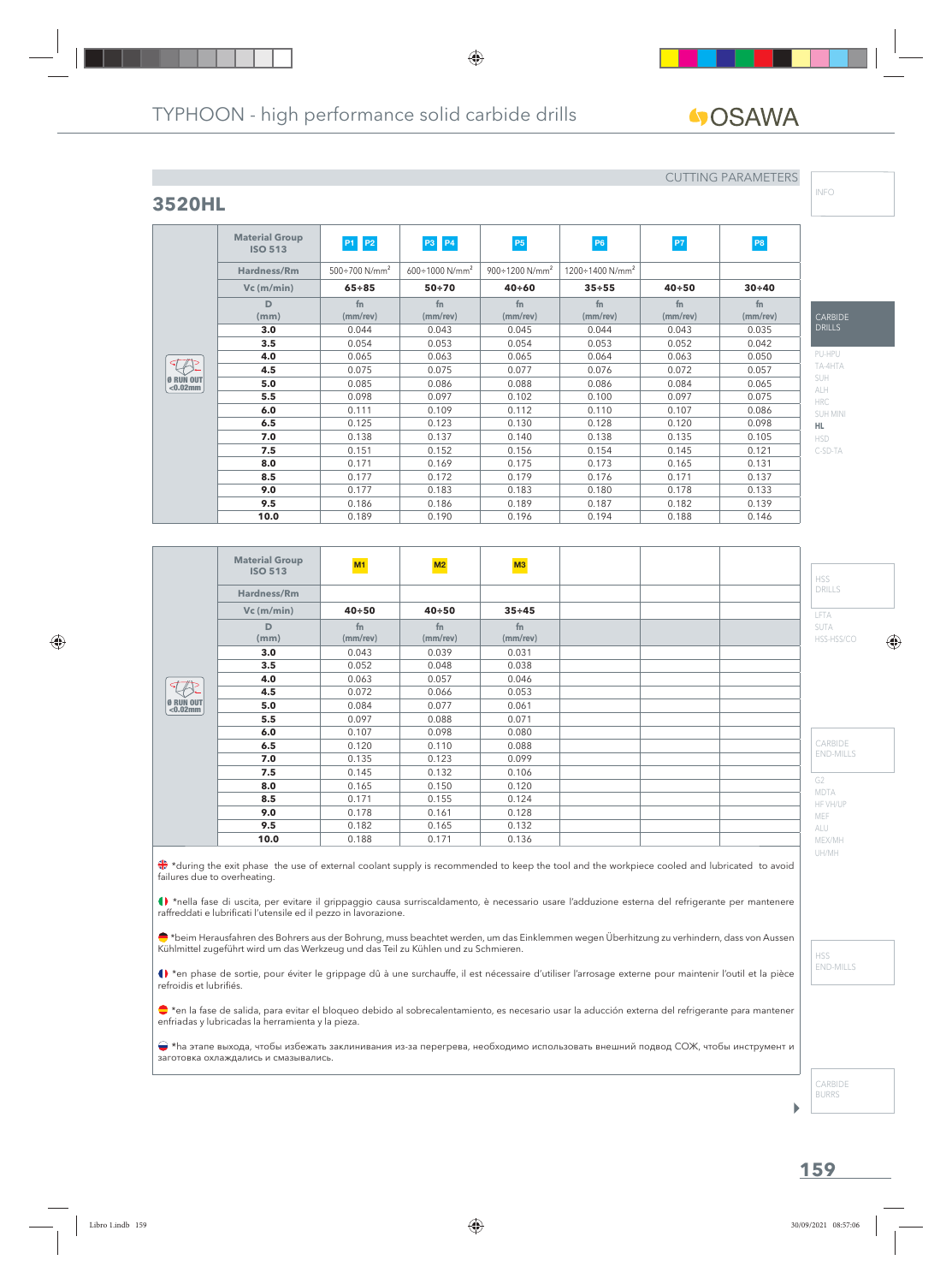**fn (mm/rev)**

# GOSAWA

# **3520HL**

**Material Group**

**D (mm)**

Ø RUN OUT <0.02mm

 $\overline{\textcircled{1}}$ 

#### CUTTING PARAMETERS

**fn (mm/rev)**

**fn (mm/rev)** INFO

| PU-HPU     |
|------------|
| TA-4HTA    |
| SUH        |
| <b>ALH</b> |
| <b>HRC</b> |
| SUH MINI   |
| HL.        |
| HSD        |

C-SD-TA

**CARBIDE** DRILLS

|                                                                               | <b>Material Group</b><br><b>ISO 513</b> | M1             | M2                         | M3             |  |  | <b>HSS</b>                |  |
|-------------------------------------------------------------------------------|-----------------------------------------|----------------|----------------------------|----------------|--|--|---------------------------|--|
|                                                                               | Hardness/Rm                             |                |                            |                |  |  | <b>DRILLS</b>             |  |
|                                                                               | $Vc$ (m/min)                            | $40 + 50$      | $40 + 50$                  | $35 + 45$      |  |  | LFTA                      |  |
|                                                                               | D<br>(mm)                               | fn<br>(mm/rev) | f <sub>n</sub><br>(mm/rev) | fn<br>(mm/rev) |  |  | <b>SUTA</b><br>HSS-HSS/CO |  |
|                                                                               | 3.0                                     | 0.043          | 0.039                      | 0.031          |  |  |                           |  |
|                                                                               | 3.5                                     | 0.052          | 0.048                      | 0.038          |  |  |                           |  |
|                                                                               | 4.0                                     | 0.063          | 0.057                      | 0.046          |  |  |                           |  |
|                                                                               | 4.5                                     | 0.072          | 0.066                      | 0.053          |  |  |                           |  |
| $\left[ \begin{matrix} 0 & \text{RUN} \\ \text{&0.02mm} \end{matrix} \right]$ | 5.0                                     | 0.084          | 0.077                      | 0.061          |  |  |                           |  |
|                                                                               | 5.5                                     | 0.097          | 0.088                      | 0.071          |  |  |                           |  |
|                                                                               | 6.0                                     | 0.107          | 0.098                      | 0.080          |  |  |                           |  |
|                                                                               | 6.5                                     | 0.120          | 0.110                      | 0.088          |  |  | CARBIDE                   |  |
|                                                                               | 7.0                                     | 0.135          | 0.123                      | 0.099          |  |  | <b>END-MILLS</b>          |  |
|                                                                               | 7.5                                     | 0.145          | 0.132                      | 0.106          |  |  |                           |  |
|                                                                               | 8.0                                     | 0.165          | 0.150                      | 0.120          |  |  | G <sub>2</sub>            |  |
|                                                                               | 8.5                                     | 0.171          | 0.155                      | 0.124          |  |  | <b>MDTA</b><br>HF VH/UP   |  |
|                                                                               | 9.0                                     | 0.178          | 0.161                      | 0.128          |  |  | MEF                       |  |
|                                                                               | 9.5                                     | 0.182          | 0.165                      | 0.132          |  |  | ALU                       |  |
|                                                                               | 10.0                                    | 0.188          | 0.171                      | 0.136          |  |  | MEX/MH                    |  |

**ISO 513 P1 P2 P3 P4 P5 P5 P6 P7 P7 P8** 

**Vc (m/min) 65÷85 50÷70 40÷60 35÷55 40÷50 30÷40**

**fn (mm/rev)**

**3.0** | 0.044 | 0.043 | 0.045 | 0.044 | 0.043 | 0.035 **3.5** 0.054 0.053 0.054 0.053 0.052 0.042 **4.0** 0.065 0.063 0.065 0.064 0.063 0.050 **4.5** 0.075 0.075 0.077 0.076 0.072 0.057 **5.0** 0.085 0.086 0.088 0.086 0.084 0.065 **5.5** 1 0.098 0.097 0.102 0.100 0.097 0.097 **6.0** | 0.111 | 0.109 | 0.112 | 0.110 | 0.107 | 0.086 **6.5** | 0.125 | 0.123 | 0.130 | 0.128 | 0.120 | 0.098 **7.0** 0.138 0.137 0.140 0.138 0.135 0.105 **7.5** | 0.151 | 0.152 | 0.156 | 0.154 | 0.145 | 0.121 **8.0** | 0.171 | 0.169 | 0.175 | 0.173 | 0.165 | 0.131 **8.5** 1 0.177 1 0.172 1 0.179 1 0.176 1 0.171 1 0.137 **9.0** | 0.177 | 0.183 | 0.183 | 0.180 | 0.178 | 0.133 **9.5** 0.186 0.186 0.189 0.187 0.182 0.139 **10.0** | 0.189 | 0.190 | 0.196 | 0.194 | 0.188 | 0.146

**fn (mm/rev)**

**Hardness/Rm** 500÷700 N/mm<sup>2</sup> 600÷1000 N/mm<sup>2</sup> 900÷1200 N/mm<sup>2</sup> 1200÷1400 N/mm<sup>2</sup>

**fn (mm/rev)**

\*during the exit phase the use of external coolant supply is recommended to keep the tool and the workpiece cooled and lubricated to avoid failures due to overheating.

\*nella fase di uscita, per evitare il grippaggio causa surriscaldamento, è necessario usare l'adduzione esterna del refrigerante per mantenere raffreddati e lubrificati l'utensile ed il pezzo in lavorazione.

 $\blacklozenge$ \*beim Herausfahren des Bohrers aus der Bohrung, muss beachtet werden, um das Einklemmen wegen Überhitzung zu verhindern, dass von Aussen Kühlmittel zugeführt wird um das Werkzeug und das Teil zu Kühlen und zu Schmieren.

() \*en phase de sortie, pour éviter le grippage dû à une surchauffe, il est nécessaire d'utiliser l'arrosage externe pour maintenir l'outil et la pièce refroidis et lubrifiés.

\*en la fase de salida, para evitar el bloqueo debido al sobrecalentamiento, es necesario usar la aducción externa del refrigerante para mantener enfriadas y lubricadas la herramienta y la pieza.

 \*hа этапе выхода, чтобы избежать заклинивания из-за перегрева, необходимо использовать внешний подвод СОЖ, чтобы инструмент и заготовка охлаждались и смазывались.

UH/MH

CARBIDE BURRS

١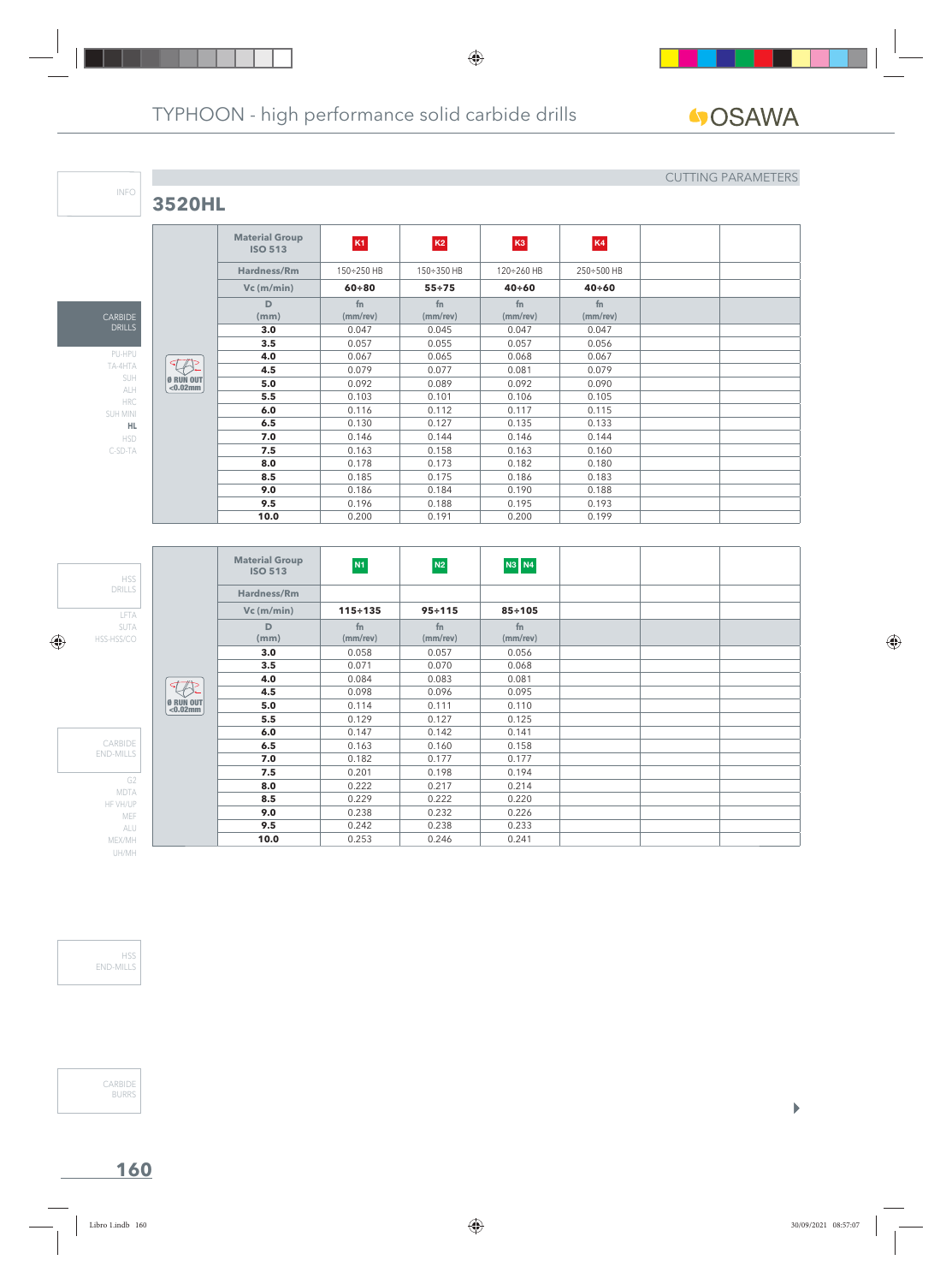**3520HL**

CARBIDE DRILLS

INFO

PU-HPU TA-4HTA SUH ALH HRC SUH MINI **HL** HSD C-SD-TA

#### CUTTING PARAMETERS

 $\begin{array}{c} \hline \end{array}$ 

|                          | <b>Material Group</b><br><b>ISO 513</b> | K1             | K2                   | K <sub>3</sub>             | K4             |  |
|--------------------------|-----------------------------------------|----------------|----------------------|----------------------------|----------------|--|
|                          | Hardness/Rm                             | 150÷250 HB     | 150÷350 HB           | 120÷260 HB                 | 250÷500 HB     |  |
|                          | $Vc$ (m/min)                            | $60 + 80$      | $55 + 75$            | $40 + 60$                  | $40 + 60$      |  |
|                          | D<br>(mm)                               | fn<br>(mm/rev) | fn<br>$(mm$ /rev $)$ | f <sub>n</sub><br>(mm/rev) | fn<br>(mm/rev) |  |
|                          | 3.0                                     | 0.047          | 0.045                | 0.047                      | 0.047          |  |
|                          | 3.5                                     | 0.057          | 0.055                | 0.057                      | 0.056          |  |
|                          | 4.0                                     | 0.067          | 0.065                | 0.068                      | 0.067          |  |
|                          | 4.5                                     | 0.079          | 0.077                | 0.081                      | 0.079          |  |
| Ø RUN OUT<br>$< 0.02$ mm | 5.0                                     | 0.092          | 0.089                | 0.092                      | 0.090          |  |
|                          | 5.5                                     | 0.103          | 0.101                | 0.106                      | 0.105          |  |
|                          | 6.0                                     | 0.116          | 0.112                | 0.117                      | 0.115          |  |
|                          | 6.5                                     | 0.130          | 0.127                | 0.135                      | 0.133          |  |
|                          | 7.0                                     | 0.146          | 0.144                | 0.146                      | 0.144          |  |
|                          | 7.5                                     | 0.163          | 0.158                | 0.163                      | 0.160          |  |
|                          | 8.0                                     | 0.178          | 0.173                | 0.182                      | 0.180          |  |
|                          | 8.5                                     | 0.185          | 0.175                | 0.186                      | 0.183          |  |
|                          | 9.0                                     | 0.186          | 0.184                | 0.190                      | 0.188          |  |
|                          | 9.5                                     | 0.196          | 0.188                | 0.195                      | 0.193          |  |
|                          | 10.0                                    | 0.200          | 0.191                | 0.200                      | 0.199          |  |

LFTA SUTA HSS-HSS/CO HSS DRILLS G2 MDTA HF VH/UP MEF ALU MEX/MH UH/MH CARBIDE END-MILLS Ø RUN OUT <0.02mm **Material Group ISO 513 N1 N2 N3 N4 Hardness/Rm Vc (m/min) 115÷135 95÷115 85÷105 D (mm) fn (mm/rev) fn (mm/rev) fn (mm/rev) 3.0** 0.058 0.057 0.056 **3.5** 0.071 0.070 0.068 **4.0** 0.084 0.083 0.081 **4.5** 0.098 0.096 0.095 **5.0** 0.114 0.111 0.110 **5.5** 0.129 0.127 0.125 **6.0** 0.147 0.142 0.141 **6.5** 0.163 0.160 0.158<br>**7.0** 0.182 0.177 0.177 **7.0** 0.182 0.177 0.177 **7.5** 0.201 0.198 0.194 **8.0** 0.222 0.217 0.214 **8.5** 0.229 0.222 0.220<br>**9.0** 0.238 0.232 0.226 **9.0** 0.238 0.232 0.226 **9.5** 0.242 0.238 0.233 **10.0** 0.253 0.246 0.241

HSS END-MILLS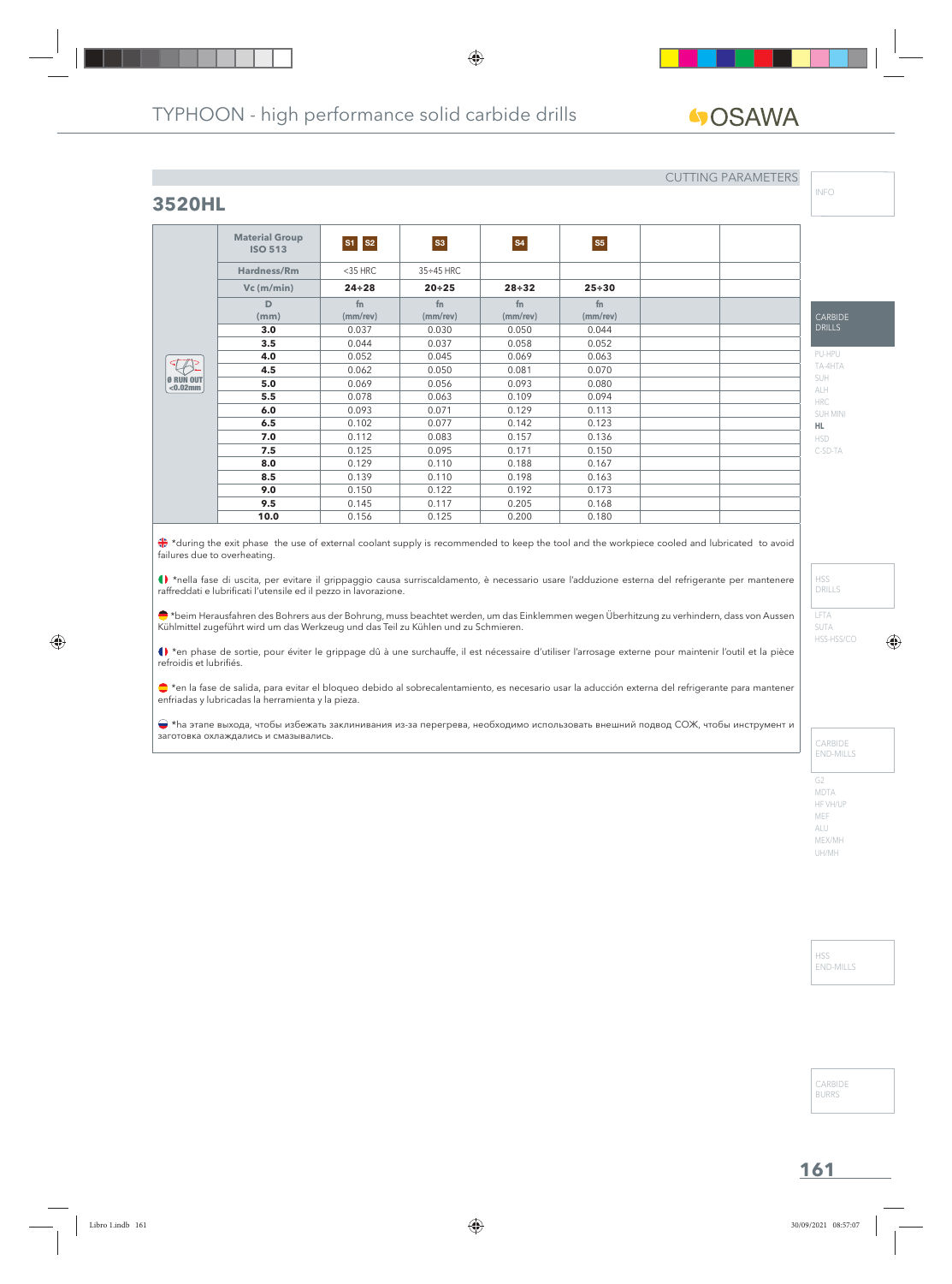# **GOSAWA**

#### CUTTING PARAMETERS

**3520HL**

|                                 | <b>Material Group</b><br><b>ISO 513</b> | $S1$ $S2$      | S3               | <b>S4</b>      | S <sub>5</sub> |  |
|---------------------------------|-----------------------------------------|----------------|------------------|----------------|----------------|--|
|                                 | Hardness/Rm                             | $<$ 35 HRC     | $35 \div 45$ HRC |                |                |  |
|                                 | $Vc$ (m/min)                            | $24 \div 28$   | $20 + 25$        | $28 + 32$      | $25 + 30$      |  |
|                                 | D<br>(mm)                               | fn<br>(mm/rev) | fn<br>(mm/rev)   | fn<br>(mm/rev) | fn<br>(mm/rev) |  |
|                                 | 3.0                                     | 0.037          | 0.030            | 0.050          | 0.044          |  |
|                                 | 3.5                                     | 0.044          | 0.037            | 0.058          | 0.052          |  |
|                                 | 4.0                                     | 0.052          | 0.045            | 0.069          | 0.063          |  |
|                                 | 4.5                                     | 0.062          | 0.050            | 0.081          | 0.070          |  |
| <b>Ø RUN OUT</b><br>$< 0.02$ mm | 5.0                                     | 0.069          | 0.056            | 0.093          | 0.080          |  |
|                                 | 5.5                                     | 0.078          | 0.063            | 0.109          | 0.094          |  |
|                                 | 6.0                                     | 0.093          | 0.071            | 0.129          | 0.113          |  |
|                                 | 6.5                                     | 0.102          | 0.077            | 0.142          | 0.123          |  |
|                                 | 7.0                                     | 0.112          | 0.083            | 0.157          | 0.136          |  |
|                                 | 7.5                                     | 0.125          | 0.095            | 0.171          | 0.150          |  |
|                                 | 8.0                                     | 0.129          | 0.110            | 0.188          | 0.167          |  |
|                                 | 8.5                                     | 0.139          | 0.110            | 0.198          | 0.163          |  |
|                                 | 9.0                                     | 0.150          | 0.122            | 0.192          | 0.173          |  |
|                                 | 9.5                                     | 0.145          | 0.117            | 0.205          | 0.168          |  |
|                                 | 10.0                                    | 0.156          | 0.125            | 0.200          | 0.180          |  |

\*during the exit phase the use of external coolant supply is recommended to keep the tool and the workpiece cooled and lubricated to avoid failures due to overheating.

\*nella fase di uscita, per evitare il grippaggio causa surriscaldamento, è necessario usare l'adduzione esterna del refrigerante per mantenere raffreddati e lubrificati l'utensile ed il pezzo in lavorazione.

\*beim Herausfahren des Bohrers aus der Bohrung, muss beachtet werden, um das Einklemmen wegen Überhitzung zu verhindern, dass von Aussen Kühlmittel zugeführt wird um das Werkzeug und das Teil zu Kühlen und zu Schmieren.

() \*en phase de sortie, pour éviter le grippage dû à une surchauffe, il est nécessaire d'utiliser l'arrosage externe pour maintenir l'outil et la pièce refroidis et lubrifiés.

\*en la fase de salida, para evitar el bloqueo debido al sobrecalentamiento, es necesario usar la aducción externa del refrigerante para mantener enfriadas y lubricadas la herramienta y la pieza.

 \*hа этапе выхода, чтобы избежать заклинивания из-за перегрева, необходимо использовать внешний подвод СОЖ, чтобы инструмент и заготовка охлаждались и смазывались.

INFO

HSD C-SD-TA

LFTA SUTA HSS-HSS/CO

HSS DRILLS

CARBIDE END-MILLS

G2 MDTA HF VH/UP MEF ALU MEX/MH UH/MH

> HSS END-MILLS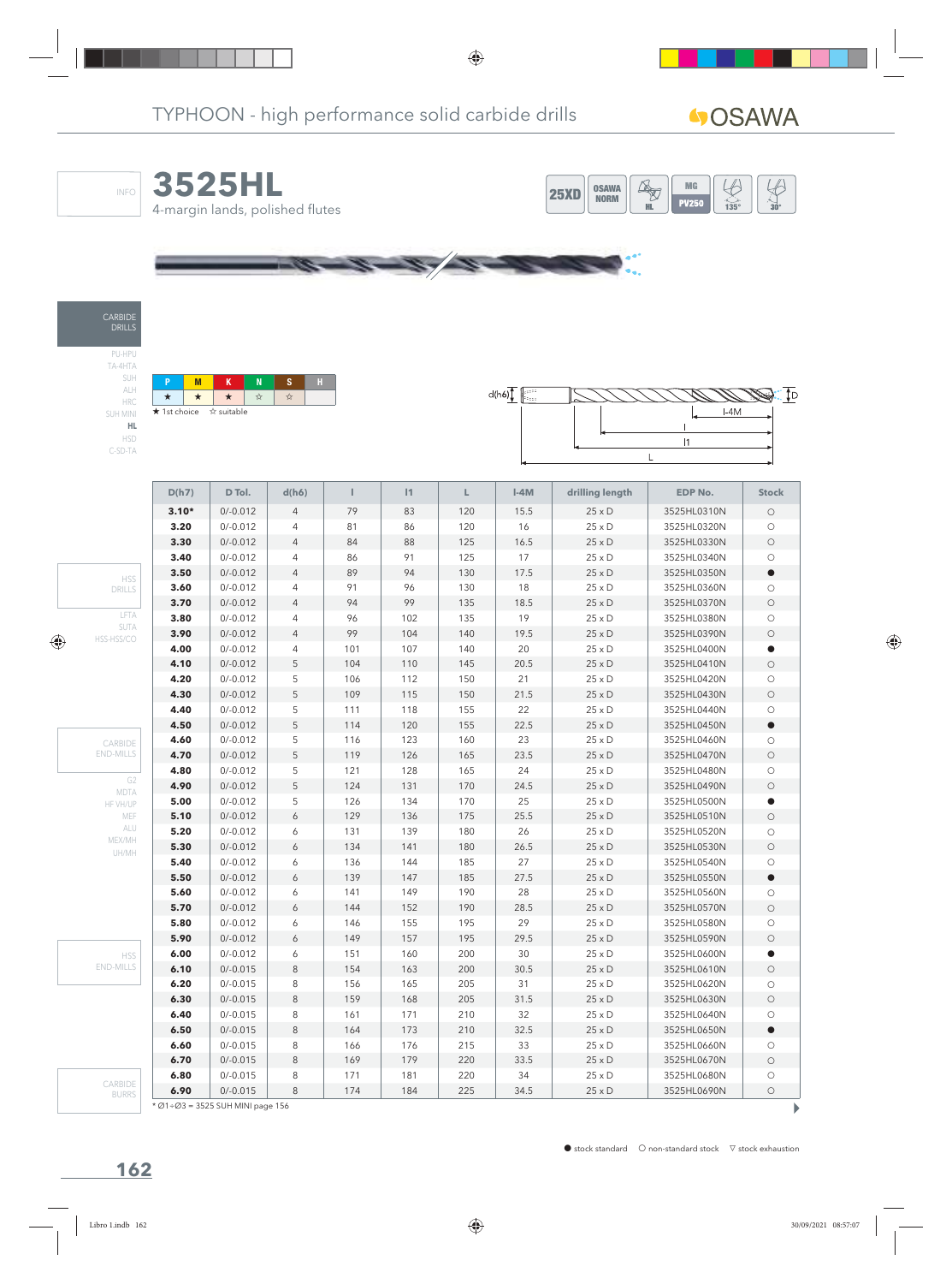







TA-4HTA SUH ALH HRC SUH MINI **HL** HSD C-SD-TA

| <b>★</b> 1st choice ☆ suitable |  |  |  |  |  |  |  |  |  |  |
|--------------------------------|--|--|--|--|--|--|--|--|--|--|



|                        | D(h7)   | D Tol.     | d(h6)          | т   | 1   | Г   | $I-4M$ | drilling length | <b>EDP No.</b> | <b>Stock</b> |
|------------------------|---------|------------|----------------|-----|-----|-----|--------|-----------------|----------------|--------------|
|                        | $3.10*$ | $0/-0.012$ | $\overline{4}$ | 79  | 83  | 120 | 15.5   | $25 \times D$   | 3525HL0310N    | $\circ$      |
|                        | 3.20    | $0/-0.012$ | $\overline{4}$ | 81  | 86  | 120 | 16     | $25 \times D$   | 3525HL0320N    | $\circ$      |
|                        | 3.30    | $0/-0.012$ | $\overline{4}$ | 84  | 88  | 125 | 16.5   | $25 \times D$   | 3525HL0330N    | $\bigcirc$   |
|                        | 3.40    | $0/-0.012$ | $\overline{4}$ | 86  | 91  | 125 | $17$   | $25 \times D$   | 3525HL0340N    | $\circ$      |
| <b>HSS</b>             | 3.50    | $0/-0.012$ | $\overline{4}$ | 89  | 94  | 130 | 17.5   | $25 \times D$   | 3525HL0350N    | $\bullet$    |
| <b>DRILLS</b>          | 3.60    | $0/-0.012$ | $\overline{4}$ | 91  | 96  | 130 | 18     | $25 \times D$   | 3525HL0360N    | $\bigcirc$   |
|                        | 3.70    | $0/-0.012$ | $\overline{4}$ | 94  | 99  | 135 | 18.5   | $25 \times D$   | 3525HL0370N    | $\bigcirc$   |
| LFTA                   | 3.80    | $0/-0.012$ | $\overline{4}$ | 96  | 102 | 135 | 19     | $25 \times D$   | 3525HL0380N    | $\bigcirc$   |
| SUTA<br>HSS-HSS/CO     | 3.90    | $0/-0.012$ | $\overline{4}$ | 99  | 104 | 140 | 19.5   | $25 \times D$   | 3525HL0390N    | $\bigcirc$   |
|                        | 4.00    | $0/-0.012$ | $\overline{4}$ | 101 | 107 | 140 | 20     | $25 \times D$   | 3525HL0400N    | $\bullet$    |
|                        | 4.10    | $0/-0.012$ | 5              | 104 | 110 | 145 | 20.5   | $25 \times D$   | 3525HL0410N    | $\bigcirc$   |
|                        | 4.20    | $0/-0.012$ | 5              | 106 | 112 | 150 | 21     | $25 \times D$   | 3525HL0420N    | $\bigcirc$   |
|                        | 4.30    | $0/-0.012$ | 5              | 109 | 115 | 150 | 21.5   | $25 \times D$   | 3525HL0430N    | $\bigcirc$   |
|                        | 4.40    | $0/-0.012$ | 5              | 111 | 118 | 155 | 22     | $25 \times D$   | 3525HL0440N    | $\bigcirc$   |
|                        | 4.50    | $0/-0.012$ | 5              | 114 | 120 | 155 | 22.5   | $25 \times D$   | 3525HL0450N    | $\bullet$    |
| CARBIDE                | 4.60    | $0/-0.012$ | 5              | 116 | 123 | 160 | 23     | $25 \times D$   | 3525HL0460N    | $\circ$      |
| <b>END-MILLS</b>       | 4.70    | $0/-0.012$ | 5              | 119 | 126 | 165 | 23.5   | $25 \times D$   | 3525HL0470N    | $\bigcirc$   |
|                        | 4.80    | $0/-0.012$ | 5              | 121 | 128 | 165 | 24     | $25 \times D$   | 3525HL0480N    | $\bigcirc$   |
| G <sub>2</sub><br>MDTA | 4.90    | $0/-0.012$ | 5              | 124 | 131 | 170 | 24.5   | $25 \times D$   | 3525HL0490N    | $\bigcirc$   |
| HF VH/UP               | 5.00    | $0/-0.012$ | 5              | 126 | 134 | 170 | 25     | $25 \times D$   | 3525HL0500N    | $\bullet$    |
| MEF                    | 5.10    | $0/-0.012$ | 6              | 129 | 136 | 175 | 25.5   | $25 \times D$   | 3525HL0510N    | $\bigcirc$   |
| ALU<br>MEX/MH          | 5.20    | $0/-0.012$ | 6              | 131 | 139 | 180 | 26     | $25 \times D$   | 3525HL0520N    | $\bigcirc$   |
| UH/MH                  | 5.30    | $0/-0.012$ | 6              | 134 | 141 | 180 | 26.5   | $25 \times D$   | 3525HL0530N    | $\bigcirc$   |
|                        | 5.40    | $0/-0.012$ | 6              | 136 | 144 | 185 | 27     | $25 \times D$   | 3525HL0540N    | $\bigcirc$   |
|                        | 5.50    | $0/-0.012$ | 6              | 139 | 147 | 185 | 27.5   | $25 \times D$   | 3525HL0550N    | $\bullet$    |
|                        | 5.60    | $0/-0.012$ | 6              | 141 | 149 | 190 | 28     | $25 \times D$   | 3525HL0560N    | $\circ$      |
|                        | 5.70    | $0/-0.012$ | 6              | 144 | 152 | 190 | 28.5   | $25 \times D$   | 3525HL0570N    | $\bigcirc$   |
|                        | 5.80    | $0/-0.012$ | 6              | 146 | 155 | 195 | 29     | $25 \times D$   | 3525HL0580N    | $\bigcirc$   |
|                        | 5.90    | $0/-0.012$ | 6              | 149 | 157 | 195 | 29.5   | $25 \times D$   | 3525HL0590N    | $\bigcirc$   |
| <b>HSS</b>             | 6.00    | $0/-0.012$ | 6              | 151 | 160 | 200 | 30     | $25 \times D$   | 3525HL0600N    | $\bullet$    |
| <b>END-MILLS</b>       | 6.10    | $0/-0.015$ | 8              | 154 | 163 | 200 | 30.5   | $25 \times D$   | 3525HL0610N    | $\bigcirc$   |
|                        | 6.20    | $0/-0.015$ | 8              | 156 | 165 | 205 | 31     | $25 \times D$   | 3525HL0620N    | $\bigcirc$   |
|                        | 6.30    | $0/-0.015$ | 8              | 159 | 168 | 205 | 31.5   | $25 \times D$   | 3525HL0630N    | $\circ$      |
|                        | 6.40    | $0/-0.015$ | 8              | 161 | 171 | 210 | 32     | $25 \times D$   | 3525HL0640N    | $\circ$      |
|                        | 6.50    | $0/-0.015$ | 8              | 164 | 173 | 210 | 32.5   | $25 \times D$   | 3525HL0650N    | $\bullet$    |
|                        | 6.60    | $0/-0.015$ | 8              | 166 | 176 | 215 | 33     | $25 \times D$   | 3525HL0660N    | $\circ$      |
|                        | 6.70    | $0/-0.015$ | 8              | 169 | 179 | 220 | 33.5   | $25 \times D$   | 3525HL0670N    | $\bigcirc$   |
| CARBIDE                | 6.80    | $0/-0.015$ | 8              | 171 | 181 | 220 | 34     | $25 \times D$   | 3525HL0680N    | $\circ$      |
| <b>BURRS</b>           | 6.90    | $0/-0.015$ | 8              | 174 | 184 | 225 | 34.5   | $25 \times D$   | 3525HL0690N    | $\bigcirc$   |

\* Ø1÷Ø3 = 3525 SUH MINI page 156

 $\begin{array}{c} \hline \end{array}$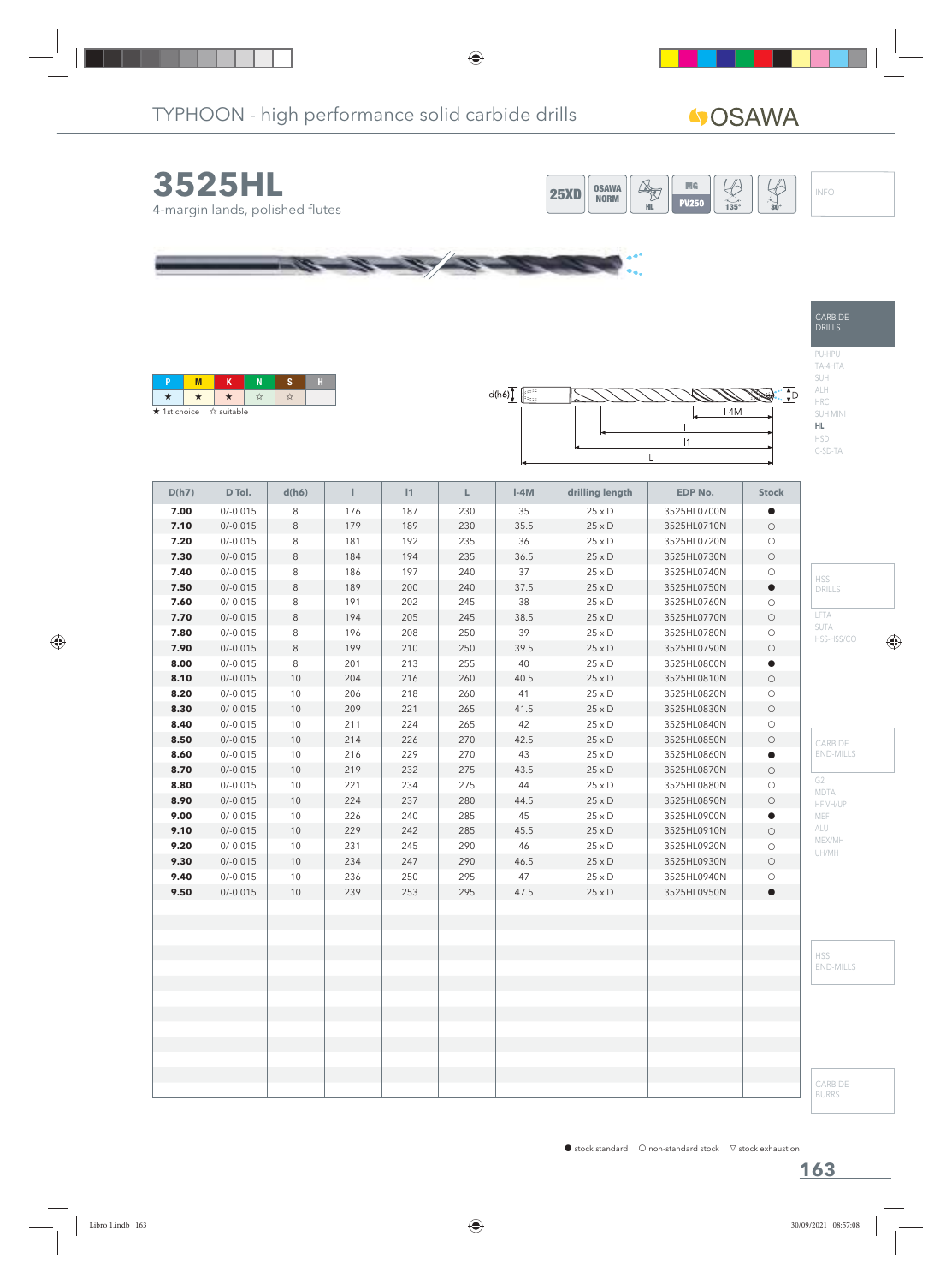**40SAWA** 

CARBIDE DRILLS

PU-HPU TA-4HTA SUH ALH HRC SUH MINI **HL** HSD C-SD-TA





| <b>★</b> 1st choice ☆ suitable |  |  |  |
|--------------------------------|--|--|--|



| D(h7) | D Tol.     | d(h6)   | Т   | 1   | L.  | $I-4M$ | drilling length | <b>EDP No.</b> | <b>Stock</b> |                    |
|-------|------------|---------|-----|-----|-----|--------|-----------------|----------------|--------------|--------------------|
| 7.00  | $0/-0.015$ | $\,8\,$ | 176 | 187 | 230 | 35     | $25 \times D$   | 3525HL0700N    | $\bullet$    |                    |
| 7.10  | $0/-0.015$ | $\,8\,$ | 179 | 189 | 230 | 35.5   | $25 \times D$   | 3525HL0710N    | $\bigcirc$   |                    |
| 7.20  | $0/-0.015$ | 8       | 181 | 192 | 235 | 36     | $25\times D$    | 3525HL0720N    | $\bigcirc$   |                    |
| 7.30  | $0/-0.015$ | $\,8\,$ | 184 | 194 | 235 | 36.5   | $25 \times D$   | 3525HL0730N    | $\bigcirc$   |                    |
| 7.40  | $0/-0.015$ | $\,8\,$ | 186 | 197 | 240 | 37     | $25 \times D$   | 3525HL0740N    | $\bigcirc$   | <b>HSS</b>         |
| 7.50  | $0/-0.015$ | $\,8\,$ | 189 | 200 | 240 | 37.5   | $25 \times D$   | 3525HL0750N    | $\bullet$    | DRILLS             |
| 7.60  | $0/-0.015$ | $\,8\,$ | 191 | 202 | 245 | 38     | $25\times D$    | 3525HL0760N    | $\bigcirc$   |                    |
| 7.70  | $0/-0.015$ | $\,8\,$ | 194 | 205 | 245 | 38.5   | $25 \times D$   | 3525HL0770N    | $\bigcirc$   | LFTA               |
| 7.80  | $0/-0.015$ | 8       | 196 | 208 | 250 | 39     | $25\times D$    | 3525HL0780N    | $\bigcirc$   | SUTA<br>HSS-HSS/CO |
| 7.90  | $0/-0.015$ | $\,8\,$ | 199 | 210 | 250 | 39.5   | $25\times D$    | 3525HL0790N    | $\bigcirc$   |                    |
| 8.00  | $0/-0.015$ | 8       | 201 | 213 | 255 | 40     | $25\times D$    | 3525HL0800N    | $\bullet$    |                    |
| 8.10  | $0/-0.015$ | $10$    | 204 | 216 | 260 | 40.5   | $25 \times D$   | 3525HL0810N    | $\bigcirc$   |                    |
| 8.20  | $0/-0.015$ | $10$    | 206 | 218 | 260 | 41     | $25\times D$    | 3525HL0820N    | $\bigcirc$   |                    |
| 8.30  | $0/-0.015$ | 10      | 209 | 221 | 265 | 41.5   | $25 \times D$   | 3525HL0830N    | $\bigcirc$   |                    |
| 8.40  | $0/-0.015$ | 10      | 211 | 224 | 265 | 42     | $25\times D$    | 3525HL0840N    | $\bigcirc$   |                    |
| 8.50  | $0/-0.015$ | 10      | 214 | 226 | 270 | 42.5   | $25\times D$    | 3525HL0850N    | $\bigcirc$   | CARBIDE            |
| 8.60  | $0/-0.015$ | $10$    | 216 | 229 | 270 | 43     | $25\times D$    | 3525HL0860N    | $\bullet$    | <b>END-MILLS</b>   |
| 8.70  | $0/-0.015$ | 10      | 219 | 232 | 275 | 43.5   | $25 \times D$   | 3525HL0870N    | $\bigcirc$   |                    |
| 8.80  | $0/-0.015$ | 10      | 221 | 234 | 275 | $44\,$ | $25 \times D$   | 3525HL0880N    | $\bigcirc$   | G2<br>MDTA         |
| 8.90  | $0/-0.015$ | 10      | 224 | 237 | 280 | 44.5   | $25 \times D$   | 3525HL0890N    | $\bigcirc$   | HF VH/UP           |
| 9.00  | $0/-0.015$ | $10$    | 226 | 240 | 285 | 45     | $25\times D$    | 3525HL0900N    | $\bullet$    | MEF                |
| 9.10  | $0/-0.015$ | $10$    | 229 | 242 | 285 | 45.5   | $25\times D$    | 3525HL0910N    | $\bigcirc$   | ALU                |
| 9.20  | $0/-0.015$ | $10$    | 231 | 245 | 290 | 46     | $25\times D$    | 3525HL0920N    | $\bigcirc$   | MEX/MH<br>UH/MH    |
| 9.30  | $0/-0.015$ | 10      | 234 | 247 | 290 | 46.5   | $25\times D$    | 3525HL0930N    | $\bigcirc$   |                    |
| 9.40  | $0/-0.015$ | $10$    | 236 | 250 | 295 | 47     | $25 \times D$   | 3525HL0940N    | $\bigcirc$   |                    |
| 9.50  | $0/-0.015$ | $10$    | 239 | 253 | 295 | 47.5   | $25 \times D$   | 3525HL0950N    | $\bullet$    |                    |
|       |            |         |     |     |     |        |                 |                |              |                    |
|       |            |         |     |     |     |        |                 |                |              |                    |
|       |            |         |     |     |     |        |                 |                |              |                    |
|       |            |         |     |     |     |        |                 |                |              | <b>HSS</b>         |
|       |            |         |     |     |     |        |                 |                |              | <b>END-MILLS</b>   |
|       |            |         |     |     |     |        |                 |                |              |                    |
|       |            |         |     |     |     |        |                 |                |              |                    |
|       |            |         |     |     |     |        |                 |                |              |                    |
|       |            |         |     |     |     |        |                 |                |              |                    |
|       |            |         |     |     |     |        |                 |                |              |                    |
|       |            |         |     |     |     |        |                 |                |              |                    |
|       |            |         |     |     |     |        |                 |                |              | CARBIDE            |
|       |            |         |     |     |     |        |                 |                |              | <b>BURRS</b>       |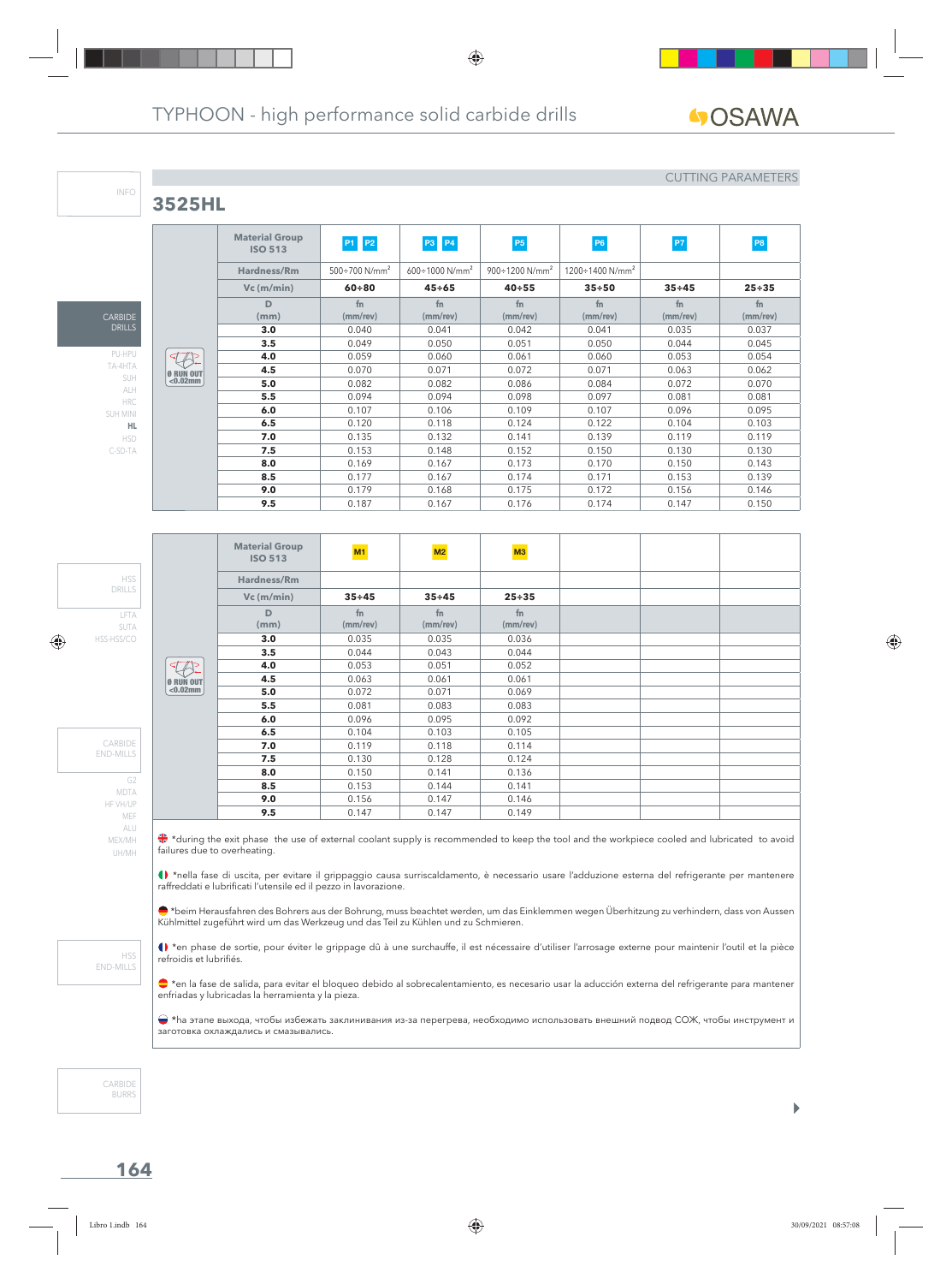## **3525HL**

#### CUTTING PARAMETERS

|                 |             | <b>Material Group</b><br><b>ISO 513</b> | P1 P2                            | <b>P3</b> P4                   | P <sub>5</sub>                    | P6                                 | P7             | P <sub>8</sub>       |
|-----------------|-------------|-----------------------------------------|----------------------------------|--------------------------------|-----------------------------------|------------------------------------|----------------|----------------------|
|                 |             | Hardness/Rm                             | $500 \div 700$ N/mm <sup>2</sup> | $600 \div 1000 \text{ N/mm}^2$ | $900 \div 1200$ N/mm <sup>2</sup> | $1200 \div 1400$ N/mm <sup>2</sup> |                |                      |
|                 |             | $Vc$ (m/min)                            | $60 + 80$                        | $45 \div 65$                   | $40 + 55$                         | $35 + 50$                          | $35 + 45$      | $25 + 35$            |
| <b>CARBIDE</b>  |             | D<br>(mm)                               | fn<br>$(mm$ /rev $)$             | fn<br>$(mm$ /rev $)$           | f <sub>n</sub><br>$(mm$ /rev $)$  | fn<br>$(mm$ /rev $)$               | fn<br>(mm/rev) | fn<br>$(mm$ /rev $)$ |
| <b>DRILLS</b>   |             | 3.0                                     | 0.040                            | 0.041                          | 0.042                             | 0.041                              | 0.035          | 0.037                |
| PU-HPU          |             | 3.5                                     | 0.049                            | 0.050                          | 0.051                             | 0.050                              | 0.044          | 0.045                |
|                 | বা          | 4.0                                     | 0.059                            | 0.060                          | 0.061                             | 0.060                              | 0.053          | 0.054                |
| TA-4HTA         | Ø RUN OUT   | 4.5                                     | 0.070                            | 0.071                          | 0.072                             | 0.071                              | 0.063          | 0.062                |
| SUH<br>ALH      | $< 0.02$ mm | 5.0                                     | 0.082                            | 0.082                          | 0.086                             | 0.084                              | 0.072          | 0.070                |
| <b>HRC</b>      |             | 5.5                                     | 0.094                            | 0.094                          | 0.098                             | 0.097                              | 0.081          | 0.081                |
| <b>SUH MINI</b> |             | 6.0                                     | 0.107                            | 0.106                          | 0.109                             | 0.107                              | 0.096          | 0.095                |
| HL.             |             | 6.5                                     | 0.120                            | 0.118                          | 0.124                             | 0.122                              | 0.104          | 0.103                |
| <b>HSD</b>      |             | 7.0                                     | 0.135                            | 0.132                          | 0.141                             | 0.139                              | 0.119          | 0.119                |
| C-SD-TA         |             | 7.5                                     | 0.153                            | 0.148                          | 0.152                             | 0.150                              | 0.130          | 0.130                |
|                 |             | 8.0                                     | 0.169                            | 0.167                          | 0.173                             | 0.170                              | 0.150          | 0.143                |
|                 |             | 8.5                                     | 0.177                            | 0.167                          | 0.174                             | 0.171                              | 0.153          | 0.139                |
|                 |             | 9.0                                     | 0.179                            | 0.168                          | 0.175                             | 0.172                              | 0.156          | 0.146                |
|                 |             | 9.5                                     | 0.187                            | 0.167                          | 0.176                             | 0.174                              | 0.147          | 0.150                |

LFTA SUTA HSS-HSS/CO DRILLS

HSS

G2 MDTA HF VH/UP MEF ALU MEX/MH UH/MH

CARBIDE END-MILLS

INFO

|            | <b>Material Group</b><br><b>ISO 513</b> | M1             | M2                               | M3                         |  |  |
|------------|-----------------------------------------|----------------|----------------------------------|----------------------------|--|--|
|            | Hardness/Rm                             |                |                                  |                            |  |  |
|            | $Vc$ (m/min)                            | $35 + 45$      | $35 + 45$                        | $25 + 35$                  |  |  |
|            | D<br>(mm)                               | fn<br>(mm/rev) | f <sub>n</sub><br>$(mm$ /rev $)$ | f <sub>n</sub><br>(mm/rev) |  |  |
|            | 3.0                                     | 0.035          | 0.035                            | 0.036                      |  |  |
|            | 3.5                                     | 0.044          | 0.043                            | 0.044                      |  |  |
| $\sqrt{2}$ | 4.0                                     | 0.053          | 0.051                            | 0.052                      |  |  |
| Ø RUN OUT  | 4.5                                     | 0.063          | 0.061                            | 0.061                      |  |  |
| $0.02mm$   | 5.0                                     | 0.072          | 0.071                            | 0.069                      |  |  |
|            | 5.5                                     | 0.081          | 0.083                            | 0.083                      |  |  |
|            | 6.0                                     | 0.096          | 0.095                            | 0.092                      |  |  |
|            | 6.5                                     | 0.104          | 0.103                            | 0.105                      |  |  |
|            | 7.0                                     | 0.119          | 0.118                            | 0.114                      |  |  |
|            | 7.5                                     | 0.130          | 0.128                            | 0.124                      |  |  |
|            | 8.0                                     | 0.150          | 0.141                            | 0.136                      |  |  |
|            | 8.5                                     | 0.153          | 0.144                            | 0.141                      |  |  |
|            | 9.0                                     | 0.156          | 0.147                            | 0.146                      |  |  |
|            | 9.5                                     | 0.147          | 0.147                            | 0.149                      |  |  |

**<sup>₩</sup>** \*during the exit phase the use of external coolant supply is recommended to keep the tool and the workpiece cooled and lubricated to avoid failures due to overheating.

\*nella fase di uscita, per evitare il grippaggio causa surriscaldamento, è necessario usare l'adduzione esterna del refrigerante per mantenere raffreddati e lubrificati l'utensile ed il pezzo in lavorazione.

\*beim Herausfahren des Bohrers aus der Bohrung, muss beachtet werden, um das Einklemmen wegen Überhitzung zu verhindern, dass von Aussen Kühlmittel zugeführt wird um das Werkzeug und das Teil zu Kühlen und zu Schmieren.

() \*en phase de sortie, pour éviter le grippage dû à une surchauffe, il est nécessaire d'utiliser l'arrosage externe pour maintenir l'outil et la pièce refroidis et lubrifiés.

\*en la fase de salida, para evitar el bloqueo debido al sobrecalentamiento, es necesario usar la aducción externa del refrigerante para mantener enfriadas y lubricadas la herramienta y la pieza.

 \*hа этапе выхода, чтобы избежать заклинивания из-за перегрева, необходимо использовать внешний подвод СОЖ, чтобы инструмент и заготовка охлаждались и смазывались.

CARBIDE BURRS

HSS END-MILLS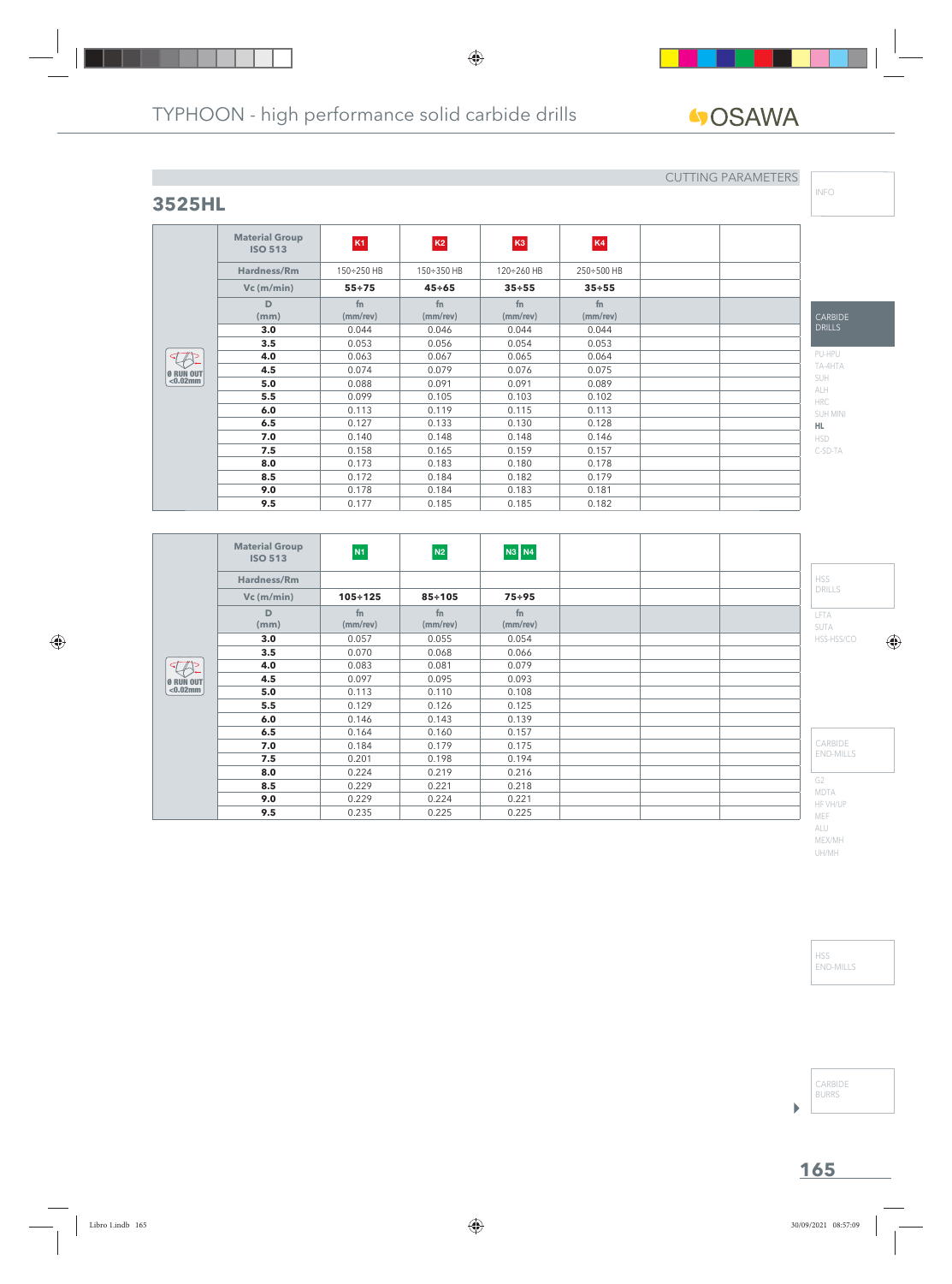**fn (mm/rev)**

**ISO 513 K1 K2 K3 K4 Hardness/Rm** 150÷250 HB 150÷350 HB 120÷260 HB 250÷500 HB **Vc (m/min) 55÷75 45÷65 35÷55 35÷55**

> **fn (mm/rev)**

**3.0** | 0.044 | 0.046 | 0.044 | 0.044 **3.5** 1 0.053 1 0.056 0.054 0.053 **4.0** 0.063 0.067 0.065 0.064 **4.5**  $\begin{array}{|c|c|c|c|c|} \hline \textbf{0.074} & \textbf{0.079} & \textbf{0.076} & \textbf{0.075} \ \hline \end{array}$ **5.0**  $\begin{array}{|c|c|c|c|c|c|} \hline \textbf{5.0} & \textbf{0.088} & \textbf{0.091} & \textbf{0.091} & \textbf{0.089} \ \hline \end{array}$ **5.5** 1 0.099 0.105 0.103 0.102 **6.0** | 0.113 | 0.119 | 0.115 | 0.113 **6.5**  $\begin{array}{|c|c|c|c|c|} \hline \textbf{0.127} & \textbf{0.133} & \textbf{0.130} & \textbf{0.128} \ \hline \end{array}$ **7.0** 10.140 10.148 0.148 0.148 0.146 **7.5** 1 0.158 1 0.165 1 0.159 1 0.157 **8.0** 1 0.173 1 0.183 0.180 10.178 **8.5** 1 0.172 1 0.184 1 0.182 1 0.179 **9.0** | 0.178 | 0.184 | 0.183 | 0.181 **9.5** 0.177 0.185 0.185 0.182

**fn (mm/rev)**

**fn (mm/rev)**

# **4**OSAWA

## **3525HL**

**Material Group**

**D (mm)**

Ø RUN OUT <0.02mm

## CUTTING PARAMETERS

INFO

| DRILLS     |
|------------|
| PU-HPU     |
| TA-4HTA    |
| <b>SUH</b> |
| AI H       |
| <b>HRC</b> |
| SUH MINI   |
| HL.        |
| <b>HSD</b> |

C-SD-TA

CARBIDE

|                            | <b>Material Group</b><br><b>ISO 513</b> | N1                         | N2             | <b>N3 N4</b>               |                               |  |  |  |  |
|----------------------------|-----------------------------------------|----------------------------|----------------|----------------------------|-------------------------------|--|--|--|--|
| $\lhd$<br><b>Ø RUN OUT</b> | Hardness/Rm                             |                            |                |                            | <b>HSS</b>                    |  |  |  |  |
|                            | $Vc$ (m/min)                            | $105 \div 125$             | $85 \div 105$  | $75 \div 95$               | <b>DRILLS</b>                 |  |  |  |  |
|                            | D<br>(mm)                               | f <sub>n</sub><br>(mm/rev) | fn<br>(mm/rev) | f <sub>n</sub><br>(mm/rev) | LFTA<br><b>SUTA</b>           |  |  |  |  |
|                            | 3.0                                     | 0.057                      | 0.055          | 0.054                      | HSS-HSS/CO                    |  |  |  |  |
|                            | 3.5                                     | 0.070                      | 0.068          | 0.066                      |                               |  |  |  |  |
|                            | 4.0                                     | 0.083                      | 0.081          | 0.079                      |                               |  |  |  |  |
|                            | 4.5                                     | 0.097                      | 0.095          | 0.093                      |                               |  |  |  |  |
| $< 0.02$ mm                | 5.0                                     | 0.113                      | 0.110          | 0.108                      |                               |  |  |  |  |
|                            | 5.5                                     | 0.129                      | 0.126          | 0.125                      |                               |  |  |  |  |
|                            | 6.0                                     | 0.146                      | 0.143          | 0.139                      |                               |  |  |  |  |
|                            | 6.5                                     | 0.164                      | 0.160          | 0.157                      |                               |  |  |  |  |
|                            | 7.0                                     | 0.184                      | 0.179          | 0.175                      | CARBIDE                       |  |  |  |  |
|                            | 7.5                                     | 0.201                      | 0.198          | 0.194                      | <b>END-MILLS</b>              |  |  |  |  |
|                            | 8.0                                     | 0.224                      | 0.219          | 0.216                      |                               |  |  |  |  |
|                            | 8.5                                     | 0.229                      | 0.221          | 0.218                      | G <sub>2</sub><br><b>MDTA</b> |  |  |  |  |
|                            | 9.0                                     | 0.229                      | 0.224          | 0.221                      | HF VH/UP                      |  |  |  |  |
|                            | 9.5                                     | 0.235                      | 0.225          | 0.225                      | MEE                           |  |  |  |  |

 $\overline{O}$ 

ALU MEX/MH UH/MH

HSS END-MILLS

CARBIDE BURRS

 $\begin{array}{c} \hline \end{array}$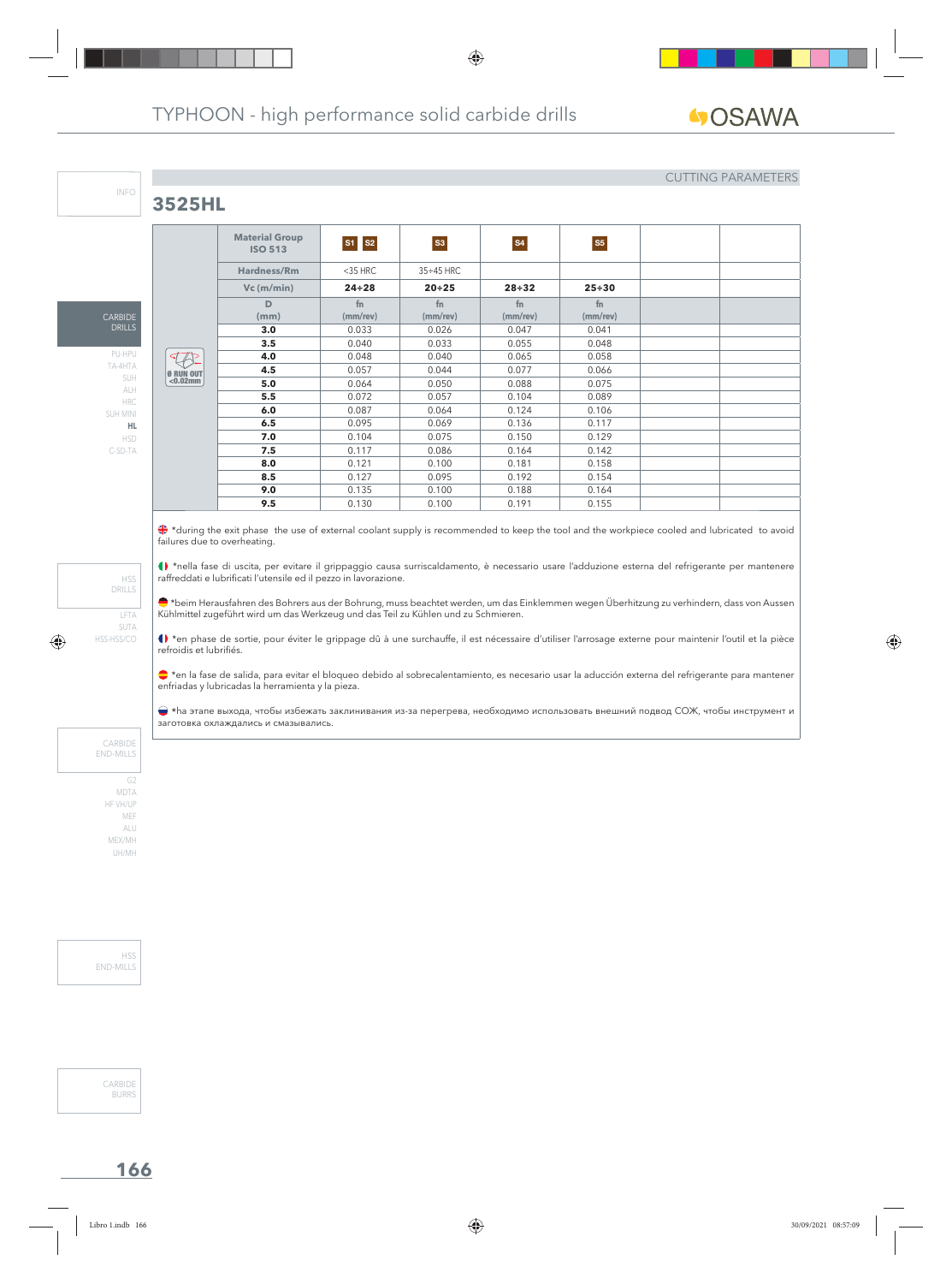## **3525HL**

CARBID DRILLS PU-HPU TA-4HTA SUH ALH HRC SUH MINI **HL** HSD C-SD-TA

INFO

#### CUTTING PARAMETERS

|                                 | <b>Material Group</b><br><b>ISO 513</b> | $S1 \mid S2$         | <b>S3</b>             | <b>S4</b>            | <b>S5</b>            |  |
|---------------------------------|-----------------------------------------|----------------------|-----------------------|----------------------|----------------------|--|
|                                 | Hardness/Rm                             | $<$ 35 HRC           | $35 \div 45$ HRC      |                      |                      |  |
|                                 | $Vc$ (m/min)                            | $24 \div 28$         | $20 + 25$             | $28 + 32$            | $25 + 30$            |  |
|                                 | D<br>(mm)                               | fn<br>$(mm$ /rev $)$ | fn.<br>$(mm$ /rev $)$ | fn<br>$(mm$ /rev $)$ | fn<br>$(mm$ /rev $)$ |  |
|                                 | 3.0                                     | 0.033                | 0.026                 | 0.047                | 0.041                |  |
| <b>Ø RUN OUT</b><br>$< 0.02$ mm | 3.5                                     | 0.040                | 0.033                 | 0.055                | 0.048                |  |
|                                 | 4.0                                     | 0.048                | 0.040                 | 0.065                | 0.058                |  |
|                                 | 4.5                                     | 0.057                | 0.044                 | 0.077                | 0.066                |  |
|                                 | 5.0                                     | 0.064                | 0.050                 | 0.088                | 0.075                |  |
|                                 | 5.5                                     | 0.072                | 0.057                 | 0.104                | 0.089                |  |
|                                 | 6.0                                     | 0.087                | 0.064                 | 0.124                | 0.106                |  |
|                                 | 6.5                                     | 0.095                | 0.069                 | 0.136                | 0.117                |  |
|                                 | 7.0                                     | 0.104                | 0.075                 | 0.150                | 0.129                |  |
|                                 | 7.5                                     | 0.117                | 0.086                 | 0.164                | 0.142                |  |
|                                 | 8.0                                     | 0.121                | 0.100                 | 0.181                | 0.158                |  |
|                                 | 8.5                                     | 0.127                | 0.095                 | 0.192                | 0.154                |  |
|                                 | 9.0                                     | 0.135                | 0.100                 | 0.188                | 0.164                |  |
|                                 | 9.5                                     | 0.130                | 0.100                 | 0.191                | 0.155                |  |

\*during the exit phase the use of external coolant supply is recommended to keep the tool and the workpiece cooled and lubricated to avoid failures due to overheating.

\*nella fase di uscita, per evitare il grippaggio causa surriscaldamento, è necessario usare l'adduzione esterna del refrigerante per mantenere raffreddati e lubrificati l'utensile ed il pezzo in lavorazione.

 $\bullet$ \*beim Herausfahren des Bohrers aus der Bohrung, muss beachtet werden, um das Einklemmen wegen Überhitzung zu verhindern, dass von Aussen Kühlmittel zugeführt wird um das Werkzeug und das Teil zu Kühlen und zu Schmieren.

() \*en phase de sortie, pour éviter le grippage dû à une surchauffe, il est nécessaire d'utiliser l'arrosage externe pour maintenir l'outil et la pièce refroidis et lubrifiés.

\*en la fase de salida, para evitar el bloqueo debido al sobrecalentamiento, es necesario usar la aducción externa del refrigerante para mantener enfriadas y lubricadas la herramienta y la pieza.

 \*hа этапе выхода, чтобы избежать заклинивания из-за перегрева, необходимо использовать внешний подвод СОЖ, чтобы инструмент и заготовка охлаждались и смазывались.

CARBIDE END-MILLS

LFTA SUTA HSS-HSS/CO

HSS DRILLS

G2 MDTA HF VH/UP MEF ALU MEX/MH UH/MH

H<sub>SS</sub> END-MILLS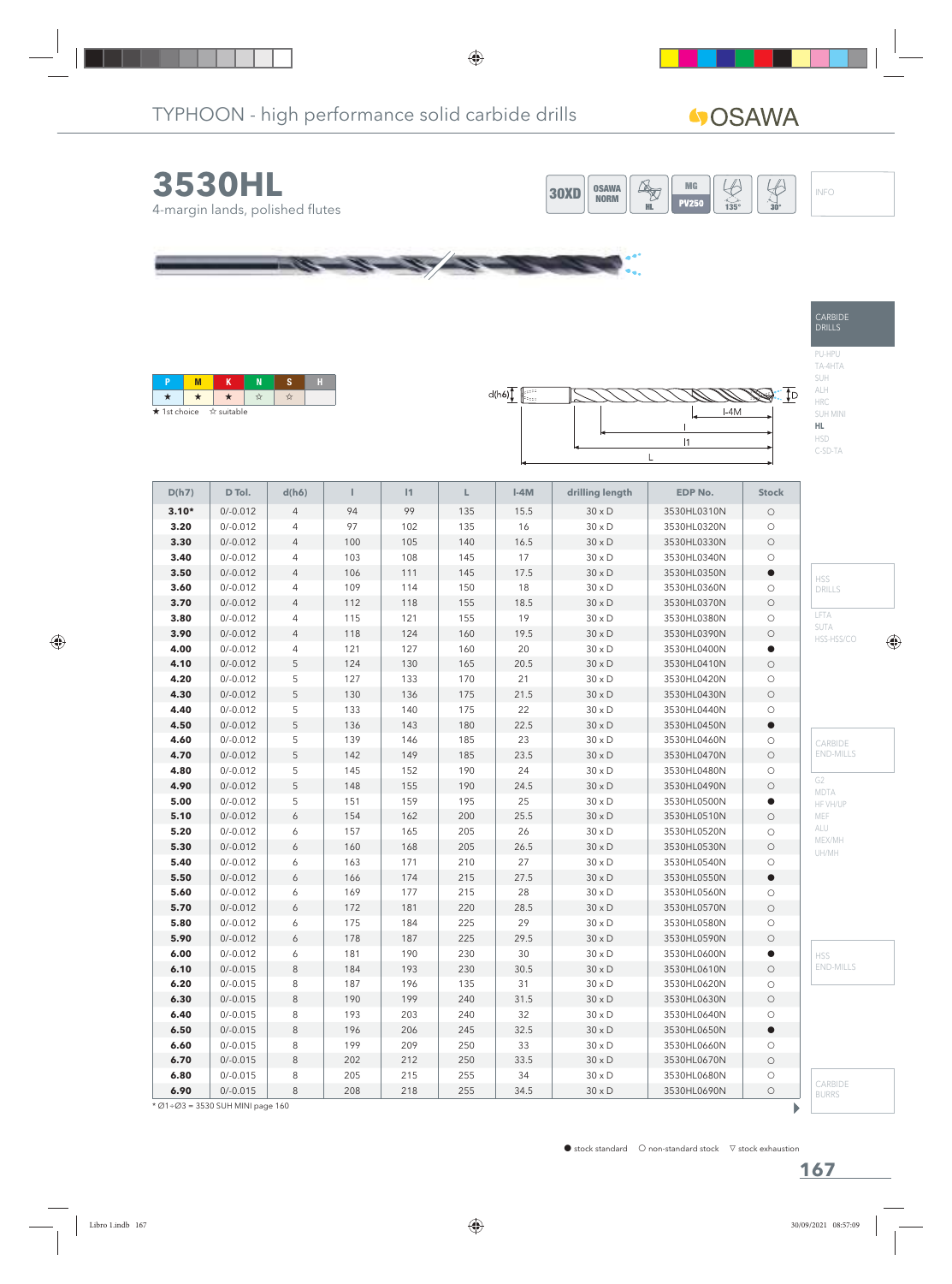# **40SAWA**

CARBIDE DRILLS

PU-HPU TA-4HTA SUH ALH HRC SUH MINI **HL** HSD C-SD-TA





| ★ 1st choice ☆ suitable |  |  |  |
|-------------------------|--|--|--|



| D(h7)   | D Tol.                           | d(h6)          | Т       | 1   | L   | $I-4M$ | drilling length | <b>EDP No.</b> | <b>Stock</b> |                         |
|---------|----------------------------------|----------------|---------|-----|-----|--------|-----------------|----------------|--------------|-------------------------|
| $3.10*$ | $0/-0.012$                       | $\overline{4}$ | 94      | 99  | 135 | 15.5   | $30 \times D$   | 3530HL0310N    | $\bigcirc$   |                         |
| 3.20    | $0/-0.012$                       | $\overline{4}$ | 97      | 102 | 135 | 16     | $30 \times D$   | 3530HL0320N    | $\circ$      |                         |
| 3.30    | $0/-0.012$                       | $\overline{4}$ | $100\,$ | 105 | 140 | 16.5   | $30\times D$    | 3530HL0330N    | $\bigcirc$   |                         |
| 3.40    | $0/-0.012$                       | 4              | 103     | 108 | 145 | 17     | $30 \times D$   | 3530HL0340N    | $\bigcirc$   |                         |
| 3.50    | $0/-0.012$                       | $\overline{4}$ | 106     | 111 | 145 | 17.5   | $30 \times D$   | 3530HL0350N    | $\bullet$    | <b>HSS</b>              |
| 3.60    | $0/-0.012$                       | 4              | 109     | 114 | 150 | 18     | $30 \times D$   | 3530HL0360N    | $\bigcirc$   | DRILLS                  |
| 3.70    | $0/-0.012$                       | $\overline{4}$ | 112     | 118 | 155 | 18.5   | $30 \times D$   | 3530HL0370N    | $\bigcirc$   |                         |
| 3.80    | $0/-0.012$                       | 4              | 115     | 121 | 155 | 19     | $30 \times D$   | 3530HL0380N    | $\bigcirc$   | <b>LFTA</b>             |
| 3.90    | $0/-0.012$                       | $\overline{4}$ | 118     | 124 | 160 | 19.5   | $30\times D$    | 3530HL0390N    | $\bigcirc$   | SUTA<br>HSS-HSS/CO      |
| 4.00    | $0/-0.012$                       | $\overline{4}$ | 121     | 127 | 160 | 20     | $30 \times D$   | 3530HL0400N    | $\bullet$    |                         |
| 4.10    | $0/-0.012$                       | 5              | 124     | 130 | 165 | 20.5   | $30 \times D$   | 3530HL0410N    | $\bigcirc$   |                         |
| 4.20    | $0/-0.012$                       | 5              | 127     | 133 | 170 | 21     | $30 \times D$   | 3530HL0420N    | $\bigcirc$   |                         |
| 4.30    | $0/-0.012$                       | 5              | 130     | 136 | 175 | 21.5   | $30 \times D$   | 3530HL0430N    | $\bigcirc$   |                         |
| 4.40    | $0/-0.012$                       | 5              | 133     | 140 | 175 | 22     | $30\times D$    | 3530HL0440N    | $\bigcirc$   |                         |
| 4.50    | $0/-0.012$                       | 5              | 136     | 143 | 180 | 22.5   | $30 \times D$   | 3530HL0450N    | $\bullet$    |                         |
| 4.60    | $0/-0.012$                       | 5              | 139     | 146 | 185 | 23     | $30 \times D$   | 3530HL0460N    | $\bigcirc$   | CARBIDE                 |
| 4.70    | $0/-0.012$                       | 5              | 142     | 149 | 185 | 23.5   | $30 \times D$   | 3530HL0470N    | $\bigcirc$   | <b>END-MILLS</b>        |
| 4.80    | $0/-0.012$                       | 5              | 145     | 152 | 190 | 24     | $30 \times D$   | 3530HL0480N    | $\bigcirc$   |                         |
| 4.90    | $0/-0.012$                       | 5              | 148     | 155 | 190 | 24.5   | $30\times D$    | 3530HL0490N    | $\bigcirc$   | G2                      |
| 5.00    | $0/-0.012$                       | 5              | 151     | 159 | 195 | 25     | $30\times D$    | 3530HL0500N    | $\bullet$    | MDTA<br>HF VH/UP        |
| 5.10    | $0/-0.012$                       | 6              | 154     | 162 | 200 | 25.5   | $30 \times D$   | 3530HL0510N    | $\bigcirc$   | MEF                     |
| 5.20    | $0/-0.012$                       | 6              | 157     | 165 | 205 | 26     | $30 \times D$   | 3530HL0520N    | $\bigcirc$   | ALU                     |
| 5.30    | $0/-0.012$                       | 6              | 160     | 168 | 205 | 26.5   | $30 \times D$   | 3530HL0530N    | $\bigcirc$   | MEX/MH                  |
| 5.40    | $0/-0.012$                       | 6              | 163     | 171 | 210 | 27     | $30 \times D$   | 3530HL0540N    | $\bigcirc$   | UH/MH                   |
| 5.50    | $0/-0.012$                       | 6              | 166     | 174 | 215 | 27.5   | $30\times D$    | 3530HL0550N    | $\bullet$    |                         |
| 5.60    | $0/-0.012$                       | 6              | 169     | 177 | 215 | 28     | $30 \times D$   | 3530HL0560N    | $\bigcirc$   |                         |
| 5.70    | $0/-0.012$                       | 6              | 172     | 181 | 220 | 28.5   | $30 \times D$   | 3530HL0570N    | $\bigcirc$   |                         |
| 5.80    | $0/-0.012$                       | 6              | 175     | 184 | 225 | 29     | $30\times D$    | 3530HL0580N    | $\bigcirc$   |                         |
| 5.90    | $0/-0.012$                       | 6              | 178     | 187 | 225 | 29.5   | $30 \times D$   | 3530HL0590N    | $\bigcirc$   |                         |
| 6.00    | $0/-0.012$                       | 6              | 181     | 190 | 230 | 30     | $30 \times D$   | 3530HL0600N    | $\bullet$    | <b>HSS</b>              |
| 6.10    | $0/-0.015$                       | $\,8\,$        | 184     | 193 | 230 | 30.5   | $30 \times D$   | 3530HL0610N    | $\bigcirc$   | <b>END-MILLS</b>        |
| 6.20    | $0/-0.015$                       | 8              | 187     | 196 | 135 | 31     | $30 \times D$   | 3530HL0620N    | $\bigcirc$   |                         |
| 6.30    | $0/-0.015$                       | $\,8\,$        | 190     | 199 | 240 | 31.5   | $30 \times D$   | 3530HL0630N    | $\bigcirc$   |                         |
| 6.40    | $0/-0.015$                       | 8              | 193     | 203 | 240 | 32     | $30 \times D$   | 3530HL0640N    | $\bigcirc$   |                         |
| 6.50    | $0/-0.015$                       | $\,8\,$        | 196     | 206 | 245 | 32.5   | $30 \times D$   | 3530HL0650N    | $\bullet$    |                         |
| 6.60    | $0/-0.015$                       | 8              | 199     | 209 | 250 | 33     | $30 \times D$   | 3530HL0660N    | $\bigcirc$   |                         |
| 6.70    | $0/-0.015$                       | 8              | 202     | 212 | 250 | 33.5   | $30 \times D$   | 3530HL0670N    | $\bigcirc$   |                         |
| 6.80    | $0/-0.015$                       | 8              | 205     | 215 | 255 | 34     | $30\times D$    | 3530HL0680N    | $\bigcirc$   |                         |
| 6.90    | $0/-0.015$                       | 8              | 208     | 218 | 255 | 34.5   | $30 \times D$   | 3530HL0690N    | $\bigcirc$   | CARBIDE<br><b>BURRS</b> |
|         | * Ø1÷Ø3 = 3530 SUH MINI page 160 |                |         |     |     |        |                 |                |              |                         |

 $\blacktriangleright$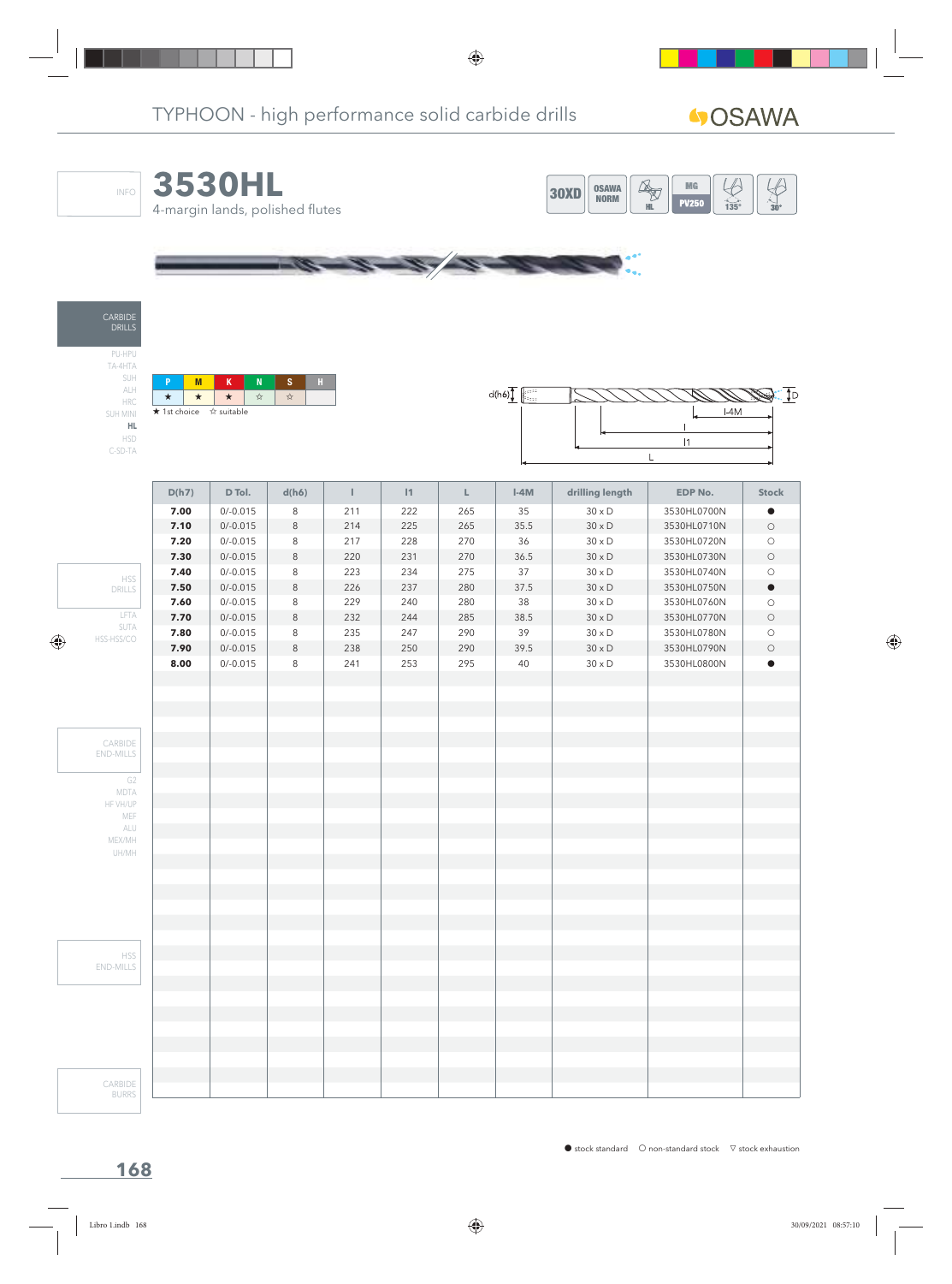|                    | <b>3530HL</b><br>4-margin lands, polished flutes                        |                       |                                       |            |            |                                                                     | <b>OSAWA</b><br>30XD<br><b>NORM</b> | $\bigoplus$<br>MG <sub>3</sub><br>$\overrightarrow{135}$<br><b>PV250</b><br>HL. |
|--------------------|-------------------------------------------------------------------------|-----------------------|---------------------------------------|------------|------------|---------------------------------------------------------------------|-------------------------------------|---------------------------------------------------------------------------------|
|                    |                                                                         |                       |                                       |            |            |                                                                     |                                     |                                                                                 |
|                    |                                                                         |                       |                                       |            |            |                                                                     |                                     |                                                                                 |
| M<br>P             | K<br>$\mathbf N$                                                        | S<br>$\mathbf{H}$ .   |                                       |            |            | $d(h6)$ $\left  \begin{matrix} 1 & 0 \\ 0 & 1 \end{matrix} \right $ |                                     |                                                                                 |
| $\star$<br>$\star$ | $\star$<br>$\stackrel{\rightarrow}{\bowtie}$<br>★ 1st choice ☆ suitable | $\frac{1}{2\sqrt{3}}$ |                                       |            |            |                                                                     |                                     | $I-4M$                                                                          |
|                    |                                                                         |                       |                                       |            |            |                                                                     |                                     |                                                                                 |
|                    |                                                                         |                       |                                       |            |            |                                                                     |                                     | $\vert$ 1                                                                       |
|                    |                                                                         |                       |                                       |            |            |                                                                     |                                     | L                                                                               |
|                    |                                                                         |                       |                                       |            |            |                                                                     |                                     |                                                                                 |
| D(h7)              | D Tol.                                                                  | d(h6)                 | $\begin{array}{c} \hline \end{array}$ | $\vert$ 1  | L          | $I-4M$                                                              | drilling length                     | <b>EDP No.</b>                                                                  |
| 7.00               | $0/-0.015$                                                              | 8                     | 211                                   | 222        | 265        | 35                                                                  | $30 \times D$                       | 3530HL0700N                                                                     |
| 7.10               | $0/-0.015$                                                              | $\,8\,$               | 214                                   | 225        | 265        | 35.5                                                                | $30 \times D$                       | 3530HL0710N                                                                     |
| 7.20               | $0/-0.015$                                                              | 8                     | 217                                   | 228        | 270        | 36                                                                  | $30 \times D$                       | 3530HL0720N                                                                     |
| 7.30               | $0/-0.015$                                                              | $\,8\,$               | 220                                   | 231        | 270        | 36.5                                                                | $30 \times D$                       | 3530HL0730N                                                                     |
| 7.40<br>7.50       | $0/-0.015$<br>$0/-0.015$                                                | 8<br>$\,8\,$          | 223<br>226                            | 234<br>237 | 275<br>280 | 37<br>37.5                                                          | $30 \times D$<br>$30 \times D$      | 3530HL0740N<br>3530HL0750N                                                      |
| 7.60               | $0/-0.015$                                                              | 8                     | 229                                   | 240        | 280        | 38                                                                  | $30 \times D$                       | 3530HL0760N                                                                     |
| 7.70               | $0/-0.015$                                                              | $\,8\,$               | 232                                   | 244        | 285        | 38.5                                                                | $30 \times D$                       | 3530HL0770N                                                                     |
| 7.80               | $0/-0.015$                                                              | 8                     | 235                                   | 247        | 290        | 39                                                                  | $30 \times D$                       | 3530HL0780N                                                                     |
| 7.90               | $0/-0.015$                                                              | $\,8\,$               | 238                                   | 250        | 290        | 39.5                                                                | $30 \times D$                       | 3530HL0790N                                                                     |
| 8.00               | $0/-0.015$                                                              | 8                     | 241                                   | 253        | 295        | 40                                                                  | $30 \times D$                       | 3530HL0800N                                                                     |
|                    |                                                                         |                       |                                       |            |            |                                                                     |                                     |                                                                                 |
|                    |                                                                         |                       |                                       |            |            |                                                                     |                                     |                                                                                 |
|                    |                                                                         |                       |                                       |            |            |                                                                     |                                     |                                                                                 |
|                    |                                                                         |                       |                                       |            |            |                                                                     |                                     |                                                                                 |
|                    |                                                                         |                       |                                       |            |            |                                                                     |                                     |                                                                                 |
|                    |                                                                         |                       |                                       |            |            |                                                                     |                                     |                                                                                 |
|                    |                                                                         |                       |                                       |            |            |                                                                     |                                     |                                                                                 |
|                    |                                                                         |                       |                                       |            |            |                                                                     |                                     |                                                                                 |
|                    |                                                                         |                       |                                       |            |            |                                                                     |                                     |                                                                                 |
|                    |                                                                         |                       |                                       |            |            |                                                                     |                                     |                                                                                 |
|                    |                                                                         |                       |                                       |            |            |                                                                     |                                     |                                                                                 |
|                    |                                                                         |                       |                                       |            |            |                                                                     |                                     |                                                                                 |
|                    |                                                                         |                       |                                       |            |            |                                                                     |                                     |                                                                                 |
|                    |                                                                         |                       |                                       |            |            |                                                                     |                                     |                                                                                 |
|                    |                                                                         |                       |                                       |            |            |                                                                     |                                     |                                                                                 |
|                    |                                                                         |                       |                                       |            |            |                                                                     |                                     |                                                                                 |
|                    |                                                                         |                       |                                       |            |            |                                                                     |                                     |                                                                                 |
|                    |                                                                         |                       |                                       |            |            |                                                                     |                                     |                                                                                 |
|                    |                                                                         |                       |                                       |            |            |                                                                     |                                     |                                                                                 |
|                    |                                                                         |                       |                                       |            |            |                                                                     |                                     |                                                                                 |
|                    |                                                                         |                       |                                       |            |            |                                                                     |                                     |                                                                                 |
|                    |                                                                         |                       |                                       |            |            |                                                                     |                                     |                                                                                 |
|                    |                                                                         |                       |                                       |            |            |                                                                     |                                     |                                                                                 |
|                    |                                                                         |                       |                                       |            |            |                                                                     |                                     |                                                                                 |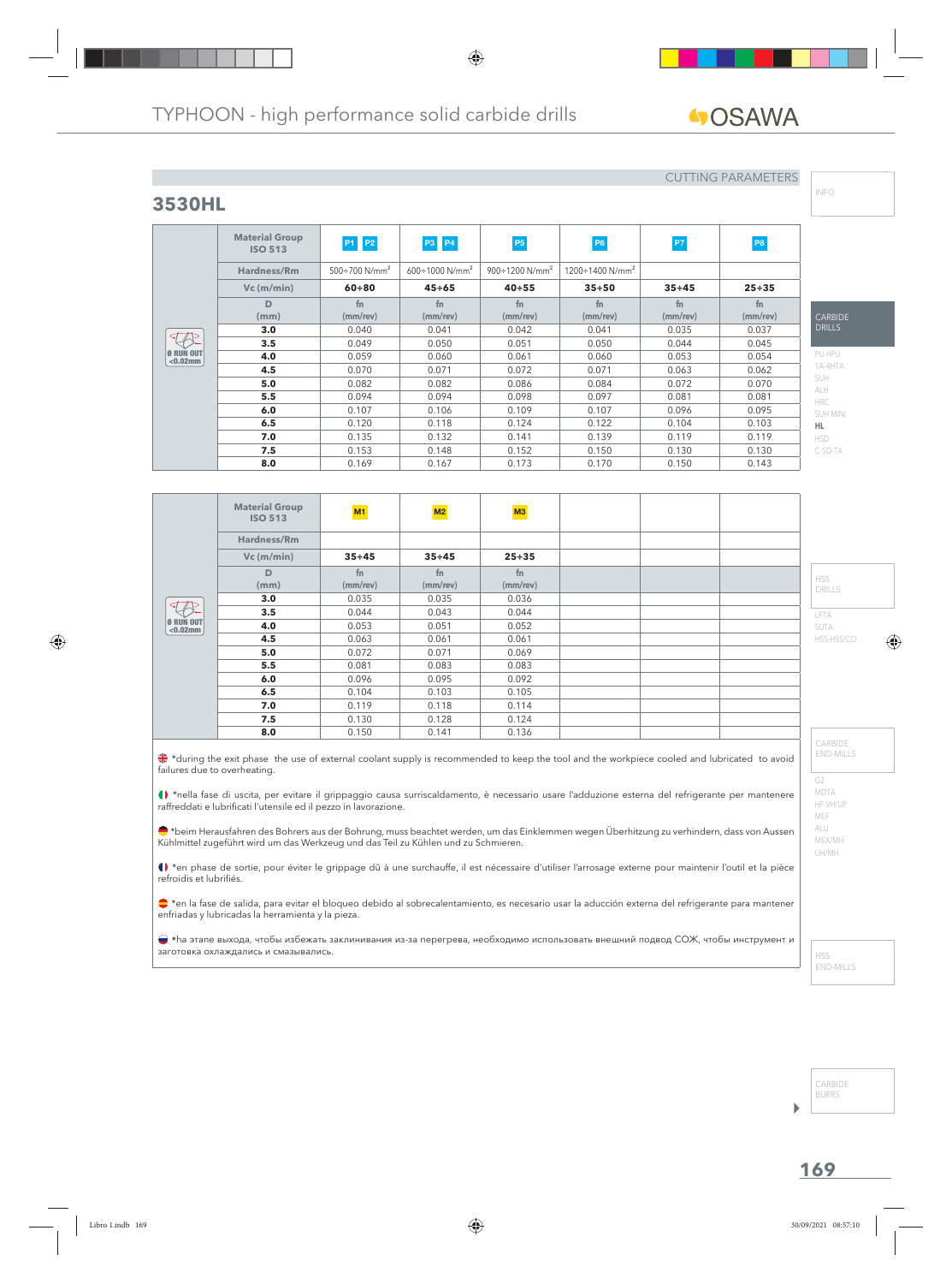**fn (mm/rev)**

**ISO 513 M1 M2 M3**

**Vc (m/min) 35÷45 35÷45 25÷35**

**3.0** 0.035 0.035 0.036 **3.5** 0.044 0.043 0.044 **4.0** 0.053 0.051 0.052 **4.5** 0.063 0.061 0.061 **5.0** 0.072 0.071 0.069 **5.5**  $\begin{array}{|c|c|c|c|c|} \hline \textbf{0.081} & \textbf{0.083} & \textbf{0.083} \ \hline \end{array}$ **6.0** 0.096 0.095 0.092 **6.5** 0.104 0.103 0.105 **7.0** 0.119 0.118 0.114 **7.5** 0.130 0.128 0.124 **8.0** 0.150 0.141 0.136

**fn (mm/rev)**

 $\bullet$  \*during the exit phase the use of external coolant supply is recommended to keep the tool and the workpiece cooled and lubricated to avoid

\*nella fase di uscita, per evitare il grippaggio causa surriscaldamento, è necessario usare l'adduzione esterna del refrigerante per mantenere

\*beim Herausfahren des Bohrers aus der Bohrung, muss beachtet werden, um das Einklemmen wegen Überhitzung zu verhindern, dass von Aussen

() \*en phase de sortie, pour éviter le grippage dû à une surchauffe, il est nécessaire d'utiliser l'arrosage externe pour maintenir l'outil et la pièce

● \*en la fase de salida, para evitar el bloqueo debido al sobrecalentamiento, es necesario usar la aducción externa del refrigerante para mantener

**fn (mm/rev)**

**ISO 513 P1 P2 P3 P4 P5 P5 P6 P7 P7 P8** 

**Vc (m/min) 60÷80 45÷65 40÷55 35÷50 35÷45 25÷35**

**fn (mm/rev)**

**3.0** | 0.040 | 0.041 | 0.042 | 0.041 | 0.035 | 0.037 **3.5** | 0.049 | 0.050 | 0.051 | 0.050 | 0.044 | 0.045 **4.0** 0.059 0.060 0.061 0.060 0.053 0.054 **4.5** 0.070 0.071 0.072 0.071 0.063 0.062 **5.0** 0.082 0.082 0.086 0.084 0.072 0.070 **5.5** 1 0.094 0.094 0.098 0.097 0.081 0.081 **6.0** | 0.107 | 0.106 | 0.109 | 0.107 | 0.096 | 0.095 **6.5** | 0.120 | 0.118 | 0.124 | 0.122 | 0.104 | 0.103 **7.0** 0.135 0.132 0.141 0.139 0.119 0.119 **7.5** | 0.153 | 0.148 | 0.152 | 0.150 | 0.130 | 0.130 **8.0** | 0.169 | 0.167 | 0.173 | 0.170 | 0.150 | 0.143

> **fn (mm/rev)**

**fn (mm/rev)**

**Hardness/Rm** 500÷700 N/mm<sup>2</sup> 600÷1000 N/mm<sup>2</sup> 900÷1200 N/mm<sup>2</sup> 1200÷1400 N/mm<sup>2</sup>

**fn (mm/rev)**

# GOSAWA

# **3530HL**

**Material Group**

**D (mm)**

**Material Group**

**Hardness/Rm**

**D (mm)**

raffreddati e lubrificati l'utensile ed il pezzo in lavorazione.

enfriadas y lubricadas la herramienta y la pieza.

Kühlmittel zugeführt wird um das Werkzeug und das Teil zu Kühlen und zu Schmieren.

 $\bigotimes_{\alpha \text{ prime}}$  $< 0.02$ mm

Ø RUN OUT <0.02mm

 $75.$ 

failures due to overheating.

refroidis et lubrifiés.

## CUTTING PARAMETERS

**fn (mm/rev)**

**fn (mm/rev)** INFO

| DRILLS     |
|------------|
| PU-HPU     |
| TA-4HTA    |
| SUH        |
| <b>ALH</b> |
| <b>HRC</b> |
| SUH MINI   |
| HL.        |
| HSD        |
| C-SD-TA    |

HSS

LFTA SUTA

DRILLS

HSS-HSS/CO

G2 CARBIDE END-MILLS

MDTA HF VH/UP MEF ALU MEX/MH UH/MH

CARBIDE BURRS

b

| • *ha этапе выхода, чтобы избежать заклинивания из-за перегрева, необходимо использовать внешний подвод СОЖ, чтобы инструмент и<br>заготовка охлаждались и смазывались. | HSS<br>END-MILLS |
|-------------------------------------------------------------------------------------------------------------------------------------------------------------------------|------------------|
|                                                                                                                                                                         |                  |
|                                                                                                                                                                         |                  |